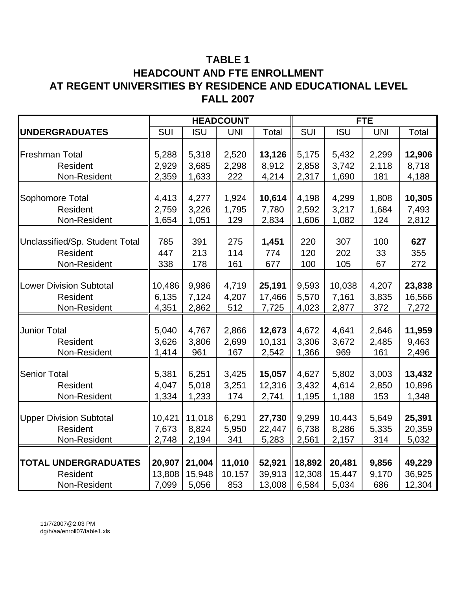# **TABLE 1 HEADCOUNT AND FTE ENROLLMENT AT REGENT UNIVERSITIES BY RESIDENCE AND EDUCATIONAL LEVEL FALL 2007**

|                                |        |            | <b>HEADCOUNT</b> |        | <b>FTE</b> |            |            |        |  |
|--------------------------------|--------|------------|------------------|--------|------------|------------|------------|--------|--|
| <b>UNDERGRADUATES</b>          | SUI    | <b>ISU</b> | <b>UNI</b>       | Total  | SUI        | <b>ISU</b> | <b>UNI</b> | Total  |  |
|                                |        |            |                  |        |            |            |            |        |  |
| <b>Freshman Total</b>          | 5,288  | 5,318      | 2,520            | 13,126 | 5,175      | 5,432      | 2,299      | 12,906 |  |
| Resident                       | 2,929  | 3,685      | 2,298            | 8,912  | 2,858      | 3,742      | 2,118      | 8,718  |  |
| Non-Resident                   | 2,359  | 1,633      | 222              | 4,214  | 2,317      | 1,690      | 181        | 4,188  |  |
|                                |        |            |                  |        |            |            |            |        |  |
| Sophomore Total                | 4,413  | 4,277      | 1,924            | 10,614 | 4,198      | 4,299      | 1,808      | 10,305 |  |
| <b>Resident</b>                | 2,759  | 3,226      | 1,795            | 7,780  | 2,592      | 3,217      | 1,684      | 7,493  |  |
| Non-Resident                   | 1,654  | 1,051      | 129              | 2,834  | 1,606      | 1,082      | 124        | 2,812  |  |
|                                |        |            |                  |        |            |            |            |        |  |
| Unclassified/Sp. Student Total | 785    | 391        | 275              | 1,451  | 220        | 307        | 100        | 627    |  |
| <b>Resident</b>                | 447    | 213        | 114              | 774    | 120        | 202        | 33         | 355    |  |
| Non-Resident                   | 338    | 178        | 161              | 677    | 100        | 105        | 67         | 272    |  |
|                                |        |            |                  |        |            |            |            |        |  |
| <b>Lower Division Subtotal</b> | 10,486 | 9,986      | 4,719            | 25,191 | 9,593      | 10,038     | 4,207      | 23,838 |  |
| Resident                       | 6,135  | 7,124      | 4,207            | 17,466 | 5,570      | 7,161      | 3,835      | 16,566 |  |
| Non-Resident                   | 4,351  | 2,862      | 512              | 7,725  | 4,023      | 2,877      | 372        | 7,272  |  |
|                                |        |            |                  |        |            |            |            |        |  |
| <b>Junior Total</b>            | 5,040  | 4,767      | 2,866            | 12,673 | 4,672      | 4,641      | 2,646      | 11,959 |  |
| Resident                       | 3,626  | 3,806      | 2,699            | 10,131 | 3,306      | 3,672      | 2,485      | 9,463  |  |
| Non-Resident                   | 1,414  | 961        | 167              | 2,542  | 1,366      | 969        | 161        | 2,496  |  |
|                                |        |            |                  |        |            |            |            |        |  |
| <b>Senior Total</b>            | 5,381  | 6,251      | 3,425            | 15,057 | 4,627      | 5,802      | 3,003      | 13,432 |  |
| Resident                       | 4,047  | 5,018      | 3,251            | 12,316 | 3,432      | 4,614      | 2,850      | 10,896 |  |
| Non-Resident                   | 1,334  | 1,233      | 174              | 2,741  | 1,195      | 1,188      | 153        | 1,348  |  |
|                                |        |            |                  |        |            |            |            |        |  |
| <b>Upper Division Subtotal</b> | 10,421 | 11,018     | 6,291            | 27,730 | 9,299      | 10,443     | 5,649      | 25,391 |  |
| Resident                       | 7,673  | 8,824      | 5,950            | 22,447 | 6,738      | 8,286      | 5,335      | 20,359 |  |
| Non-Resident                   | 2,748  | 2,194      | 341              | 5,283  | 2,561      | 2,157      | 314        | 5,032  |  |
|                                |        |            |                  |        |            |            |            |        |  |
| <b>TOTAL UNDERGRADUATES</b>    | 20,907 | 21,004     | 11,010           | 52,921 | 18,892     | 20,481     | 9,856      | 49,229 |  |
| Resident                       | 13,808 | 15,948     | 10,157           | 39,913 | 12,308     | 15,447     | 9,170      | 36,925 |  |
| Non-Resident                   | 7,099  | 5,056      | 853              | 13,008 | 6,584      | 5,034      | 686        | 12,304 |  |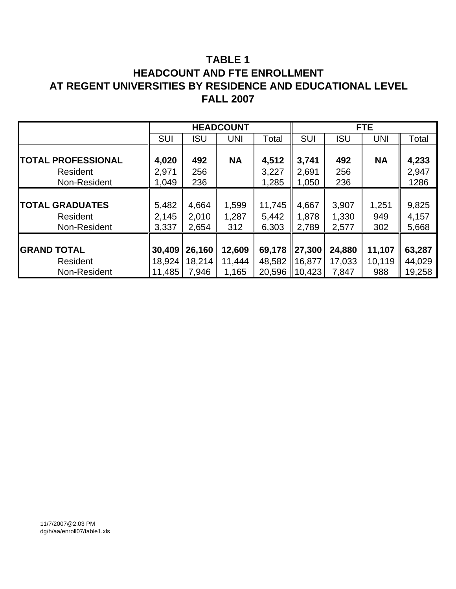# **TABLE 1 HEADCOUNT AND FTE ENROLLMENT AT REGENT UNIVERSITIES BY RESIDENCE AND EDUCATIONAL LEVEL FALL 2007**

|                           |            |            | <b>HEADCOUNT</b> |        |                    |            | FTE.       |        |
|---------------------------|------------|------------|------------------|--------|--------------------|------------|------------|--------|
|                           | <b>SUI</b> | <b>ISU</b> | <b>UNI</b>       | Total  | <b>SUI</b>         | <b>ISU</b> | <b>UNI</b> | Total  |
|                           |            |            |                  |        |                    |            |            |        |
| <b>TOTAL PROFESSIONAL</b> | 4,020      | 492        | <b>NA</b>        | 4,512  | 3,741              | 492        | <b>NA</b>  | 4,233  |
| Resident                  | 2,971      | 256        |                  | 3,227  | 2,691              | 256        |            | 2,947  |
| Non-Resident              | 1,049      | 236        |                  | 1,285  | 1,050              | 236        |            | 1286   |
|                           |            |            |                  |        |                    |            |            |        |
| <b>TOTAL GRADUATES</b>    | 5,482      | 4,664      | 1,599            | 11,745 | 4,667              | 3,907      | 1,251      | 9,825  |
| Resident                  | 2,145      | 2,010      | 1,287            | 5,442  | 1,878              | 1,330      | 949        | 4,157  |
| Non-Resident              | 3,337      | 2,654      | 312              | 6,303  | 2,789              | 2,577      | 302        | 5,668  |
|                           |            |            |                  |        |                    |            |            |        |
| <b>GRAND TOTAL</b>        | 30,409     | 26,160     | 12,609           | 69,178 | $\ 27,300\ $       | 24,880     | 11,107     | 63,287 |
| Resident                  | 18,924     | 18,214     | 11,444           | 48,582 | ∥16,877            | 17,033     | 10,119     | 44,029 |
| Non-Resident              | 11,485     | 7,946      | 1,165            | 20,596 | $\parallel$ 10,423 | 7,847      | 988        | 19,258 |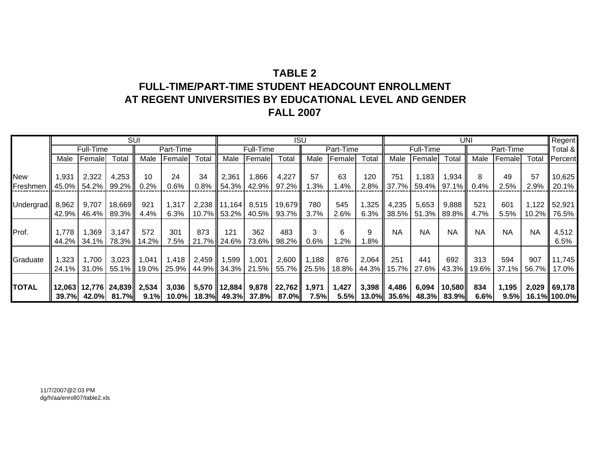# **TABLE 2FULL-TIME/PART-TIME STUDENT HEADCOUNT ENROLLMENTAT REGENT UNIVERSITIES BY EDUCATIONAL LEVEL AND GENDER FALL 2007**

|              |        |           |                          | <b>SUI</b> |           |         |                |           | <b>ISU</b>                    |             |           |                   |                     |             | <b>UNI</b>  |           |           |           | Regent       |
|--------------|--------|-----------|--------------------------|------------|-----------|---------|----------------|-----------|-------------------------------|-------------|-----------|-------------------|---------------------|-------------|-------------|-----------|-----------|-----------|--------------|
|              |        | Full-Time |                          |            | Part-Time |         |                | Full-Time |                               |             | Part-Time |                   |                     | Full-Time   |             |           | Part-Time |           | Total &      |
|              | Male   | Female    | Total                    | Male       | Female    | Total   | Male           | Female    | Total                         | Male        | Female    | Total             | Male                | Female      | Total       | Male      | Female    | Total     | Percent      |
|              |        |           |                          |            |           |         |                |           |                               |             |           |                   |                     |             |             |           |           |           |              |
| New          | 1,931  | 2,322     | 4,253                    | 10         | 24        | 34      | 2,361          | 866,      | 4,227                         | 57          | 63        | 120               | 751                 | 1,183       | 1,934       | 8         | 49        | 57        | 10,625       |
| Freshmen     | 45.0%  | 54.2%     | 99.2%                    | 0.2%       | 0.6%      | $0.8\%$ | 54.3%          | 42.9%     | 97.2%                         | .3%         | 1.4%      | 2.8%              |                     | 37.7% 59.4% | $97.1\%$    | 0.4%      | 2.5%      | 2.9%      | 20.1%        |
|              |        |           |                          |            |           |         |                |           |                               |             |           |                   |                     |             |             |           |           |           |              |
| Undergrad.   | 8,962  | 9,707     | 18,669                   | 921        | 1,317     |         | 2,238 11,164   | 8,515     | 19,679                        | 780         | 545       | 1,325 $\parallel$ | 4,235               | 5,653       | 9,888       | 521       | 601       |           | 1,122 52,921 |
|              | 42.9%  | 46.4%     | 89.3%                    | 4.4%       | 6.3%      |         | 10.7% 53.2%    | 40.5%     | 93.7%                         | 3.7%        | 2.6%      | 6.3%              | 38.5%               | 51.3%       | 89.8%       | 4.7%      | 5.5%      | $10.2\%$  | 76.5%        |
|              |        |           |                          |            |           |         |                |           |                               |             |           |                   |                     |             |             |           |           |           |              |
| Prof.        | 1.778  | 1,369     | 3,147                    | 572        | 301       | 873     | 121            | 362       | 483                           | 3           | 6         | 9                 | <b>NA</b>           | <b>NA</b>   | <b>NA</b>   | <b>NA</b> | <b>NA</b> | <b>NA</b> | 4,512        |
|              | 44.2%  | 34.1% I   | 78.3% II                 | 14.2%      | 7.5%      |         | 21.7% 24.6%    | 73.6%     | 98.2%                         | 0.6%        | $.2\%$    | l.8%              |                     |             |             |           |           |           | 6.5%         |
|              |        |           |                          |            |           |         |                |           |                               |             |           |                   |                     |             |             |           |           |           |              |
| Graduate     | 1,323  | 1,700     | 3,023                    | 1,041      | 1,418     | 2,459   | 1,599          | 1,001     | 2,600                         | 1,188       | 876       | 2,064             | 251                 | 441         | 692         | 313       | 594       | 907       | 11,745       |
|              | 24.1%  | 31.0%     | $55.1\%$                 | 19.0%      | $25.9\%$  |         | 44.9% 34.3%    | 21.5%     |                               | 55.7% 25.5% | 18.8%     |                   | 44.3% 15.7%         | 27.6%       | $43.3\%$    | 19.6%     | 37.1%     | 56.7%     | 17.0%        |
|              |        |           |                          |            |           |         |                |           |                               |             |           |                   |                     |             |             |           |           |           |              |
| <b>TOTAL</b> |        |           | 12,063   12,776   24,839 | 2,534      | 3,036     |         | 5,570   12,884 | 9,878     | 22,762                        | 1,971       | 1,427     | 3,398             | 4,486               | 6,094       | 10,580      | 834       | 1,195     |           | 2,029 69,178 |
|              | 39.7%I |           | 42.0% 81.7%              | $9.1\%$    |           |         |                |           | 10.0% 18.3% 49.3% 37.8% 87.0% | 7.5%        |           |                   | $5.5\%$ 13.0% 35.6% |             | 48.3% 83.9% | 6.6%      | 9.5%      |           | 16.1% 100.0% |

11/7/2007@2:03 PMdg/h/aa/enroll07/table2.xls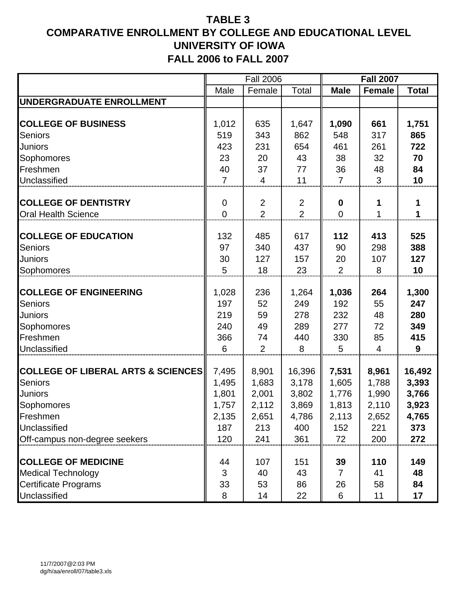|                                               |                | <b>Fall 2006</b> |                |                  | <b>Fall 2007</b> |              |
|-----------------------------------------------|----------------|------------------|----------------|------------------|------------------|--------------|
|                                               | Male           | Female           | Total          | <b>Male</b>      | <b>Female</b>    | <b>Total</b> |
| UNDERGRADUATE ENROLLMENT                      |                |                  |                |                  |                  |              |
|                                               |                |                  |                |                  |                  |              |
| <b>COLLEGE OF BUSINESS</b>                    | 1,012          | 635              | 1,647          | 1,090            | 661              | 1,751        |
| <b>Seniors</b>                                | 519            | 343              | 862            | 548              | 317              | 865          |
| <b>Juniors</b>                                | 423            | 231              | 654            | 461              | 261              | 722          |
| Sophomores                                    | 23             | 20               | 43             | 38               | 32               | 70           |
| Freshmen                                      | 40             | 37               | 77             | 36               | 48               | 84           |
| Unclassified                                  | $\overline{7}$ | 4                | 11             | $\overline{7}$   | 3                | 10           |
|                                               |                |                  |                |                  |                  |              |
| <b>COLLEGE OF DENTISTRY</b>                   | $\mathbf 0$    | $\overline{2}$   | $\overline{2}$ | $\boldsymbol{0}$ | 1                | 1            |
| <b>Oral Health Science</b>                    | $\overline{0}$ | $\overline{2}$   | $\overline{2}$ | $\overline{0}$   | 1                |              |
|                                               |                |                  |                |                  |                  |              |
| <b>COLLEGE OF EDUCATION</b>                   | 132            | 485              | 617            | 112              | 413              | 525          |
| <b>Seniors</b>                                | 97             | 340              | 437            | 90               | 298              | 388          |
| <b>Juniors</b>                                | 30             | 127              | 157            | 20               | 107              | 127          |
| Sophomores                                    | 5              | 18               | 23             | $\overline{2}$   | 8                | 10           |
|                                               |                |                  |                |                  |                  |              |
| <b>COLLEGE OF ENGINEERING</b>                 | 1,028<br>197   | 236<br>52        | 1,264<br>249   | 1,036<br>192     | 264              | 1,300<br>247 |
| <b>Seniors</b>                                | 219            | 59               | 278            | 232              | 55<br>48         | 280          |
| <b>Juniors</b>                                | 240            | 49               | 289            | 277              | 72               | 349          |
| Sophomores<br>Freshmen                        |                |                  |                |                  |                  | 415          |
|                                               | 366            | 74               | 440            | 330              | 85               |              |
| Unclassified                                  | 6              | 2                | 8              | 5                | 4                | 9            |
| <b>COLLEGE OF LIBERAL ARTS &amp; SCIENCES</b> | 7,495          | 8,901            | 16,396         | 7,531            | 8,961            | 16,492       |
| Seniors                                       | 1,495          | 1,683            | 3,178          | 1,605            | 1,788            | 3,393        |
| <b>Juniors</b>                                | 1,801          | 2,001            | 3,802          | 1,776            | 1,990            | 3,766        |
| Sophomores                                    | 1,757          | 2,112            | 3,869          | 1,813            | 2,110            | 3,923        |
| Freshmen                                      | 2,135          | 2,651            | 4,786          | 2,113            | 2,652            | 4,765        |
| Unclassified                                  | 187            | 213              | 400            | 152              | 221              | 373          |
| Off-campus non-degree seekers                 | 120            | 241              | 361            | 72               | 200              | 272          |
|                                               |                |                  |                |                  |                  |              |
| <b>COLLEGE OF MEDICINE</b>                    | 44             | 107              | 151            | 39               | 110              | 149          |
| <b>Medical Technology</b>                     | 3              | 40               | 43             | 7                | 41               | 48           |
| <b>Certificate Programs</b>                   | 33             | 53               | 86             | 26               | 58               | 84           |
| Unclassified                                  | 8              | 14               | 22             | 6                | 11               | 17           |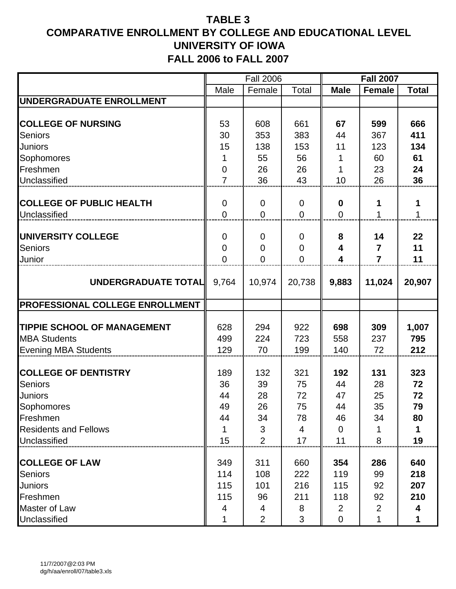| Male<br>Female<br>Total<br><b>Male</b><br><b>Female</b><br><b>Total</b><br>53<br>661<br>666<br>608<br>67<br>599<br>383<br>411<br>30<br>353<br>44<br>367<br><b>Seniors</b><br>11<br>134<br><b>Juniors</b><br>15<br>138<br>153<br>123<br>55<br>61<br>56<br>60<br>1<br>$\mathbf 0$<br>26<br>26<br>23<br>24<br>1<br>$\overline{7}$<br>36<br>10<br>26<br>36<br>43<br><b>COLLEGE OF PUBLIC HEALTH</b><br>$\mathbf 0$<br>0<br>$\mathbf 0$<br>0<br>1<br>1<br>$\overline{0}$<br>$\overline{0}$<br>$\overline{0}$<br>$\overline{0}$<br>1<br>$\mathbf{1}$<br>UNIVERSITY COLLEGE<br>8<br>22<br>0<br>14<br>$\mathbf 0$<br>$\mathbf 0$<br>11<br><b>Seniors</b><br>$\mathbf 0$<br>$\overline{7}$<br>$\boldsymbol{0}$<br>$\boldsymbol{0}$<br>4<br>$\mathbf 0$<br>$\overline{0}$<br>$\overline{0}$<br>4<br>$\overline{7}$<br>11<br>Junior<br>UNDERGRADUATE TOTAL<br>9,883<br>20,907<br>9,764<br>10,974<br>20,738<br>11,024<br>PROFESSIONAL COLLEGE ENROLLMENT<br><b>TIPPIE SCHOOL OF MANAGEMENT</b><br>628<br>922<br>698<br>309<br>1,007<br>294<br>224<br>723<br><b>MBA Students</b><br>499<br>558<br>237<br>795<br>212<br>129<br>70<br>199<br>140<br>72<br><b>Evening MBA Students</b><br>323<br>189<br>132<br>321<br>192<br>131<br><b>Seniors</b><br>36<br>39<br>44<br>72<br>75<br>28<br>72<br>28<br>72<br>47<br>25<br>44<br>Sophomores<br>26<br>75<br>44<br>35<br>49<br>79<br>34<br>78<br>46<br>34<br>80<br>44<br>3<br>$\mathbf 0$<br>4<br>1<br>1<br>19<br>15<br>$\overline{2}$<br>17<br>11<br>8<br><b>COLLEGE OF LAW</b><br>640<br>349<br>311<br>660<br>354<br>286<br>218<br><b>Seniors</b><br>108<br>222<br>119<br>114<br>99<br>101<br>216<br>115<br>92<br>207<br><b>Juniors</b><br>115<br>118<br>210<br>Freshmen<br>115<br>96<br>211<br>92<br>$\overline{2}$<br>Master of Law<br>$\overline{2}$<br>8<br>4<br>4<br>4 |                              | <b>Fall 2006</b> |   |                | <b>Fall 2007</b> |  |
|----------------------------------------------------------------------------------------------------------------------------------------------------------------------------------------------------------------------------------------------------------------------------------------------------------------------------------------------------------------------------------------------------------------------------------------------------------------------------------------------------------------------------------------------------------------------------------------------------------------------------------------------------------------------------------------------------------------------------------------------------------------------------------------------------------------------------------------------------------------------------------------------------------------------------------------------------------------------------------------------------------------------------------------------------------------------------------------------------------------------------------------------------------------------------------------------------------------------------------------------------------------------------------------------------------------------------------------------------------------------------------------------------------------------------------------------------------------------------------------------------------------------------------------------------------------------------------------------------------------------------------------------------------------------------------------------------------------------------------------------------------------------------------------------------------|------------------------------|------------------|---|----------------|------------------|--|
|                                                                                                                                                                                                                                                                                                                                                                                                                                                                                                                                                                                                                                                                                                                                                                                                                                                                                                                                                                                                                                                                                                                                                                                                                                                                                                                                                                                                                                                                                                                                                                                                                                                                                                                                                                                                          |                              |                  |   |                |                  |  |
|                                                                                                                                                                                                                                                                                                                                                                                                                                                                                                                                                                                                                                                                                                                                                                                                                                                                                                                                                                                                                                                                                                                                                                                                                                                                                                                                                                                                                                                                                                                                                                                                                                                                                                                                                                                                          | UNDERGRADUATE ENROLLMENT     |                  |   |                |                  |  |
|                                                                                                                                                                                                                                                                                                                                                                                                                                                                                                                                                                                                                                                                                                                                                                                                                                                                                                                                                                                                                                                                                                                                                                                                                                                                                                                                                                                                                                                                                                                                                                                                                                                                                                                                                                                                          |                              |                  |   |                |                  |  |
|                                                                                                                                                                                                                                                                                                                                                                                                                                                                                                                                                                                                                                                                                                                                                                                                                                                                                                                                                                                                                                                                                                                                                                                                                                                                                                                                                                                                                                                                                                                                                                                                                                                                                                                                                                                                          | <b>COLLEGE OF NURSING</b>    |                  |   |                |                  |  |
|                                                                                                                                                                                                                                                                                                                                                                                                                                                                                                                                                                                                                                                                                                                                                                                                                                                                                                                                                                                                                                                                                                                                                                                                                                                                                                                                                                                                                                                                                                                                                                                                                                                                                                                                                                                                          |                              |                  |   |                |                  |  |
|                                                                                                                                                                                                                                                                                                                                                                                                                                                                                                                                                                                                                                                                                                                                                                                                                                                                                                                                                                                                                                                                                                                                                                                                                                                                                                                                                                                                                                                                                                                                                                                                                                                                                                                                                                                                          |                              |                  |   |                |                  |  |
|                                                                                                                                                                                                                                                                                                                                                                                                                                                                                                                                                                                                                                                                                                                                                                                                                                                                                                                                                                                                                                                                                                                                                                                                                                                                                                                                                                                                                                                                                                                                                                                                                                                                                                                                                                                                          | Sophomores                   |                  |   |                |                  |  |
|                                                                                                                                                                                                                                                                                                                                                                                                                                                                                                                                                                                                                                                                                                                                                                                                                                                                                                                                                                                                                                                                                                                                                                                                                                                                                                                                                                                                                                                                                                                                                                                                                                                                                                                                                                                                          | Freshmen                     |                  |   |                |                  |  |
|                                                                                                                                                                                                                                                                                                                                                                                                                                                                                                                                                                                                                                                                                                                                                                                                                                                                                                                                                                                                                                                                                                                                                                                                                                                                                                                                                                                                                                                                                                                                                                                                                                                                                                                                                                                                          | Unclassified                 |                  |   |                |                  |  |
|                                                                                                                                                                                                                                                                                                                                                                                                                                                                                                                                                                                                                                                                                                                                                                                                                                                                                                                                                                                                                                                                                                                                                                                                                                                                                                                                                                                                                                                                                                                                                                                                                                                                                                                                                                                                          |                              |                  |   |                |                  |  |
|                                                                                                                                                                                                                                                                                                                                                                                                                                                                                                                                                                                                                                                                                                                                                                                                                                                                                                                                                                                                                                                                                                                                                                                                                                                                                                                                                                                                                                                                                                                                                                                                                                                                                                                                                                                                          | Unclassified                 |                  |   |                |                  |  |
|                                                                                                                                                                                                                                                                                                                                                                                                                                                                                                                                                                                                                                                                                                                                                                                                                                                                                                                                                                                                                                                                                                                                                                                                                                                                                                                                                                                                                                                                                                                                                                                                                                                                                                                                                                                                          |                              |                  |   |                |                  |  |
|                                                                                                                                                                                                                                                                                                                                                                                                                                                                                                                                                                                                                                                                                                                                                                                                                                                                                                                                                                                                                                                                                                                                                                                                                                                                                                                                                                                                                                                                                                                                                                                                                                                                                                                                                                                                          |                              |                  |   |                |                  |  |
|                                                                                                                                                                                                                                                                                                                                                                                                                                                                                                                                                                                                                                                                                                                                                                                                                                                                                                                                                                                                                                                                                                                                                                                                                                                                                                                                                                                                                                                                                                                                                                                                                                                                                                                                                                                                          |                              |                  |   |                |                  |  |
|                                                                                                                                                                                                                                                                                                                                                                                                                                                                                                                                                                                                                                                                                                                                                                                                                                                                                                                                                                                                                                                                                                                                                                                                                                                                                                                                                                                                                                                                                                                                                                                                                                                                                                                                                                                                          |                              |                  |   |                |                  |  |
|                                                                                                                                                                                                                                                                                                                                                                                                                                                                                                                                                                                                                                                                                                                                                                                                                                                                                                                                                                                                                                                                                                                                                                                                                                                                                                                                                                                                                                                                                                                                                                                                                                                                                                                                                                                                          |                              |                  |   |                |                  |  |
|                                                                                                                                                                                                                                                                                                                                                                                                                                                                                                                                                                                                                                                                                                                                                                                                                                                                                                                                                                                                                                                                                                                                                                                                                                                                                                                                                                                                                                                                                                                                                                                                                                                                                                                                                                                                          |                              |                  |   |                |                  |  |
|                                                                                                                                                                                                                                                                                                                                                                                                                                                                                                                                                                                                                                                                                                                                                                                                                                                                                                                                                                                                                                                                                                                                                                                                                                                                                                                                                                                                                                                                                                                                                                                                                                                                                                                                                                                                          |                              |                  |   |                |                  |  |
|                                                                                                                                                                                                                                                                                                                                                                                                                                                                                                                                                                                                                                                                                                                                                                                                                                                                                                                                                                                                                                                                                                                                                                                                                                                                                                                                                                                                                                                                                                                                                                                                                                                                                                                                                                                                          |                              |                  |   |                |                  |  |
|                                                                                                                                                                                                                                                                                                                                                                                                                                                                                                                                                                                                                                                                                                                                                                                                                                                                                                                                                                                                                                                                                                                                                                                                                                                                                                                                                                                                                                                                                                                                                                                                                                                                                                                                                                                                          |                              |                  |   |                |                  |  |
|                                                                                                                                                                                                                                                                                                                                                                                                                                                                                                                                                                                                                                                                                                                                                                                                                                                                                                                                                                                                                                                                                                                                                                                                                                                                                                                                                                                                                                                                                                                                                                                                                                                                                                                                                                                                          |                              |                  |   |                |                  |  |
|                                                                                                                                                                                                                                                                                                                                                                                                                                                                                                                                                                                                                                                                                                                                                                                                                                                                                                                                                                                                                                                                                                                                                                                                                                                                                                                                                                                                                                                                                                                                                                                                                                                                                                                                                                                                          | <b>COLLEGE OF DENTISTRY</b>  |                  |   |                |                  |  |
|                                                                                                                                                                                                                                                                                                                                                                                                                                                                                                                                                                                                                                                                                                                                                                                                                                                                                                                                                                                                                                                                                                                                                                                                                                                                                                                                                                                                                                                                                                                                                                                                                                                                                                                                                                                                          |                              |                  |   |                |                  |  |
|                                                                                                                                                                                                                                                                                                                                                                                                                                                                                                                                                                                                                                                                                                                                                                                                                                                                                                                                                                                                                                                                                                                                                                                                                                                                                                                                                                                                                                                                                                                                                                                                                                                                                                                                                                                                          | <b>Juniors</b>               |                  |   |                |                  |  |
|                                                                                                                                                                                                                                                                                                                                                                                                                                                                                                                                                                                                                                                                                                                                                                                                                                                                                                                                                                                                                                                                                                                                                                                                                                                                                                                                                                                                                                                                                                                                                                                                                                                                                                                                                                                                          |                              |                  |   |                |                  |  |
|                                                                                                                                                                                                                                                                                                                                                                                                                                                                                                                                                                                                                                                                                                                                                                                                                                                                                                                                                                                                                                                                                                                                                                                                                                                                                                                                                                                                                                                                                                                                                                                                                                                                                                                                                                                                          | Freshmen                     |                  |   |                |                  |  |
|                                                                                                                                                                                                                                                                                                                                                                                                                                                                                                                                                                                                                                                                                                                                                                                                                                                                                                                                                                                                                                                                                                                                                                                                                                                                                                                                                                                                                                                                                                                                                                                                                                                                                                                                                                                                          | <b>Residents and Fellows</b> |                  |   |                |                  |  |
|                                                                                                                                                                                                                                                                                                                                                                                                                                                                                                                                                                                                                                                                                                                                                                                                                                                                                                                                                                                                                                                                                                                                                                                                                                                                                                                                                                                                                                                                                                                                                                                                                                                                                                                                                                                                          | Unclassified                 |                  |   |                |                  |  |
|                                                                                                                                                                                                                                                                                                                                                                                                                                                                                                                                                                                                                                                                                                                                                                                                                                                                                                                                                                                                                                                                                                                                                                                                                                                                                                                                                                                                                                                                                                                                                                                                                                                                                                                                                                                                          |                              |                  |   |                |                  |  |
|                                                                                                                                                                                                                                                                                                                                                                                                                                                                                                                                                                                                                                                                                                                                                                                                                                                                                                                                                                                                                                                                                                                                                                                                                                                                                                                                                                                                                                                                                                                                                                                                                                                                                                                                                                                                          |                              |                  |   |                |                  |  |
|                                                                                                                                                                                                                                                                                                                                                                                                                                                                                                                                                                                                                                                                                                                                                                                                                                                                                                                                                                                                                                                                                                                                                                                                                                                                                                                                                                                                                                                                                                                                                                                                                                                                                                                                                                                                          |                              |                  |   |                |                  |  |
|                                                                                                                                                                                                                                                                                                                                                                                                                                                                                                                                                                                                                                                                                                                                                                                                                                                                                                                                                                                                                                                                                                                                                                                                                                                                                                                                                                                                                                                                                                                                                                                                                                                                                                                                                                                                          |                              |                  |   |                |                  |  |
|                                                                                                                                                                                                                                                                                                                                                                                                                                                                                                                                                                                                                                                                                                                                                                                                                                                                                                                                                                                                                                                                                                                                                                                                                                                                                                                                                                                                                                                                                                                                                                                                                                                                                                                                                                                                          |                              |                  |   |                |                  |  |
|                                                                                                                                                                                                                                                                                                                                                                                                                                                                                                                                                                                                                                                                                                                                                                                                                                                                                                                                                                                                                                                                                                                                                                                                                                                                                                                                                                                                                                                                                                                                                                                                                                                                                                                                                                                                          | Unclassified                 | $\overline{2}$   | 3 | $\overline{0}$ | 1                |  |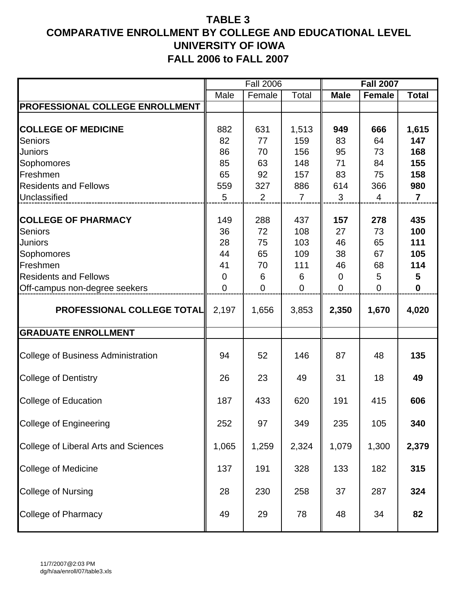|                                              |                | <b>Fall 2006</b> |                |                | <b>Fall 2007</b> |                         |
|----------------------------------------------|----------------|------------------|----------------|----------------|------------------|-------------------------|
|                                              | Male           | Female           | Total          | <b>Male</b>    | <b>Female</b>    | <b>Total</b>            |
| PROFESSIONAL COLLEGE ENROLLMENT              |                |                  |                |                |                  |                         |
| <b>COLLEGE OF MEDICINE</b><br><b>Seniors</b> | 882<br>82      | 631<br>77        | 1,513<br>159   | 949<br>83      | 666<br>64        | 1,615<br>147            |
| <b>Juniors</b>                               | 86             | 70               | 156            | 95             | 73               | 168                     |
| Sophomores                                   | 85             | 63               | 148            | 71             | 84               | 155                     |
| Freshmen                                     | 65             | 92               | 157            | 83             | 75               | 158                     |
| <b>Residents and Fellows</b>                 | 559            | 327              | 886            | 614            | 366              | 980                     |
| Unclassified                                 | 5              | $\overline{2}$   | $\overline{7}$ | 3              | 4                | $\overline{\mathbf{7}}$ |
| <b>COLLEGE OF PHARMACY</b><br><b>Seniors</b> | 149<br>36      | 288<br>72        | 437<br>108     | 157<br>27      | 278<br>73        | 435<br>100              |
| <b>Juniors</b>                               | 28             | 75               | 103            | 46             | 65               | 111                     |
| Sophomores                                   | 44             | 65               | 109            | 38             | 67               | 105                     |
| Freshmen                                     | 41             | 70               | 111            | 46             | 68               | 114                     |
| <b>Residents and Fellows</b>                 | $\overline{0}$ | 6                | 6              | $\overline{0}$ | 5                | 5                       |
| Off-campus non-degree seekers                | $\overline{0}$ | $\overline{0}$   | $\overline{0}$ | $\overline{0}$ | 0                | $\mathbf 0$             |
| <b>PROFESSIONAL COLLEGE TOTAL</b>            | 2,197          | 1,656            | 3,853          | 2,350          | 1,670            | 4,020                   |
| <b>GRADUATE ENROLLMENT</b>                   |                |                  |                |                |                  |                         |
| College of Business Administration           | 94             | 52               | 146            | 87             | 48               | 135                     |
| <b>College of Dentistry</b>                  | 26             | 23               | 49             | 31             | 18               | 49                      |
| College of Education                         | 187            | 433              | 620            | 191            | 415              | 606                     |
| <b>College of Engineering</b>                | 252            | 97               | 349            | 235            | 105              | 340                     |
| College of Liberal Arts and Sciences         | 1,065          | 1,259            | 2,324          | 1,079          | 1,300            | 2,379                   |
| <b>College of Medicine</b>                   | 137            | 191              | 328            | 133            | 182              | 315                     |
| <b>College of Nursing</b>                    | 28             | 230              | 258            | 37             | 287              | 324                     |
| College of Pharmacy                          | 49             | 29               | 78             | 48             | 34               | 82                      |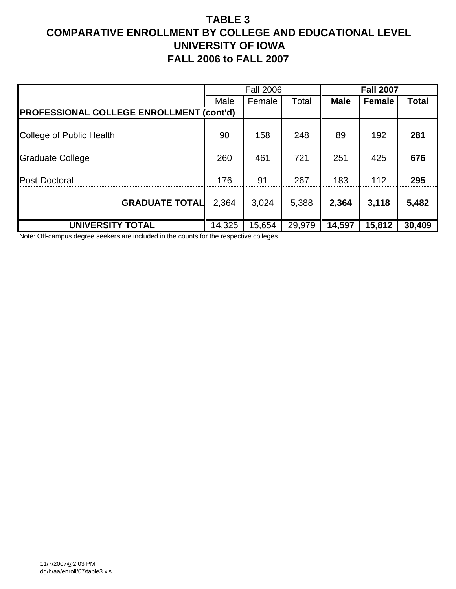|                                                 |        | <b>Fall 2006</b> |        |             | <b>Fall 2007</b> |        |
|-------------------------------------------------|--------|------------------|--------|-------------|------------------|--------|
|                                                 | Male   | Female           | Total  | <b>Male</b> | <b>Female</b>    | Total  |
| <b>PROFESSIONAL COLLEGE ENROLLMENT (cont'd)</b> |        |                  |        |             |                  |        |
| College of Public Health                        | 90     | 158              | 248    | 89          | 192              | 281    |
| <b>Graduate College</b>                         | 260    | 461              | 721    | 251         | 425              | 676    |
| Post-Doctoral                                   | 176    | 91               | 267    | 183         | 112              | 295    |
| <b>GRADUATE TOTAL</b>                           | 2,364  | 3,024            | 5,388  | 2,364       | 3,118            | 5,482  |
| <b>UNIVERSITY TOTAL</b>                         | 14,325 | 15,654           | 29,979 | 14,597      | 15,812           | 30,409 |

Note: Off-campus degree seekers are included in the counts for the respective colleges.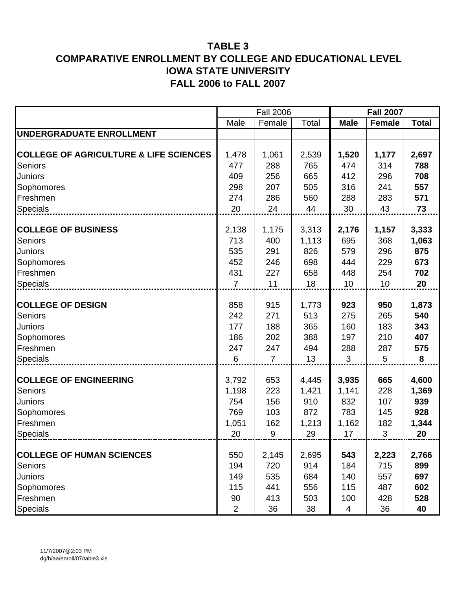|                                                   |                | <b>Fall 2006</b> |       |             | <b>Fall 2007</b> |              |
|---------------------------------------------------|----------------|------------------|-------|-------------|------------------|--------------|
|                                                   | Male           | Female           | Total | <b>Male</b> | <b>Female</b>    | <b>Total</b> |
| <b>UNDERGRADUATE ENROLLMENT</b>                   |                |                  |       |             |                  |              |
| <b>COLLEGE OF AGRICULTURE &amp; LIFE SCIENCES</b> | 1,478          | 1,061            | 2,539 | 1,520       | 1,177            | 2,697        |
| <b>Seniors</b>                                    | 477            | 288              | 765   | 474         | 314              | 788          |
| Juniors                                           | 409            | 256              | 665   | 412         | 296              | 708          |
| Sophomores                                        | 298            | 207              | 505   | 316         | 241              | 557          |
| Freshmen                                          | 274            | 286              | 560   | 288         | 283              | 571          |
| <b>Specials</b>                                   | 20             | 24               | 44    | 30          | 43               | 73           |
|                                                   |                |                  |       |             |                  |              |
| <b>COLLEGE OF BUSINESS</b>                        | 2,138          | 1,175            | 3,313 | 2,176       | 1,157            | 3,333        |
| <b>Seniors</b>                                    | 713            | 400              | 1,113 | 695         | 368              | 1,063        |
| Juniors                                           | 535            | 291              | 826   | 579         | 296              | 875          |
| Sophomores                                        | 452            | 246              | 698   | 444         | 229              | 673          |
| Freshmen                                          | 431            | 227              | 658   | 448         | 254              | 702          |
| Specials                                          | $\overline{7}$ | 11               | 18    | 10          | 10               | 20           |
|                                                   |                |                  |       |             |                  |              |
| <b>COLLEGE OF DESIGN</b>                          | 858            | 915              | 1,773 | 923         | 950              | 1,873        |
| <b>Seniors</b>                                    | 242            | 271              | 513   | 275         | 265              | 540          |
| Juniors                                           | 177            | 188              | 365   | 160         | 183              | 343          |
| Sophomores                                        | 186            | 202              | 388   | 197         | 210              | 407          |
| Freshmen                                          | 247            | 247              | 494   | 288         | 287              | 575          |
| Specials                                          | 6              | $\overline{7}$   | 13    | 3           | 5                | 8            |
| <b>COLLEGE OF ENGINEERING</b>                     | 3,792          | 653              | 4,445 | 3,935       | 665              | 4,600        |
| <b>Seniors</b>                                    | 1,198          | 223              | 1,421 | 1,141       | 228              | 1,369        |
| Juniors                                           | 754            | 156              | 910   | 832         | 107              | 939          |
| Sophomores                                        | 769            | 103              | 872   | 783         | 145              | 928          |
| Freshmen                                          | 1,051          | 162              | 1,213 | 1,162       | 182              | 1,344        |
| <b>Specials</b>                                   | 20             | 9                | 29    | 17          | 3                | 20           |
|                                                   |                |                  |       |             |                  |              |
| <b>COLLEGE OF HUMAN SCIENCES</b>                  | 550            | 2,145            | 2,695 | 543         | 2,223            | 2,766        |
| Seniors                                           | 194            | 720              | 914   | 184         | 715              | 899          |
| Juniors                                           | 149            | 535              | 684   | 140         | 557              | 697          |
| Sophomores                                        | 115            | 441              | 556   | 115         | 487              | 602          |
| Freshmen                                          | 90             | 413              | 503   | 100         | 428              | 528          |
| Specials                                          | $\overline{2}$ | 36               | 38    | 4           | 36               | 40           |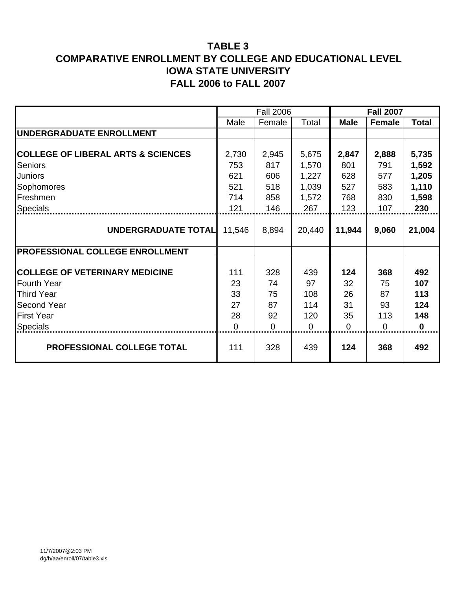|                                               |          | <b>Fall 2006</b> |        |             | <b>Fall 2007</b> |              |
|-----------------------------------------------|----------|------------------|--------|-------------|------------------|--------------|
|                                               | Male     | Female           | Total  | <b>Male</b> | Female           | <b>Total</b> |
| <b>UNDERGRADUATE ENROLLMENT</b>               |          |                  |        |             |                  |              |
|                                               |          |                  |        |             |                  |              |
| <b>COLLEGE OF LIBERAL ARTS &amp; SCIENCES</b> | 2,730    | 2,945            | 5,675  | 2,847       | 2,888            | 5,735        |
| Seniors                                       | 753      | 817              | 1,570  | 801         | 791              | 1,592        |
| <b>Juniors</b>                                | 621      | 606              | 1,227  | 628         | 577              | 1,205        |
| Sophomores                                    | 521      | 518              | 1,039  | 527         | 583              | 1,110        |
| Freshmen                                      | 714      | 858              | 1,572  | 768         | 830              | 1,598        |
| <b>Specials</b>                               | 121      | 146              | 267    | 123         | 107              | 230          |
|                                               |          |                  |        |             |                  |              |
| UNDERGRADUATE TOTAL                           | 11,546   | 8,894            | 20,440 | 11,944      | 9,060            | 21,004       |
|                                               |          |                  |        |             |                  |              |
| <b>PROFESSIONAL COLLEGE ENROLLMENT</b>        |          |                  |        |             |                  |              |
|                                               |          |                  |        |             |                  |              |
| <b>COLLEGE OF VETERINARY MEDICINE</b>         | 111      | 328              | 439    | 124         | 368              | 492          |
| <b>Fourth Year</b>                            | 23       | 74               | 97     | 32          | 75               | 107          |
| <b>Third Year</b>                             | 33       | 75               | 108    | 26          | 87               | 113          |
| <b>Second Year</b>                            | 27       | 87               | 114    | 31          | 93               | 124          |
| <b>First Year</b>                             | 28       | 92               | 120    | 35          | 113              | 148          |
| Specials                                      | $\Omega$ | $\overline{0}$   | 0      | 0           | $\Omega$         | $\bf{0}$     |
| PROFESSIONAL COLLEGE TOTAL                    | 111      | 328              | 439    | 124         | 368              | 492          |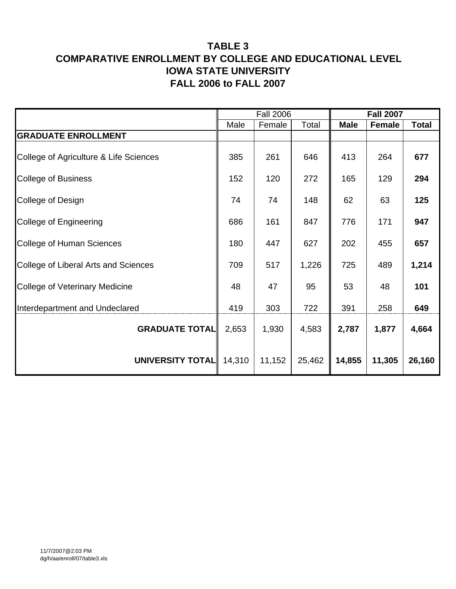|                                        |        | <b>Fall 2006</b> |        |             | <b>Fall 2007</b> |              |
|----------------------------------------|--------|------------------|--------|-------------|------------------|--------------|
|                                        | Male   | Female           | Total  | <b>Male</b> | <b>Female</b>    | <b>Total</b> |
| <b>GRADUATE ENROLLMENT</b>             |        |                  |        |             |                  |              |
| College of Agriculture & Life Sciences | 385    | 261              | 646    | 413         | 264              | 677          |
| <b>College of Business</b>             | 152    | 120              | 272    | 165         | 129              | 294          |
| College of Design                      | 74     | 74               | 148    | 62          | 63               | 125          |
| College of Engineering                 | 686    | 161              | 847    | 776         | 171              | 947          |
| <b>College of Human Sciences</b>       | 180    | 447              | 627    | 202         | 455              | 657          |
| College of Liberal Arts and Sciences   | 709    | 517              | 1,226  | 725         | 489              | 1,214        |
| <b>College of Veterinary Medicine</b>  | 48     | 47               | 95     | 53          | 48               | 101          |
| Interdepartment and Undeclared         | 419    | 303              | 722    | 391         | 258              | 649          |
| <b>GRADUATE TOTAL</b>                  | 2,653  | 1,930            | 4,583  | 2,787       | 1,877            | 4,664        |
| UNIVERSITY TOTAL                       | 14,310 | 11,152           | 25,462 | 14,855      | 11,305           | 26,160       |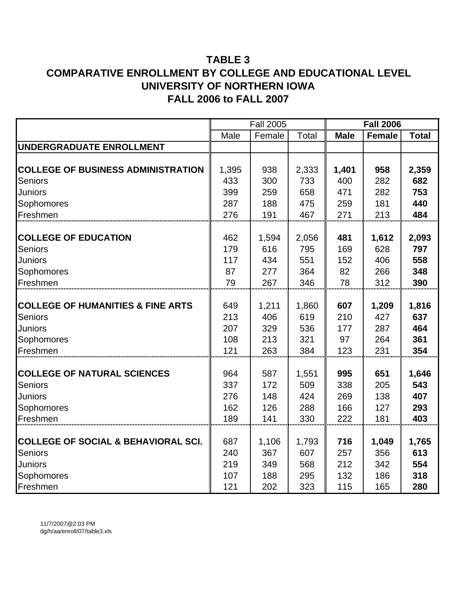|                                                |       | <b>Fall 2005</b> |              |             | <b>Fall 2006</b> |              |
|------------------------------------------------|-------|------------------|--------------|-------------|------------------|--------------|
|                                                | Male  | Female           | <b>Total</b> | <b>Male</b> | <b>Female</b>    | <b>Total</b> |
| UNDERGRADUATE ENROLLMENT                       |       |                  |              |             |                  |              |
|                                                |       |                  |              |             |                  |              |
| <b>COLLEGE OF BUSINESS ADMINISTRATION</b>      | 1,395 | 938              | 2,333        | 1,401       | 958              | 2,359        |
| Seniors                                        | 433   | 300              | 733          | 400         | 282              | 682          |
| Juniors                                        | 399   | 259              | 658          | 471         | 282              | 753          |
| Sophomores                                     | 287   | 188              | 475          | 259         | 181              | 440          |
| Freshmen                                       | 276   | 191              | 467          | 271         | 213              | 484          |
|                                                |       |                  |              |             |                  |              |
| <b>COLLEGE OF EDUCATION</b>                    | 462   | 1,594            | 2,056        | 481         | 1,612            | 2,093        |
| <b>Seniors</b>                                 | 179   | 616              | 795          | 169         | 628              | 797          |
| Juniors                                        | 117   | 434              | 551          | 152         | 406              | 558          |
| Sophomores                                     | 87    | 277              | 364          | 82          | 266              | 348          |
| Freshmen                                       | 79    | 267              | 346          | 78          | 312              | 390          |
|                                                |       |                  |              |             |                  |              |
| <b>COLLEGE OF HUMANITIES &amp; FINE ARTS</b>   | 649   | 1,211            | 1,860        | 607         | 1,209            | 1,816        |
| <b>Seniors</b>                                 | 213   | 406              | 619          | 210         | 427              | 637          |
| Juniors                                        | 207   | 329              | 536          | 177         | 287              | 464          |
| Sophomores                                     | 108   | 213              | 321          | 97          | 264              | 361          |
| Freshmen                                       | 121   | 263              | 384          | 123         | 231              | 354          |
|                                                |       |                  |              |             |                  |              |
| <b>COLLEGE OF NATURAL SCIENCES</b>             | 964   | 587              | 1,551        | 995         | 651              | 1,646        |
| <b>Seniors</b>                                 | 337   | 172              | 509          | 338         | 205              | 543          |
| Juniors                                        | 276   | 148              | 424          | 269         | 138              | 407          |
| Sophomores                                     | 162   | 126              | 288          | 166         | 127              | 293          |
| Freshmen                                       | 189   | 141              | 330          | 222         | 181              | 403          |
|                                                |       |                  |              |             |                  |              |
| <b>COLLEGE OF SOCIAL &amp; BEHAVIORAL SCI.</b> | 687   | 1,106            | 1,793        | 716         | 1,049            | 1,765        |
| <b>Seniors</b>                                 | 240   | 367              | 607          | 257         | 356              | 613          |
| Juniors                                        | 219   | 349              | 568          | 212         | 342              | 554          |
| Sophomores                                     | 107   | 188              | 295          | 132         | 186              | 318          |
| Freshmen                                       | 121   | 202              | 323          | 115         | 165              | 280          |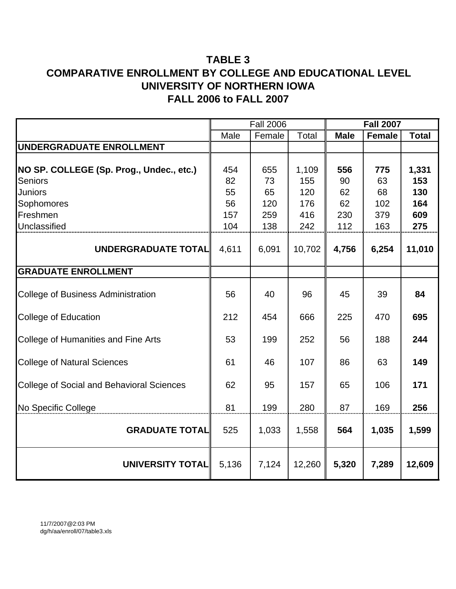|                                                  |       | <b>Fall 2006</b> |              |             | <b>Fall 2007</b> |              |
|--------------------------------------------------|-------|------------------|--------------|-------------|------------------|--------------|
|                                                  | Male  | Female           | <b>Total</b> | <b>Male</b> | <b>Female</b>    | <b>Total</b> |
| UNDERGRADUATE ENROLLMENT                         |       |                  |              |             |                  |              |
| NO SP. COLLEGE (Sp. Prog., Undec., etc.)         | 454   | 655              | 1,109        | 556         | 775              | 1,331        |
| <b>Seniors</b>                                   | 82    | 73               | 155          | 90          | 63               | 153          |
| <b>Juniors</b>                                   | 55    | 65               | 120          | 62          | 68               | 130          |
| Sophomores                                       | 56    | 120              | 176          | 62          | 102              | 164          |
| Freshmen                                         | 157   | 259              | 416          | 230         | 379              | 609          |
| Unclassified                                     | 104   | 138              | 242          | 112         | 163              | 275          |
| UNDERGRADUATE TOTAL                              | 4,611 | 6,091            | 10,702       | 4,756       | 6,254            | 11,010       |
| <b>GRADUATE ENROLLMENT</b>                       |       |                  |              |             |                  |              |
| <b>College of Business Administration</b>        | 56    | 40               | 96           | 45          | 39               | 84           |
| <b>College of Education</b>                      | 212   | 454              | 666          | 225         | 470              | 695          |
| College of Humanities and Fine Arts              | 53    | 199              | 252          | 56          | 188              | 244          |
| <b>College of Natural Sciences</b>               | 61    | 46               | 107          | 86          | 63               | 149          |
| <b>College of Social and Behavioral Sciences</b> | 62    | 95               | 157          | 65          | 106              | 171          |
| No Specific College                              | 81    | 199              | 280          | 87          | 169              | 256          |
| <b>GRADUATE TOTAL</b>                            | 525   | 1,033            | 1,558        | 564         | 1,035            | 1,599        |
| <b>UNIVERSITY TOTAL</b>                          | 5,136 | 7,124            | 12,260       | 5,320       | 7,289            | 12,609       |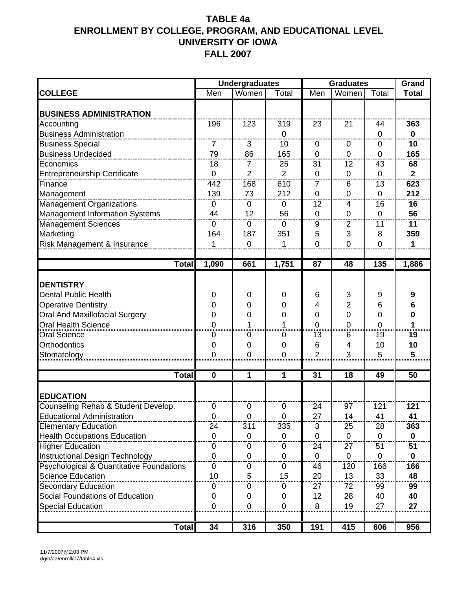|                                                     |                | <b>Undergraduates</b> |                | <b>Graduates</b> |                 |                | Grand            |
|-----------------------------------------------------|----------------|-----------------------|----------------|------------------|-----------------|----------------|------------------|
| <b>COLLEGE</b>                                      | Men            | Women                 | Total          | Men              | Women           | Total          | <b>Total</b>     |
|                                                     |                |                       |                |                  |                 |                |                  |
| <b>BUSINESS ADMINISTRATION</b>                      |                |                       |                |                  |                 |                |                  |
| Accounting                                          | 196            | 123                   | 319            | 23               | $\overline{21}$ | 44             | 363              |
| <b>Business Administration</b>                      |                |                       | $\Omega$       |                  |                 | 0              | $\mathbf 0$      |
| <b>Business Special</b>                             | 7              | 3                     | 10             | 0                | $\mathbf 0$     | 0              | 10               |
| <b>Business Undecided</b>                           | 79             | 86                    | 165            | $\overline{0}$   | $\mathbf 0$     | $\overline{0}$ | 165              |
| Economics                                           | 18             | 7                     | 25             | 31               | 12              | 43             | 68               |
| <b>Entrepreneurship Certificate</b>                 | $\mathbf 0$    | 2                     | $\overline{2}$ | $\mathbf 0$      | 0               | 0              | $\overline{2}$   |
| Finance                                             | 442            | 168                   | 610            | 7                | 6               | 13             | 623              |
| Management                                          | 139            | 73                    | 212            | $\mathbf 0$      | $\overline{0}$  | $\mathbf 0$    | 212              |
| <b>Management Organizations</b>                     | $\mathbf 0$    | $\boldsymbol{0}$      | $\mathbf 0$    | 12               | $\overline{4}$  | 16             | 16               |
| Management Information Systems                      | 44             | 12                    | 56             | $\overline{0}$   | $\mathbf 0$     | 0              | 56               |
| <b>Management Sciences</b>                          | $\Omega$       | 0                     | $\mathbf{0}$   | 9                | 2               | 11             | 11               |
| Marketing                                           | 164            | 187                   | 351            | 5                | 3               | 8              | 359              |
| Risk Management & Insurance                         | 1              | $\mathbf 0$           | 1              | 0                | $\overline{0}$  | $\overline{0}$ | $\mathbf{1}$     |
|                                                     |                |                       |                |                  |                 |                |                  |
| <b>Total</b>                                        | 1,090          | 661                   | 1,751          | 87               | 48              | 135            | 1,886            |
|                                                     |                |                       |                |                  |                 |                |                  |
| <b>DENTISTRY</b>                                    |                |                       |                |                  |                 |                |                  |
| <b>Dental Public Health</b>                         | $\mathbf 0$    | $\mathbf 0$           | $\mathbf 0$    | 6                | 3               | 9              | $\boldsymbol{9}$ |
| <b>Operative Dentistry</b>                          | $\mathbf 0$    | $\mathbf 0$           | $\mathbf 0$    | 4                | $\overline{2}$  | 6              | $6\phantom{1}$   |
| <b>Oral And Maxillofacial Surgery</b>               | $\mathbf 0$    | $\boldsymbol{0}$      | $\mathbf 0$    | 0                | $\mathbf 0$     | 0              | $\bf{0}$         |
| <b>Oral Health Science</b>                          | $\overline{0}$ | 1                     | 1              | 0                | $\mathbf 0$     | $\overline{0}$ | 1                |
| <b>Oral Science</b>                                 | 0              | 0                     | 0              | 13               | 6               | 19             | 19               |
| Orthodontics                                        | $\mathbf 0$    | 0                     | 0              | 6                | $\overline{4}$  | 10             | 10               |
| Stomatology                                         | 0              | 0                     | $\mathbf 0$    | $\overline{2}$   | 3               | 5              | 5                |
|                                                     |                |                       |                |                  |                 |                |                  |
| <b>Total</b>                                        | $\mathbf 0$    | 1                     | 1              | 31               | 18              | 49             | 50               |
| <b>EDUCATION</b>                                    |                |                       |                |                  |                 |                |                  |
| Counseling Rehab & Student Develop.                 | $\overline{0}$ | 0                     | $\mathbf 0$    | 24               | 97              | 121            | 121              |
| <b>Educational Administration</b>                   | 0              | 0                     | $\mathbf 0$    | 27               | 14              | 41             | 41               |
| <b>Elementary Education</b>                         | 24             | 311                   | 335            | 3                | 25              | 28             | 363              |
| <b>Health Occupations Education</b>                 | $\mathbf 0$    | 0                     | $\mathbf{0}$   | $\overline{0}$   | $\mathbf 0$     | $\Omega$       | $\mathbf{0}$     |
| <b>Higher Education</b>                             | 0              | 0                     | 0              | 24               | 27              | 51             | 51               |
| Instructional Design Technology                     | $\mathbf 0$    | $\mathbf 0$           | 0              | $\mathbf 0$      | $\mathbf 0$     | 0              | $\mathbf 0$      |
| <b>Psychological &amp; Quantitative Foundations</b> | 0              | 0                     | 0              | 46               | 120             | 166            | 166              |
| <b>Science Education</b>                            | 10             | 5                     | 15             | 20               | 13              | 33             | 48               |
| <b>Secondary Education</b>                          | 0              | 0                     | U              | 27               | 72              | 99             | 99               |
| Social Foundations of Education                     | 0              | 0                     | 0              | 12               | 28              | 40             | 40               |
| <b>Special Education</b>                            | 0              | 0                     | $\Omega$       | 8                | 19              | 27             | 27               |
|                                                     |                |                       |                |                  |                 |                |                  |
| <b>Total</b>                                        | 34             | 316                   | 350            | 191              | 415             | 606            | 956              |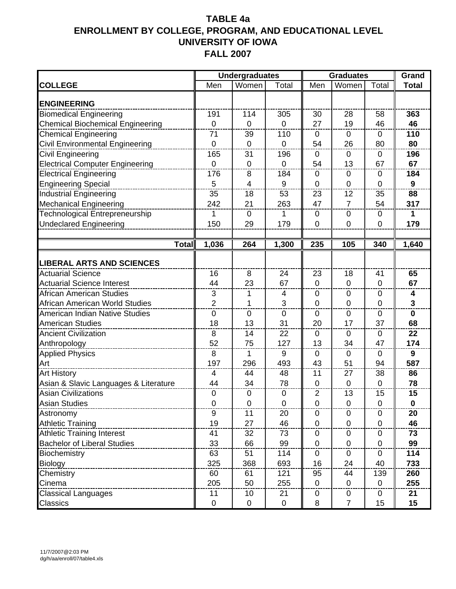|                                         |                | <b>Undergraduates</b>   |             | <b>Graduates</b> |                |                  | Grand          |
|-----------------------------------------|----------------|-------------------------|-------------|------------------|----------------|------------------|----------------|
| <b>COLLEGE</b>                          | Men            | Women                   | Total       | Men              | Women          | Total            | <b>Total</b>   |
| <b>ENGINEERING</b>                      |                |                         |             |                  |                |                  |                |
| <b>Biomedical Engineering</b>           | 191            | 114                     | 305         | 30               | 28             | 58               | 363            |
| <b>Chemical Biochemical Engineering</b> | $\overline{0}$ | $\overline{0}$          | $\mathbf 0$ | 27               | 19             | 46               | 46             |
| <b>Chemical Engineering</b>             | 71             | 39                      | 110         | $\mathbf 0$      | 0              | $\mathbf 0$      | 110            |
| Civil Environmental Engineering         | $\mathbf 0$    | $\mathbf 0$             | $\Omega$    | 54               | 26             | 80               | 80             |
| <b>Civil Engineering</b>                | 165            | 31                      | 196         | $\mathbf 0$      | $\Omega$       | 0                | 196            |
| <b>Electrical Computer Engineering</b>  | $\overline{0}$ | $\overline{0}$          | $\mathbf 0$ | 54               | 13             | 67               | 67             |
| <b>Electrical Engineering</b>           | 176            | 8                       | 184         | $\mathbf 0$      | $\mathbf 0$    | $\boldsymbol{0}$ | 184            |
| <b>Engineering Special</b>              | 5              | $\overline{\mathbf{4}}$ | 9           | $\mathbf 0$      | 0              | 0                | 9              |
| <b>Industrial Engineering</b>           | 35             | 18                      | 53          | 23               | 12             | 35               | 88             |
| <b>Mechanical Engineering</b>           | 242            | 21                      | 263         | 47               | $\overline{7}$ | 54               | 317            |
| Technological Entrepreneurship          | 1              | 0                       | 1           | 0                | 0              | 0                | 1              |
| <b>Undeclared Engineering</b>           | 150            | 29                      | 179         | 0                | 0              | 0                | 179            |
|                                         |                |                         |             |                  |                |                  |                |
| <b>Total</b>                            | 1,036          | 264                     | 1,300       | 235              | 105            | 340              | 1,640          |
| <b>LIBERAL ARTS AND SCIENCES</b>        |                |                         |             |                  |                |                  |                |
| <b>Actuarial Science</b>                | 16             | 8                       | 24          | 23               | 18             | 41               | 65             |
| <b>Actuarial Science Interest</b>       | 44             | 23                      | 67          | $\mathbf 0$      | 0              | $\mathbf 0$      | 67             |
| African American Studies                | 3              | 1                       | 4           | $\mathbf 0$      | $\mathbf 0$    | $\mathbf 0$      | 4              |
| African American World Studies          | $\overline{2}$ | 1                       | 3           | $\overline{0}$   | $\overline{0}$ | 0                | $\overline{3}$ |
| American Indian Native Studies          | $\overline{0}$ | $\mathbf 0$             | $\mathbf 0$ | $\Omega$         | $\mathbf 0$    | $\mathbf 0$      | $\mathbf 0$    |
| <b>American Studies</b>                 | 18             | 13                      | 31          | 20               | 17             | 37               | 68             |
| <b>Ancient Civilization</b>             | 8              | 14                      | 22          | $\mathbf 0$      | 0              | 0                | 22             |
| Anthropology                            | 52             | 75                      | 127         | 13               | 34             | 47               | 174            |
| <b>Applied Physics</b>                  | 8              | 1                       | 9           | $\Omega$         | $\mathbf 0$    | 0                | 9              |
| Art                                     | 197            | 296                     | 493         | 43               | 51             | 94               | 587            |
| <b>Art History</b>                      | 4              | 44                      | 48          | 11               | 27             | 38               | 86             |
| Asian & Slavic Languages & Literature   | 44             | 34                      | 78          | $\mathbf{0}$     | $\mathbf 0$    | 0                | 78             |
| <b>Asian Civilizations</b>              | $\mathbf 0$    | 0                       | 0           | $\overline{2}$   | 13             | 15               | 15             |
| <b>Asian Studies</b>                    | 0              | 0                       | U           | 0                | O              | $\theta$         | U              |
| Astronomy                               | 9              | 11                      | 20          | 0                | $\Omega$       | 0                | 20             |
| <b>Athletic Training</b>                | 19             | 27                      | 46          | $\mathbf{0}$     | $\overline{0}$ | $\overline{0}$   | 46             |
| <b>Athletic Training Interest</b>       | 41             | 32                      | 73          | $\mathbf 0$      | 0              | $\mathbf 0$      | 73             |
| <b>Bachelor of Liberal Studies</b>      | 33             | 66                      | 99          | $\mathbf 0$      | 0              | 0                | 99             |
| Biochemistry                            | 63             | 51                      | 114         | $\mathbf 0$      | $\mathbf 0$    | 0                | 114            |
| Biology                                 | 325            | 368                     | 693         | 16               | 24             | 40               | 733            |
| Chemistry                               | 60             | 61                      | 121         | 95               | 44             | 139              | 260            |
| Cinema                                  | 205            | 50                      | 255         | $\mathbf 0$      | 0              | $\mathbf 0$      | 255            |
| <b>Classical Languages</b>              | 11             | 10                      | 21          | 0                | 0              | 0                | 21             |
| Classics                                | $\mathbf 0$    | 0                       | $\mathbf 0$ | 8                | $\overline{7}$ | 15               | 15             |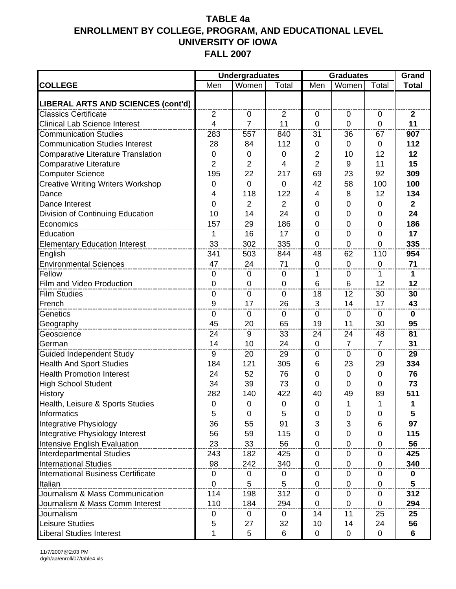|                                           |                | <b>Undergraduates</b> |                |                   | <b>Graduates</b>     |                      | Grand           |
|-------------------------------------------|----------------|-----------------------|----------------|-------------------|----------------------|----------------------|-----------------|
| <b>COLLEGE</b>                            | Men            | Women                 | Total          | Men               | Women                | Total                | <b>Total</b>    |
| LIBERAL ARTS AND SCIENCES (cont'd)        |                |                       |                |                   |                      |                      |                 |
| <b>Classics Certificate</b>               | $\overline{2}$ | 0                     | $\overline{2}$ | 0                 | $\Omega$             | 0                    | $\mathbf{2}$    |
| <b>Clinical Lab Science Interest</b>      | 4              | $\overline{7}$        | 11             | $\mathbf 0$       | $\overline{0}$       | 0                    | 11              |
| <b>Communication Studies</b>              | 283            | 557                   | 840            | 31                | 36                   | 67                   | 907             |
| <b>Communication Studies Interest</b>     | 28             | 84                    | 112            | $\mathbf 0$       | $\mathbf 0$          | 0                    | 112             |
| <b>Comparative Literature Translation</b> | 0              | 0                     | 0              | $\overline{2}$    | 10                   | 12                   | 12              |
| <b>Comparative Literature</b>             | $\overline{2}$ | $\overline{2}$        | $\overline{4}$ | $\overline{2}$    | 9                    | 11                   | 15              |
| <b>Computer Science</b>                   | 195            | 22                    | 217            | 69                | 23                   | 92                   | 309             |
| <b>Creative Writing Writers Workshop</b>  | $\mathbf 0$    | $\overline{0}$        | 0              | 42                | 58                   | 100                  | 100             |
| Dance                                     | 4              | 118                   | 122            | 4                 | 8                    | 12                   | 134             |
| Dance Interest                            | $\mathbf 0$    | $\overline{2}$        | $\overline{2}$ | $\mathbf 0$       | $\mathbf 0$          | 0                    | $\mathbf{2}$    |
| Division of Continuing Education          | 10             | 14                    | 24             | $\mathbf 0$       | $\mathbf 0$          | 0                    | 24              |
| Economics                                 | 157            | 29                    | 186            | $\mathbf{0}$      | $\mathbf 0$          | 0                    | 186             |
| Education                                 | 1              | 16                    | 17             | $\mathbf 0$       | $\Omega$             | 0                    | 17              |
| <b>Elementary Education Interest</b>      | 33             | 302                   | 335            | $\mathbf 0$       | $\mathbf 0$          | 0                    | 335             |
| English                                   | 341            | 503                   | 844            | 48                | 62                   | 110                  | 954             |
| <b>Environmental Sciences</b>             | 47             | 24                    | 71             | $\mathbf 0$       | $\mathbf 0$          | 0                    | 71              |
| Fellow                                    | $\mathbf 0$    | 0                     | 0              | 1                 | $\mathbf 0$          | 1                    | $\mathbf 1$     |
| Film and Video Production                 | $\pmb{0}$      | $\pmb{0}$             | $\mathbf 0$    | $6\phantom{1}6$   | 6                    | 12                   | 12              |
| <b>Film Studies</b>                       | $\mathbf 0$    | $\mathbf 0$           | $\mathbf 0$    | 18                | 12                   | 30                   | 30              |
| French                                    | 9              | 17                    | 26             | 3                 | 14                   | 17                   | 43              |
|                                           | $\mathbf 0$    | 0                     | $\mathbf 0$    | $\mathbf 0$       | $\mathbf 0$          | 0                    | $\mathbf 0$     |
| Genetics                                  |                |                       |                |                   | 11                   | 30                   | 95              |
| Geography                                 | 45             | 20                    | 65             | 19                |                      |                      |                 |
| Geoscience                                | 24             | 9                     | 33             | 24<br>$\mathbf 0$ | 24<br>$\overline{7}$ | 48<br>$\overline{7}$ | 81              |
| German                                    | 14             | 10                    | 24             |                   |                      |                      | 31              |
| <b>Guided Independent Study</b>           | 9              | 20                    | 29             | $\mathbf 0$       | 0                    | 0                    | 29              |
| <b>Health And Sport Studies</b>           | 184            | 121                   | 305            | 6                 | 23                   | 29                   | 334             |
| <b>Health Promotion Interest</b>          | 24             | 52                    | 76             | $\mathbf 0$       | $\mathbf 0$          | 0                    | 76              |
| <b>High School Student</b>                | 34             | 39                    | 73             | $\mathbf 0$       | $\Omega$             | 0                    | 73              |
| <b>History</b>                            | 282            | 140                   | 422            | 40                | 49                   | 89                   | 511             |
| Health, Leisure & Sports Studies          | $\theta$       | 0                     | U              | U                 | 1                    | 1                    | 1               |
| Informatics                               | 5              | $\mathbf 0$           | 5              | $\mathbf 0$       | 0                    | 0                    | 5               |
| Integrative Physiology                    | 36             | 55                    | 91             | 3                 | 3                    | 6                    | 97              |
| Integrative Physiology Interest           | 56             | 59                    | 115            | $\mathbf 0$       | 0                    | 0                    | 115             |
| Intensive English Evaluation              | 23             | 33                    | 56             | 0                 | 0                    | 0                    | 56              |
| Interdepartmental Studies                 | 243            | 182                   | 425            | 0                 | 0                    | 0                    | 425             |
| <b>International Studies</b>              | 98             | 242                   | 340            | $\mathbf 0$       | $\mathbf 0$          | 0                    | 340             |
| International Business Certificate        | $\mathbf 0$    | 0                     | 0              | $\mathbf 0$       | 0                    | $\mathbf 0$          | $\bf{0}$        |
| Italian                                   | $\mathbf 0$    | 5                     | 5              | $\mathbf 0$       | 0                    | 0                    | $5\phantom{.0}$ |
| Journalism & Mass Communication           | 114            | 198                   | 312            | 0                 | 0                    | 0                    | 312             |
| Journalism & Mass Comm Interest           | 110            | 184                   | 294            | $\mathbf 0$       | $\mathbf 0$          | 0                    | 294             |
| Journalism                                | 0              | 0                     | $\mathbf 0$    | 14                | 11                   | 25                   | 25              |
| Leisure Studies                           | 5              | 27                    | 32             | 10                | 14                   | 24                   | 56              |
| <b>Liberal Studies Interest</b>           | 1              | 5                     | 6              | $\mathbf 0$       | $\mathbf 0$          | 0                    | 6               |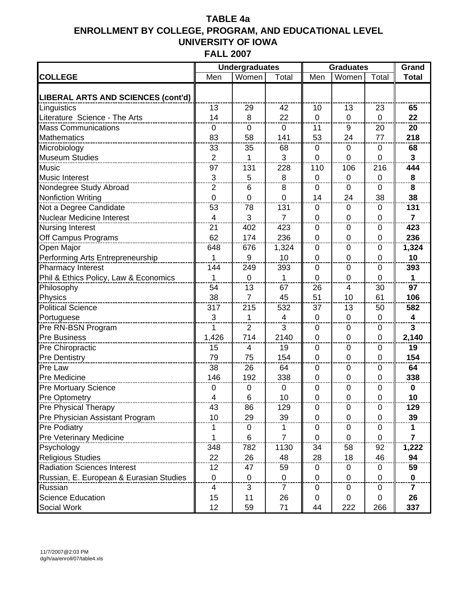|                                         |                | <b>Undergraduates</b> |                | <b>Graduates</b> |                |                | Grand                   |
|-----------------------------------------|----------------|-----------------------|----------------|------------------|----------------|----------------|-------------------------|
| <b>COLLEGE</b>                          | Men            | Women                 | Total          | Men              | Women          | Total          | <b>Total</b>            |
| LIBERAL ARTS AND SCIENCES (cont'd)      |                |                       |                |                  |                |                |                         |
| Linguistics                             | 13             | 29                    | 42             | 10               | 13             | 23             | 65                      |
| Literature Science - The Arts           | 14             | 8                     | 22             | $\mathbf 0$      | $\mathbf 0$    | $\overline{0}$ | 22                      |
| <b>Mass Communications</b>              | $\mathbf 0$    | 0                     | $\overline{0}$ | 11               | 9              | 20             | 20                      |
| <b>Mathematics</b>                      | 83             | 58                    | 141            | 53               | 24             | 77             | 218                     |
| Microbiology                            | 33             | 35                    | 68             | $\mathbf 0$      | $\mathbf 0$    | 0              | 68                      |
| <b>Museum Studies</b>                   | $\overline{2}$ | 1                     | 3              | $\mathbf 0$      | $\mathbf 0$    | $\mathbf 0$    | $\overline{3}$          |
| Music                                   | 97             | 131                   | 228            | 110              | 106            | 216            | 444                     |
| <b>Music Interest</b>                   | 3              | 5                     | 8              | $\mathbf 0$      | $\mathbf 0$    | $\overline{0}$ | 8                       |
| Nondegree Study Abroad                  | $\overline{2}$ | 6                     | 8              | 0                | $\mathbf 0$    | 0              | 8                       |
| <b>Nonfiction Writing</b>               | $\overline{0}$ | 0                     | $\overline{0}$ | 14               | 24             | 38             | 38                      |
| Not a Degree Candidate                  | 53             | 78                    | 131            | $\mathbf 0$      | $\mathbf{0}$   | 0              | 131                     |
| <b>Nuclear Medicine Interest</b>        | $\overline{4}$ | 3                     | $\overline{7}$ | $\mathbf 0$      | $\mathbf 0$    | 0              | $\overline{7}$          |
| <b>Nursing Interest</b>                 | 21             | 402                   | 423            | $\mathbf 0$      | $\mathbf 0$    | 0              | 423                     |
| Off Campus Programs                     | 62             | 174                   | 236            | $\mathbf 0$      | $\mathbf 0$    | $\mathbf 0$    | 236                     |
| Open Major                              | 648            | 676                   | 1,324          | $\mathbf 0$      | $\mathbf 0$    | 0              | 1,324                   |
| Performing Arts Entrepreneurship        | 1              | 9                     | 10             | $\mathbf 0$      | $\mathbf 0$    | 0              | 10                      |
| Pharmacy Interest                       | 144            | 249                   | 393            | $\mathbf 0$      | $\mathbf 0$    | 0              | 393                     |
| Phil & Ethics Policy, Law & Economics   | 1              | $\overline{0}$        | 1              | $\Omega$         | $\mathbf 0$    | $\Omega$       | $\mathbf{1}$            |
| Philosophy                              | 54             | 13                    | 67             | 26               | 4              | 30             | 97                      |
| Physics                                 | 38             | $\overline{7}$        | 45             | 51               | 10             | 61             | 106                     |
| <b>Political Science</b>                | 317            | 215                   | 532            | 37               | 13             | 50             | 582                     |
| Portuguese                              | 3              | 1                     | $\overline{4}$ | $\mathbf 0$      | $\mathbf 0$    | $\mathbf 0$    | $\overline{\mathbf{4}}$ |
| Pre RN-BSN Program                      | 1              | $\overline{2}$        | 3              | 0                | 0              | 0              | $\mathbf{3}$            |
| <b>Pre Business</b>                     | 1,426          | 714                   | 2140           | $\mathbf 0$      | $\mathbf 0$    | 0              | 2,140                   |
| Pre Chiropractic                        | 15             | 4                     | 19             | 0                | 0              | 0              | 19                      |
| <b>Pre Dentistry</b>                    | 79             | 75                    | 154            | $\overline{0}$   | $\overline{0}$ | $\Omega$       | 154                     |
| Pre Law                                 | 38             | 26                    | 64             | $\mathbf 0$      | $\mathbf 0$    | 0              | 64                      |
| Pre Medicine                            | 146            | 192                   | 338            | $\mathbf 0$      | $\mathbf 0$    | $\mathbf 0$    | 338                     |
| Pre Mortuary Science                    | $\mathbf 0$    | 0                     | $\mathbf 0$    | 0                | $\mathbf 0$    | 0              | $\mathbf 0$             |
| Pre Optometry                           | 4              | 6                     | 10             | $\mathbf 0$      | $\mathbf 0$    | $\mathbf 0$    | 10                      |
| Pre Physical Therapy                    | 43             | 86                    | 129            | 0                | 0              | 0              | 129                     |
| Pre Physician Assistant Program         | 10             | 29                    | 39             | $\mathbf 0$      | 0              | 0              | 39                      |
| <b>Pre Podiatry</b>                     |                | 0                     |                | 0                | 0              | 0              | 1                       |
| <b>Pre Veterinary Medicine</b>          | 1              | 6                     | $\overline{7}$ | 0                | $\mathbf 0$    | 0              | $\overline{7}$          |
| Psychology                              | 348            | 782                   | 1130           | 34               | 58             | 92             | 1,222                   |
| <b>Religious Studies</b>                | 22             | 26                    | 48             | 28               | 18             | 46             | 94                      |
| <b>Radiation Sciences Interest</b>      | 12             | 47                    | 59             | 0                | 0              | 0              | 59                      |
| Russian, E. European & Eurasian Studies | $\mathbf 0$    | $\mathbf 0$           | $\mathbf 0$    | $\mathbf 0$      | $\overline{0}$ | 0              | $\mathbf{0}$            |
| Russian                                 | $\overline{4}$ | 3                     | $\overline{7}$ | $\pmb{0}$        | $\mathbf 0$    | 0              | $\overline{\mathbf{r}}$ |
| <b>Science Education</b>                | 15             | 11                    | 26             | 0                | 0              | 0              | 26                      |
| Social Work                             | 12             | 59                    | 71             | 44               | 222            | 266            | 337                     |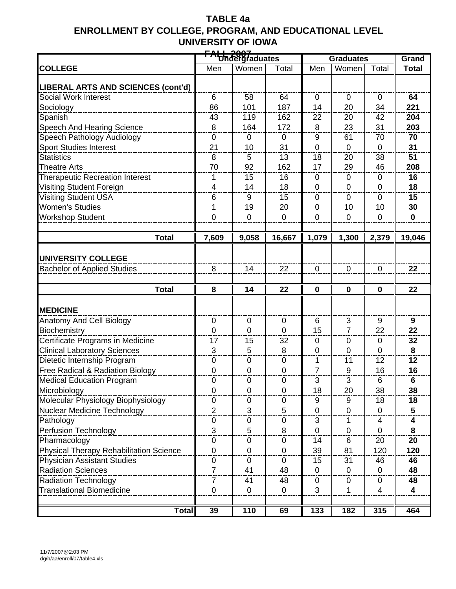|                                                |                  | FALL 2007<br>Undergraduates |                  |                  |                  |                |                         |
|------------------------------------------------|------------------|-----------------------------|------------------|------------------|------------------|----------------|-------------------------|
|                                                |                  |                             |                  | <b>Graduates</b> | Grand            |                |                         |
| <b>COLLEGE</b>                                 | Men              | Women                       | Total            | Men              | Women            | Total          | <b>Total</b>            |
| <b>LIBERAL ARTS AND SCIENCES (cont'd)</b>      |                  |                             |                  |                  |                  |                |                         |
| Social Work Interest                           | 6                | 58                          | 64               | $\mathbf 0$      | $\mathbf 0$      | $\mathbf 0$    | 64                      |
| Sociology                                      | 86               | 101                         | 187              | 14               | 20               | 34             | 221                     |
| Spanish                                        | 43               | 119                         | 162              | 22               | 20               | 42             | 204                     |
| Speech And Hearing Science                     | 8                | 164                         | 172              | 8                | 23               | 31             | 203                     |
| Speech Pathology Audiology                     | 0                | $\pmb{0}$                   | $\mathbf 0$      | 9                | 61               | 70             | 70                      |
| <b>Sport Studies Interest</b>                  | 21               | 10                          | 31               | $\mathbf 0$      | $\pmb{0}$        | $\mathbf 0$    | 31                      |
| <b>Statistics</b>                              | 8                | 5                           | 13               | 18               | 20               | 38             | 51                      |
| <b>Theatre Arts</b>                            | 70               | 92                          | 162              | 17               | 29               | 46             | 208                     |
| <b>Therapeutic Recreation Interest</b>         | 1                | 15                          | 16               | $\pmb{0}$        | 0                | $\mathbf 0$    | 16                      |
| Visiting Student Foreign                       | 4                | 14                          | 18               | $\mathbf 0$      | 0                | $\mathbf 0$    | 18                      |
| <b>Visiting Student USA</b>                    | 6                | 9                           | 15               | 0                | 0                | $\Omega$       | 15                      |
| <b>Women's Studies</b>                         | 1                | 19                          | 20               | 0                | 10               | 10             | 30                      |
| <b>Workshop Student</b>                        | $\overline{0}$   | $\mathbf 0$                 | $\overline{0}$   | $\overline{0}$   | $\mathbf 0$      | $\mathbf 0$    | $\mathbf 0$             |
|                                                |                  |                             |                  |                  |                  |                |                         |
| <b>Total</b>                                   | 7,609            | 9,058                       | 16,667           | 1,079            | 1,300            | 2,379          | 19,046                  |
| <b>UNIVERSITY COLLEGE</b>                      |                  |                             |                  |                  |                  |                |                         |
| <b>Bachelor of Applied Studies</b>             | 8                | 14                          | 22               | $\mathbf 0$      | $\mathbf 0$      | $\mathbf 0$    | 22                      |
|                                                |                  |                             |                  |                  |                  |                |                         |
| <b>Total</b>                                   | 8                | 14                          | 22               | $\mathbf 0$      | $\mathbf 0$      | $\mathbf 0$    | $\overline{22}$         |
|                                                |                  |                             |                  |                  |                  |                |                         |
| <b>MEDICINE</b>                                |                  |                             |                  |                  |                  |                |                         |
| Anatomy And Cell Biology                       | 0                | $\pmb{0}$                   | $\mathbf 0$      | 6                | 3                | 9              | 9                       |
| Biochemistry                                   | $\overline{0}$   | 0                           | $\mathbf 0$      | 15               | $\overline{7}$   | 22             | 22                      |
| Certificate Programs in Medicine               | 17               | 15                          | 32               | 0                | 0                | 0              | 32                      |
| <b>Clinical Laboratory Sciences</b>            | 3                | 5                           | 8                | $\overline{0}$   | $\overline{0}$   | $\mathbf 0$    | 8                       |
| Dietetic Internship Program                    | $\pmb{0}$        | 0                           | $\mathbf 0$      | 1                | 11               | 12             | $\overline{12}$         |
| Free Radical & Radiation Biology               | $\pmb{0}$        | $\pmb{0}$                   | $\pmb{0}$        | 7                | $\boldsymbol{9}$ | 16             | 16                      |
| <b>Medical Education Program</b>               | 0                | 0                           | $\mathbf 0$      | 3                | 3                | 6              | 6                       |
| Microbiology                                   | 0                | $\boldsymbol{0}$            | $\boldsymbol{0}$ | 18               | 20               | 38             | 38                      |
| Molecular Physiology Biophysiology             | 0                | 0                           | $\mathbf 0$      | 9                | 9                | 18             | 18                      |
| Nuclear Medicine Technology                    | $\overline{2}$   | 3                           | 5                | $\mathbf 0$      | $\mathsf 0$      | $\mathbf 0$    | 5                       |
| Pathology                                      | 0                | 0                           | $\mathbf 0$      | 3                | 1                | 4              | 4                       |
| Perfusion Technology                           |                  |                             | 8                | $\mathbf 0$      | $\pmb{0}$        | $\mathbf 0$    | 8                       |
|                                                |                  |                             |                  |                  |                  |                |                         |
|                                                | 3                | 5                           |                  |                  |                  |                |                         |
| Pharmacology                                   | $\pmb{0}$        | 0                           | $\boldsymbol{0}$ | 14               | 6                | 20             | 20                      |
| <b>Physical Therapy Rehabilitation Science</b> | $\mathbf 0$      | $\mathbf 0$                 | $\mathbf 0$      | 39               | 81               | 120            | 120                     |
| <b>Physician Assistant Studies</b>             | $\mathbf 0$      | 0                           | $\mathbf 0$      | 15               | 31               | 46             | 46                      |
| <b>Radiation Sciences</b>                      | $\overline{7}$   | 41                          | 48               | $\mathbf 0$      | $\mathbf 0$      | $\overline{0}$ | 48                      |
| <b>Radiation Technology</b>                    | $\overline{7}$   | 41                          | 48               | 0                | 0                | 0              | 48                      |
| <b>Translational Biomedicine</b>               | $\boldsymbol{0}$ | $\pmb{0}$                   | $\pmb{0}$        | 3                | 1                | $\overline{4}$ | $\overline{\mathbf{4}}$ |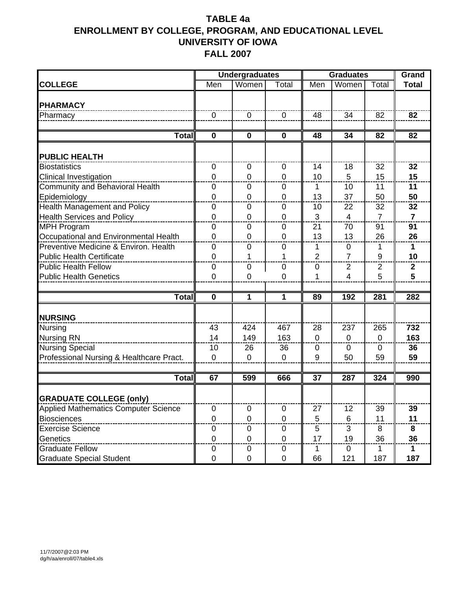|                                          |                           | <b>Undergraduates</b> |                | <b>Graduates</b> |                |                | Grand          |
|------------------------------------------|---------------------------|-----------------------|----------------|------------------|----------------|----------------|----------------|
| <b>COLLEGE</b>                           | $\overline{\mathsf{Men}}$ | Women                 | Total          | Men              | Women          | Total          | <b>Total</b>   |
|                                          |                           |                       |                |                  |                |                |                |
| <b>PHARMACY</b>                          |                           |                       |                |                  |                |                |                |
| Pharmacy                                 | $\mathbf 0$               | $\mathbf 0$           | $\mathbf 0$    | 48               | 34             | 82             | 82             |
|                                          |                           |                       |                |                  |                |                |                |
| <b>Total</b>                             | $\mathbf 0$               | $\mathbf 0$           | $\mathbf 0$    | 48               | 34             | 82             | 82             |
| <b>PUBLIC HEALTH</b>                     |                           |                       |                |                  |                |                |                |
| <b>Biostatistics</b>                     | 0                         | 0                     | 0              | 14               | 18             | 32             | 32             |
| <b>Clinical Investigation</b>            | $\overline{0}$            | 0                     | $\overline{0}$ | 10               | 5              | 15             | 15             |
| Community and Behavioral Health          | $\mathbf 0$               | 0                     | $\mathbf 0$    | 1                | 10             | 11             | 11             |
| Epidemiology                             | 0                         | 0                     | $\mathbf 0$    | 13               | 37             | 50             | 50             |
| Health Management and Policy             | 0                         | 0                     | 0              | 10               | 22             | 32             | 32             |
| <b>Health Services and Policy</b>        | $\mathbf 0$               | 0                     | $\mathbf 0$    | 3                | $\overline{4}$ | $\overline{7}$ | $\overline{7}$ |
| <b>MPH Program</b>                       | $\mathbf 0$               | 0                     | $\overline{0}$ | 21               | 70             | 91             | 91             |
| Occupational and Environmental Health    | $\mathbf 0$               | 0                     | $\mathbf 0$    | 13               | 13             | 26             | 26             |
| Preventive Medicine & Environ. Health    | 0                         | 0                     | 0              | 1                | $\mathbf 0$    | 1              | 1              |
| <b>Public Health Certificate</b>         | $\overline{0}$            | 1                     | 1              | $\overline{2}$   | $\overline{7}$ | 9              | 10             |
| <b>Public Health Fellow</b>              | $\mathbf 0$               | 0                     | $\mathbf 0$    | 0                | $\overline{2}$ | $\overline{2}$ | $\mathbf{2}$   |
| <b>Public Health Genetics</b>            | 0                         | 0                     | $\mathbf 0$    | 1                | $\overline{4}$ | 5              | 5              |
|                                          |                           |                       |                |                  |                |                |                |
| Total                                    | $\mathbf 0$               | 1                     | 1              | 89               | 192            | 281            | 282            |
| <b>NURSING</b>                           |                           |                       |                |                  |                |                |                |
| Nursing                                  | 43                        | 424                   | 467            | 28               | 237            | 265            | 732            |
| <b>Nursing RN</b>                        | 14                        | 149                   | 163            | $\Omega$         | $\Omega$       | $\Omega$       | 163            |
| <b>Nursing Special</b>                   | 10                        | 26                    | 36             | 0                | $\mathbf 0$    | $\mathbf 0$    | 36             |
| Professional Nursing & Healthcare Pract. | 0                         | 0                     | $\mathbf 0$    | 9                | 50             | 59             | 59             |
|                                          |                           |                       |                |                  |                |                |                |
| <b>Total</b>                             | 67                        | 599                   | 666            | $\overline{37}$  | 287            | 324            | 990            |
| <b>GRADUATE COLLEGE (only)</b>           |                           |                       |                |                  |                |                |                |
| Applied Mathematics Computer Science     | 0                         | 0                     | $\pmb{0}$      | 27               | 12             | 39             | 39             |
| <b>Biosciences</b>                       | 0                         | 0                     | $\pmb{0}$      | 5                | 6              | 11             | 11             |
| <b>Exercise Science</b>                  | $\pmb{0}$                 | 0                     | $\mathbf 0$    | 5                | 3              | 8              | 8              |
| Genetics                                 | 0                         | $\pmb{0}$             | $\mathbf 0$    | 17               | 19             | 36             | 36             |
| <b>Graduate Fellow</b>                   | 0                         | 0                     | 0              | 1                | $\mathbf 0$    | $\mathbf{1}$   | 1              |
| <b>Graduate Special Student</b>          | 0                         | 0                     | 0              | 66               | 121            | 187            | 187            |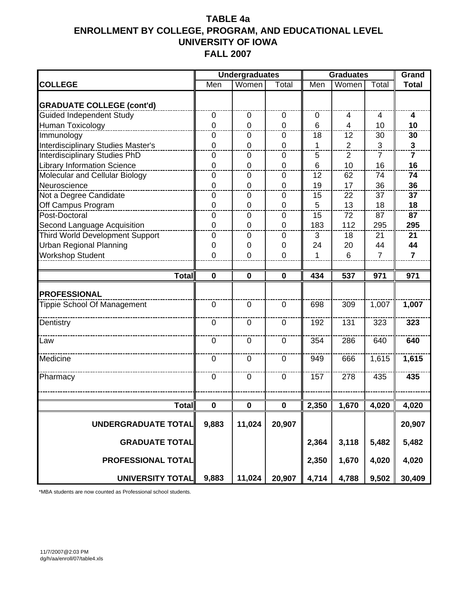|                                        |                            | <b>Undergraduates</b> |                | <b>Graduates</b> | Grand            |                |                |
|----------------------------------------|----------------------------|-----------------------|----------------|------------------|------------------|----------------|----------------|
| <b>COLLEGE</b>                         | $\overline{\mathsf{M}}$ en | Women                 | Total          | Men              | Women            | Total          | <b>Total</b>   |
|                                        |                            |                       |                |                  |                  |                |                |
| <b>GRADUATE COLLEGE (cont'd)</b>       |                            |                       |                |                  |                  |                |                |
| <b>Guided Independent Study</b>        | 0                          | 0                     | $\mathbf 0$    | $\mathbf 0$      | $\overline{4}$   | 4              | 4              |
| Human Toxicology                       | $\overline{0}$             | 0                     | $\mathbf 0$    | 6                | $\overline{4}$   | 10             | 10             |
| Immunology                             | 0                          | 0                     | 0              | 18               | 12               | 30             | 30             |
| Interdisciplinary Studies Master's     | $\overline{0}$             | 0                     | $\overline{0}$ | 1                | $\overline{2}$   | 3              | $\mathbf{3}$   |
| <b>Interdisciplinary Studies PhD</b>   | $\mathbf 0$                | 0                     | $\mathbf 0$    | 5                | $\overline{2}$   | $\overline{7}$ | $\overline{7}$ |
| <b>Library Information Science</b>     | $\mathbf 0$                | 0                     | $\mathbf 0$    | 6                | 10               | 16             | 16             |
| Molecular and Cellular Biology         | 0                          | 0                     | 0              | 12               | 62               | 74             | 74             |
| Neuroscience                           | $\overline{0}$             | 0                     | $\overline{0}$ | 19               | 17               | 36             | 36             |
| Not a Degree Candidate                 | $\mathbf 0$                | 0                     | $\mathbf 0$    | 15               | 22               | 37             | 37             |
| Off Campus Program                     | 0                          | 0                     | $\Omega$       | 5                | 13               | 18             | 18             |
| Post-Doctoral                          | 0                          | 0                     | $\Omega$       | 15               | 72               | 87             | 87             |
| Second Language Acquisition            | $\mathbf 0$                | $\mathbf 0$           | $\mathbf 0$    | 183              | 112              | 295            | 295            |
| <b>Third World Development Support</b> | 0                          | 0                     | $\mathbf 0$    | 3                | 18               | 21             | 21             |
| <b>Urban Regional Planning</b>         | 0                          | 0                     | $\mathbf 0$    | 24               | 20               | 44             | 44             |
| <b>Workshop Student</b>                | 0                          | 0                     | $\mathbf 0$    | 1                | 6                | $\overline{7}$ | $\overline{7}$ |
|                                        |                            |                       |                |                  |                  |                |                |
| Total                                  | $\mathbf 0$                | $\bf{0}$              | $\mathbf 0$    | 434              | $\overline{537}$ | 971            | 971            |
|                                        |                            |                       |                |                  |                  |                |                |
| <b>PROFESSIONAL</b>                    |                            |                       |                |                  |                  |                |                |
| <b>Tippie School Of Management</b>     | 0                          | 0                     | $\Omega$       | 698              | 309              | 1,007          | 1,007          |
| Dentistry                              | $\mathbf 0$                | 0                     | $\overline{0}$ | 192              | 131              | 323            | 323            |
| Law                                    | 0                          | $\mathbf 0$           | $\Omega$       | 354              | 286              | 640            | 640            |
| Medicine                               | 0                          | $\mathbf 0$           | $\Omega$       | 949              | 666              | 1,615          | 1,615          |
| Pharmacy                               | $\mathbf 0$                | 0                     | $\mathbf 0$    | 157              | 278              | 435            | 435            |
|                                        |                            |                       |                |                  |                  |                |                |
| Total                                  | $\pmb{0}$                  | 0                     | $\bf{0}$       | 2,350            | 1,670            | 4,020          | 4,020          |
| <b>UNDERGRADUATE TOTAL</b>             | 9,883                      | 11,024                | 20,907         |                  |                  |                | 20,907         |
| <b>GRADUATE TOTAL</b>                  |                            |                       |                | 2,364            | 3,118            | 5,482          | 5,482          |
| PROFESSIONAL TOTAL                     |                            |                       |                | 2,350            | 1,670            | 4,020          | 4,020          |
| <b>UNIVERSITY TOTAL</b>                | 9,883                      | 11,024                | 20,907         | 4,714            | 4,788            | 9,502          | 30,409         |

\*MBA students are now counted as Professional school students.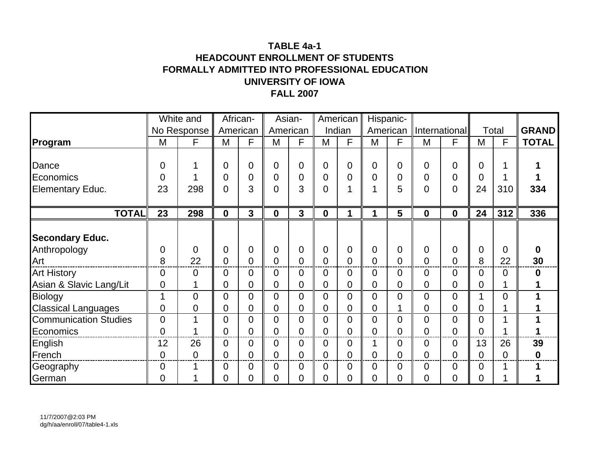#### **TABLE 4a-1HEADCOUNT ENROLLMENT OF STUDENTSFORMALLY ADMITTED INTO PROFESSIONAL EDUCATION UNIVERSITY OF IOWAFALL 2007**

|                              |                  | White and      |                | African-       |                  | Asian-         |                  | American | Hispanic-      |                |                  |                |                |       |              |
|------------------------------|------------------|----------------|----------------|----------------|------------------|----------------|------------------|----------|----------------|----------------|------------------|----------------|----------------|-------|--------------|
|                              |                  | No Response    | American       |                | American         |                |                  | Indian   | American       |                |                  | International  |                | Total | <b>GRAND</b> |
| Program                      | M                | F              | M              | F              | M                | F              | M                | F        | M              | F              | M                | F              | M              | F     | <b>TOTAL</b> |
|                              |                  |                |                |                |                  |                |                  |          |                |                |                  |                |                |       |              |
| Dance                        | $\boldsymbol{0}$ |                | 0              | $\mathbf 0$    | $\overline{0}$   | $\mathbf 0$    | $\overline{0}$   | 0        | $\overline{0}$ | $\mathbf 0$    | 0                | $\overline{0}$ | 0              |       |              |
| Economics                    | 0                |                | 0              | 0              | $\overline{0}$   | $\mathbf 0$    | 0                | 0        | 0              | 0              | 0                | 0              | 0              |       |              |
| <b>Elementary Educ.</b>      | 23               | 298            | $\overline{0}$ | 3              | $\overline{0}$   | 3              | $\overline{0}$   |          | 1              | 5              | 0                | $\overline{0}$ | 24             | 310   | 334          |
|                              |                  |                |                |                |                  |                |                  |          |                |                |                  |                |                |       |              |
| <b>TOTAL</b>                 | 23               | 298            | $\mathbf 0$    | $\mathbf{3}$   | $\boldsymbol{0}$ | $\mathbf{3}$   | $\boldsymbol{0}$ | 1        | 1              | 5              | $\boldsymbol{0}$ | $\mathbf 0$    | 24             | 312   | 336          |
|                              |                  |                |                |                |                  |                |                  |          |                |                |                  |                |                |       |              |
| <b>Secondary Educ.</b>       |                  |                |                |                |                  |                |                  |          |                |                |                  |                |                |       |              |
| Anthropology                 | $\overline{0}$   | $\overline{0}$ | 0              | $\mathbf 0$    | $\overline{0}$   | $\mathbf 0$    | $\overline{0}$   | 0        | $\overline{0}$ | $\mathbf 0$    | 0                | $\overline{0}$ | 0              | 0     | 0            |
| Art                          | 8                | 22             | 0              | $\overline{0}$ | $\mathbf 0$      | $\overline{0}$ | 0                | 0        | $\overline{0}$ | $\overline{0}$ | 0                | $\overline{0}$ | 8              | 22    | 30           |
| <b>Art History</b>           | $\overline{0}$   | $\overline{0}$ | 0              | 0              | $\overline{0}$   | $\overline{0}$ | 0                | 0        | $\mathbf 0$    | $\overline{0}$ | 0                | 0              | 0              | 0     | $\bf{0}$     |
| Asian & Slavic Lang/Lit      | 0                |                | 0              | 0              | 0                | $\mathbf 0$    | 0                | 0        | 0              | 0              | 0                | 0              | 0              |       |              |
| Biology                      |                  | $\overline{0}$ | $\overline{0}$ | 0              | $\overline{0}$   | $\overline{0}$ | $\overline{0}$   | 0        | $\overline{0}$ | $\overline{0}$ | 0                | 0              |                | 0     |              |
| <b>Classical Languages</b>   | 0                | 0              | 0              | $\mathbf 0$    | $\mathbf 0$      | $\mathbf 0$    | 0                | 0        | 0              | 1              | 0                | $\overline{0}$ | 0              |       |              |
| <b>Communication Studies</b> | $\overline{0}$   |                | $\overline{0}$ | 0              | $\overline{0}$   | $\overline{0}$ | $\overline{0}$   | 0        | $\overline{0}$ | 0              | 0                | $\overline{0}$ | 0              | 1     | 1            |
| Economics                    | $\overline{0}$   |                | $\overline{0}$ | $\overline{0}$ | $\overline{0}$   | $\overline{0}$ | $\overline{0}$   | 0        | $\overline{0}$ | $\overline{0}$ | $\overline{0}$   | $\overline{0}$ | $\overline{0}$ |       |              |
| English                      | 12               | 26             | 0              | 0              | $\overline{0}$   | $\mathbf 0$    | 0                | 0        | 1              | $\mathbf 0$    | 0                | 0              | 13             | 26    | 39           |
| French                       | $\overline{0}$   | $\overline{0}$ | 0              | 0              | $\overline{0}$   | $\overline{0}$ | 0                | 0        | 0              | 0              | 0                | 0              | 0              | 0     | 0            |
| Geography                    | 0                |                | 0              | 0              | $\overline{0}$   | $\mathbf 0$    | 0                | 0        | $\mathbf 0$    | 0              | 0                | 0              | 0              | 1     |              |
| German                       | $\overline{0}$   |                | 0              | 0              | 0                | $\overline{0}$ | 0                | 0        | 0              | 0              | 0                | 0              | 0              |       |              |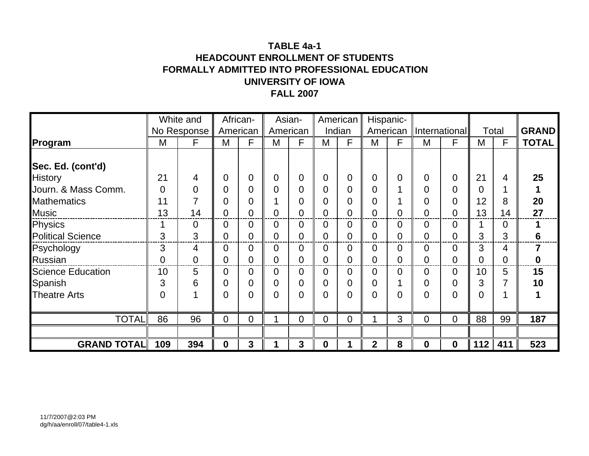#### **TABLE 4a-1HEADCOUNT ENROLLMENT OF STUDENTSFORMALLY ADMITTED INTO PROFESSIONAL EDUCATION UNIVERSITY OF IOWAFALL 2007**

|                          |                | White and      |             | African-       |                | Asian-         |                  | American | Hispanic-      |             |   |                |     |       |                  |
|--------------------------|----------------|----------------|-------------|----------------|----------------|----------------|------------------|----------|----------------|-------------|---|----------------|-----|-------|------------------|
|                          |                | No Response    |             | American       | American       |                |                  | Indian   | American       |             |   | International  |     | Total | <b>GRAND</b>     |
| Program                  | M              | F              | M           | F              | M              | F              | M                | F        | M              | F           | M | F              | M   | F     | <b>TOTAL</b>     |
|                          |                |                |             |                |                |                |                  |          |                |             |   |                |     |       |                  |
| Sec. Ed. (cont'd)        |                |                |             |                |                |                |                  |          |                |             |   |                |     |       |                  |
| <b>History</b>           | 21             | 4              | 0           | 0              | $\overline{0}$ | $\overline{0}$ | $\overline{0}$   | 0        | $\overline{0}$ | 0           | 0 | 0              | 21  | 4     | 25               |
| Journ. & Mass Comm.      | $\overline{0}$ | 0              | 0           | 0              | $\overline{0}$ | $\overline{0}$ | 0                | 0        | 0              |             | 0 | 0              | 0   |       |                  |
| <b>Mathematics</b>       | 11             |                | 0           | 0              |                | $\mathbf 0$    | 0                | O)       | 0              |             | 0 | $\overline{0}$ | 12  | 8     | 20               |
| <b>Music</b>             | 13             | 14             | 0           | 0              | $\overline{0}$ | $\overline{0}$ |                  | 0        | 0              | 0           | 0 | 0              | 13  | 14    | 27               |
| Physics                  |                | 0              | 0           | 0              | 0              | $\overline{0}$ | 0                | 0        | 0              | 0           | 0 | 0              |     | 0     |                  |
| <b>Political Science</b> | 3              | 3              | 0           | 0              | $\overline{0}$ | $\overline{0}$ | 0                | 0        | 0              | 0           | 0 | 0              | 3   | 3     | $6\phantom{1}6$  |
| Psychology               | 3              | 4              | $\Omega$    | 0              | $\overline{0}$ | $\overline{0}$ | $\Omega$         | 0        | $\overline{0}$ | $\mathbf 0$ | 0 | 0              | 3   | 4     | 7                |
| <b>Russian</b>           | $\overline{0}$ | $\overline{0}$ | 0           | 0              | 0              | $\overline{0}$ | $\overline{0}$   | 0        | 0              | 0           | 0 | 0              | 0   | 0     | $\boldsymbol{0}$ |
| <b>Science Education</b> | 10             | 5              | 0           | 0              | $\overline{0}$ | $\overline{0}$ | 0                | 0        | 0              | 0           | 0 | 0              | 10  | 5     | 15               |
| Spanish                  | 3              | 6              | 0           | 0              | 0              | $\overline{0}$ | 0                | 0        | 0              |             | 0 | 0              | 3   |       | 10               |
| <b>Theatre Arts</b>      | $\overline{0}$ |                | 0           | $\overline{0}$ | $\overline{0}$ | $\overline{0}$ | 0                | 0        | 0              | 0           | 0 | 0              | 0   |       |                  |
|                          |                |                |             |                |                |                |                  |          |                |             |   |                |     |       |                  |
| <b>TOTAL</b>             | 86             | 96             | $\mathbf 0$ | 0              |                | $\mathbf 0$    | $\overline{0}$   | 0        |                | 3           | 0 | 0              | 88  | 99    | 187              |
|                          |                |                |             |                |                |                |                  |          |                |             |   |                |     |       |                  |
| <b>GRAND TOTAL</b>       | 109            | 394            | 0           | 3              |                | 3              | $\boldsymbol{0}$ |          | $\overline{2}$ | 8           | 0 | 0              | 112 | 411   | 523              |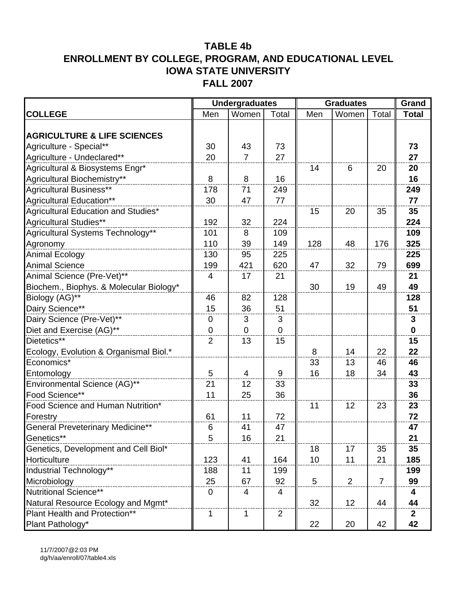|                                         |                | <b>Undergraduates</b> |                | <b>Graduates</b> |       |                | Grand        |
|-----------------------------------------|----------------|-----------------------|----------------|------------------|-------|----------------|--------------|
| <b>COLLEGE</b>                          | Men            | Women                 | Total          | Men              | Women | Total          | <b>Total</b> |
|                                         |                |                       |                |                  |       |                |              |
| <b>AGRICULTURE &amp; LIFE SCIENCES</b>  |                |                       |                |                  |       |                |              |
| Agriculture - Special**                 | 30             | 43                    | 73             |                  |       |                | 73           |
| Agriculture - Undeclared**              | 20             | $\overline{7}$        | 27             |                  |       |                | 27           |
| Agricultural & Biosystems Engr*         |                |                       |                | 14               | 6     | 20             | 20           |
| Agricultural Biochemistry**             | 8              | 8                     | 16             |                  |       |                | 16           |
| Agricultural Business**                 | 178            | 71                    | 249            |                  |       |                | 249          |
| Agricultural Education**                | 30             | 47                    | 77             |                  |       |                | 77           |
| Agricultural Education and Studies*     |                |                       |                | 15               | 20    | 35             | 35           |
| <b>Agricultural Studies**</b>           | 192            | 32                    | 224            |                  |       |                | 224          |
| Agricultural Systems Technology**       | 101            | 8                     | 109            |                  |       |                | 109          |
| Agronomy                                | 110            | 39                    | 149            | 128              | 48    | 176            | 325          |
| <b>Animal Ecology</b>                   | 130            | 95                    | 225            |                  |       |                | 225          |
| <b>Animal Science</b>                   | 199            | 421                   | 620            | 47               | 32    | 79             | 699          |
| Animal Science (Pre-Vet)**              | 4              | 17                    | 21             |                  |       |                | 21           |
| Biochem., Biophys. & Molecular Biology* |                |                       |                | 30               | 19    | 49             | 49           |
| Biology (AG)**                          | 46             | 82                    | 128            |                  |       |                | 128          |
| Dairy Science**                         | 15             | 36                    | 51             |                  |       |                | 51           |
| Dairy Science (Pre-Vet)**               | $\mathbf 0$    | 3                     | 3              |                  |       |                | $\mathbf{3}$ |
| Diet and Exercise (AG)**                | $\overline{0}$ | $\mathbf 0$           | $\Omega$       |                  |       |                | $\mathbf 0$  |
| Dietetics**                             | $\overline{2}$ | 13                    | 15             |                  |       |                | 15           |
| Ecology, Evolution & Organismal Biol.*  |                |                       |                | 8                | 14    | 22             | 22           |
| Economics*                              |                |                       |                | 33               | 13    | 46             | 46           |
| Entomology                              | 5              | 4                     | 9              | 16               | 18    | 34             | 43           |
| Environmental Science (AG)**            | 21             | 12                    | 33             |                  |       |                | 33           |
| Food Science**                          | 11             | 25                    | 36             |                  |       |                | 36           |
| Food Science and Human Nutrition*       |                |                       |                | 11               | 12    | 23             | 23           |
| Forestry                                | 61             | 11                    | 72             |                  |       |                | 72           |
| <b>General Preveterinary Medicine**</b> | 6              | 41                    | 47             |                  |       |                | 47           |
| Genetics**                              | 5              | 16                    | 21             |                  |       |                | 21           |
| Genetics, Development and Cell Biol*    |                |                       |                | 18               | 17    | 35             | 35           |
| Horticulture                            | 123            | 41                    | 164            | 10               | 11    | 21             | 185          |
| Industrial Technology**                 | 188            | 11                    | 199            |                  |       |                | 199          |
| Microbiology                            | 25             | 67                    | 92             | 5                | 2     | $\overline{7}$ | 99           |
| Nutritional Science**                   | $\mathbf 0$    | 4                     | 4              |                  |       |                | 4            |
| Natural Resource Ecology and Mgmt*      |                |                       |                | 32               | 12    | 44             | 44           |
| Plant Health and Protection**           | 1              | 1                     | $\overline{2}$ |                  |       |                | $\mathbf{2}$ |
| Plant Pathology*                        |                |                       |                | 22               | 20    | 42             | 42           |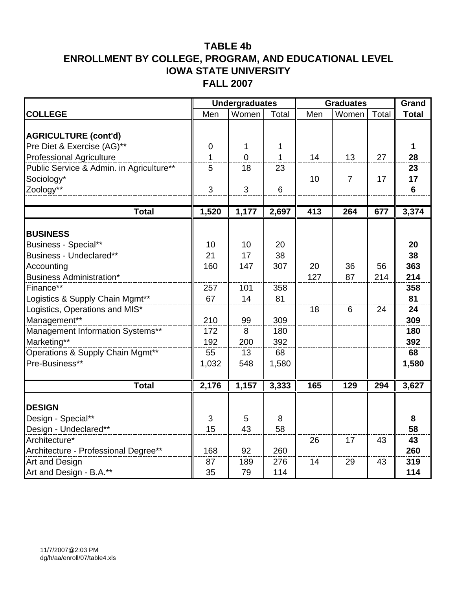|                                                |           | <b>Undergraduates</b> |              | <b>Graduates</b> |                |       | Grand          |
|------------------------------------------------|-----------|-----------------------|--------------|------------------|----------------|-------|----------------|
| <b>COLLEGE</b>                                 | Men       | Women                 | Total        | Men              | Women          | Total | <b>Total</b>   |
|                                                |           |                       |              |                  |                |       |                |
| <b>AGRICULTURE (cont'd)</b>                    |           |                       |              |                  |                |       |                |
| Pre Diet & Exercise (AG)**                     | $\pmb{0}$ | 1                     | 1            |                  |                |       | 1              |
| <b>Professional Agriculture</b>                | 1         | $\overline{0}$        | $\mathbf{1}$ | 14               | 13             | 27    | 28             |
| Public Service & Admin. in Agriculture**       | 5         | 18                    | 23           |                  |                |       | 23             |
| Sociology*                                     |           |                       |              | 10               | $\overline{7}$ | 17    | 17             |
| Zoology**                                      | 3         | 3                     | 6            |                  |                |       | $6\phantom{1}$ |
|                                                |           |                       |              |                  |                |       |                |
| <b>Total</b>                                   | 1,520     | 1,177                 | 2,697        | 413              | 264            | 677   | 3,374          |
|                                                |           |                       |              |                  |                |       |                |
| <b>BUSINESS</b>                                |           |                       |              |                  |                |       |                |
| Business - Special**                           | 10        | 10                    | 20           |                  |                |       | 20             |
| Business - Undeclared**                        | 21        | 17                    | 38           |                  |                |       | 38             |
| Accounting                                     | 160       | 147                   | 307          | 20               | 36             | 56    | 363            |
| <b>Business Administration*</b><br>Finance**   | 257       | 101                   | 358          | 127              | 87             | 214   | 214            |
|                                                | 67        | 14                    |              |                  |                |       | 358<br>81      |
| Logistics & Supply Chain Mgmt**                |           |                       | 81           | 18               | 6              | 24    | 24             |
| Logistics, Operations and MIS*<br>Management** | 210       | 99                    | 309          |                  |                |       | 309            |
| Management Information Systems**               | 172       | 8                     | 180          |                  |                |       | 180            |
| Marketing**                                    | 192       | 200                   | 392          |                  |                |       | 392            |
| Operations & Supply Chain Mgmt**               | 55        | 13                    | 68           |                  |                |       | 68             |
| Pre-Business**                                 | 1,032     | 548                   | 1,580        |                  |                |       | 1,580          |
|                                                |           |                       |              |                  |                |       |                |
| <b>Total</b>                                   | 2,176     | 1,157                 | 3,333        | 165              | 129            | 294   | 3,627          |
|                                                |           |                       |              |                  |                |       |                |
| <b>DESIGN</b>                                  |           |                       |              |                  |                |       |                |
| Design - Special**                             | 3         | 5                     | 8            |                  |                |       | 8              |
| Design - Undeclared**                          | 15        | 43                    | 58           |                  |                |       | 58             |
| Architecture*                                  |           |                       |              | 26               | 17             | 43    | 43             |
| Architecture - Professional Degree**           | 168       | 92                    | 260          |                  |                |       | 260            |
| Art and Design                                 | 87        | 189                   | 276          | 14               | 29             | 43    | 319            |
| Art and Design - B.A.**                        | 35        | 79                    | 114          |                  |                |       | 114            |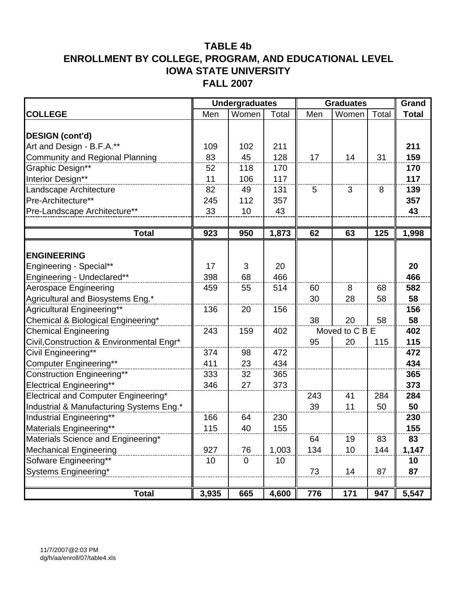|                                           |       | <b>Undergraduates</b> |       | <b>Graduates</b> |                |       | Grand        |
|-------------------------------------------|-------|-----------------------|-------|------------------|----------------|-------|--------------|
| <b>COLLEGE</b>                            | Men   | Women                 | Total | Men              | Women          | Total | <b>Total</b> |
|                                           |       |                       |       |                  |                |       |              |
| <b>DESIGN (cont'd)</b>                    |       |                       |       |                  |                |       |              |
| Art and Design - B.F.A.**                 | 109   | 102                   | 211   |                  |                |       | 211          |
| <b>Community and Regional Planning</b>    | 83    | 45                    | 128   | 17               | 14             | 31    | 159          |
| Graphic Design**                          | 52    | 118                   | 170   |                  |                |       | 170          |
| Interior Design**                         | 11    | 106                   | 117   |                  |                |       | 117          |
| Landscape Architecture                    | 82    | 49                    | 131   | 5                | 3              | 8     | 139          |
| Pre-Architecture**                        | 245   | 112                   | 357   |                  |                |       | 357          |
| Pre-Landscape Architecture**              | 33    | 10                    | 43    |                  |                |       | 43           |
|                                           |       |                       |       |                  |                |       |              |
| <b>Total</b>                              | 923   | 950                   | 1,873 | 62               | 63             | 125   | 1,998        |
|                                           |       |                       |       |                  |                |       |              |
| <b>ENGINEERING</b>                        |       |                       |       |                  |                |       |              |
| Engineering - Special**                   | 17    | 3                     | 20    |                  |                |       | 20           |
| Engineering - Undeclared**                | 398   | 68                    | 466   |                  |                |       | 466          |
| <b>Aerospace Engineering</b>              | 459   | 55                    | 514   | 60               | 8              | 68    | 582          |
| Agricultural and Biosystems Eng.*         |       |                       |       | 30               | 28             | 58    | 58           |
| Agricultural Engineering**                | 136   | 20                    | 156   |                  |                |       | 156          |
| Chemical & Biological Engineering*        |       |                       |       | 38               | 20             | 58    | 58           |
| <b>Chemical Engineering</b>               | 243   | 159                   | 402   |                  | Moved to C B E |       | 402          |
| Civil, Construction & Environmental Engr* |       |                       |       | 95               | 20             | 115   | 115          |
| Civil Engineering**                       | 374   | 98                    | 472   |                  |                |       | 472          |
| <b>Computer Engineering**</b>             | 411   | 23                    | 434   |                  |                |       | 434          |
| <b>Construction Engineering**</b>         | 333   | 32                    | 365   |                  |                |       | 365          |
| <b>Electrical Engineering**</b>           | 346   | 27                    | 373   |                  |                |       | 373          |
| Electrical and Computer Engineering*      |       |                       |       | 243              | 41             | 284   | 284          |
| Industrial & Manufacturing Systems Eng.*  |       |                       |       | 39               | 11             | 50    | 50           |
| Industrial Engineering**                  | 166   | 64                    | 230   |                  |                |       | 230          |
| Materials Engineering**                   | 115   | 40                    | 155   |                  |                |       | 155          |
| Materials Science and Engineering*        |       |                       |       | 64               | 19             | 83    | 83           |
| <b>Mechanical Engineering</b>             | 927   | 76                    | 1,003 | 134              | 10             | 144   | 1,147        |
| Sofware Engineering**                     | 10    | $\mathbf 0$           | 10    |                  |                |       | 10           |
| Systems Engineering*                      |       |                       |       | 73               | 14             | 87    | 87           |
| <b>Total</b>                              | 3,935 | 665                   | 4,600 | 776              | 171            | 947   | 5,547        |
|                                           |       |                       |       |                  |                |       |              |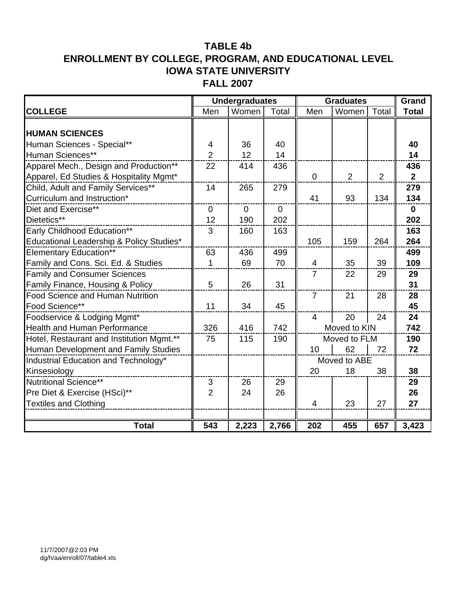|                                           |                | <b>Undergraduates</b> |          | <b>Graduates</b> | Grand        |       |                |
|-------------------------------------------|----------------|-----------------------|----------|------------------|--------------|-------|----------------|
| <b>COLLEGE</b>                            | Men            | Women                 | Total    | Men              | Women        | Total | <b>Total</b>   |
|                                           |                |                       |          |                  |              |       |                |
| <b>HUMAN SCIENCES</b>                     |                |                       |          |                  |              |       |                |
| Human Sciences - Special**                | 4              | 36                    | 40       |                  |              |       | 40             |
| Human Sciences**                          | $\overline{2}$ | 12                    | 14       |                  |              |       | 14             |
| Apparel Mech., Design and Production**    | 22             | 414                   | 436      |                  |              |       | 436            |
| Apparel, Ed Studies & Hospitality Mgmt*   |                |                       |          | $\overline{0}$   | 2            | 2     | 2 <sup>1</sup> |
| Child, Adult and Family Services**        | 14             | 265                   | 279      |                  |              |       | 279            |
| Curriculum and Instruction*               |                |                       |          | 41               | 93           | 134   | 134            |
| Diet and Exercise**                       | $\mathbf 0$    | $\Omega$              | $\Omega$ |                  |              |       | $\mathbf 0$    |
| Dietetics**                               | 12             | 190                   | 202      |                  |              |       | 202            |
| Early Childhood Education**               | 3              | 160                   | 163      |                  |              |       | 163            |
| Educational Leadership & Policy Studies*  |                |                       |          | 105              | 159          | 264   | 264            |
| <b>Elementary Education**</b>             | 63             | 436                   | 499      |                  |              |       | 499            |
| Family and Cons. Sci. Ed. & Studies       | 1              | 69                    | 70       | 4                | 35           | 39    | 109            |
| <b>Family and Consumer Sciences</b>       |                |                       |          | $\overline{7}$   | 22           | 29    | 29             |
| Family Finance, Housing & Policy          | 5              | 26                    | 31       |                  |              |       | 31             |
| Food Science and Human Nutrition          |                |                       |          | $\overline{7}$   | 21           | 28    | 28             |
| Food Science**                            | 11             | 34                    | 45       |                  |              |       | 45             |
| Foodservice & Lodging Mgmt*               |                |                       |          | $\overline{4}$   | 20           | 24    | 24             |
| <b>Health and Human Performance</b>       | 326            | 416                   | 742      |                  | Moved to KIN |       | 742            |
| Hotel, Restaurant and Institution Mgmt.** | 75             | 115                   | 190      |                  | Moved to FLM |       | 190            |
| Human Development and Family Studies      |                |                       |          | 10               | 62           | 72    | 72             |
| Industrial Education and Technology*      |                |                       |          |                  | Moved to ABE |       |                |
| Kinsesiology                              |                |                       |          | 20               | 18           | 38    | 38             |
| Nutritional Science**                     | $\mathfrak{S}$ | 26                    | 29       |                  |              |       | 29             |
| Pre Diet & Exercise (HSci)**              | $\overline{2}$ | 24                    | 26       |                  |              |       | 26             |
| <b>Textiles and Clothing</b>              |                |                       |          | $\overline{4}$   | 23           | 27    | 27             |
|                                           |                |                       |          |                  |              |       |                |
| <b>Total</b>                              | 543            | 2,223                 | 2,766    | 202              | 455          | 657   | 3,423          |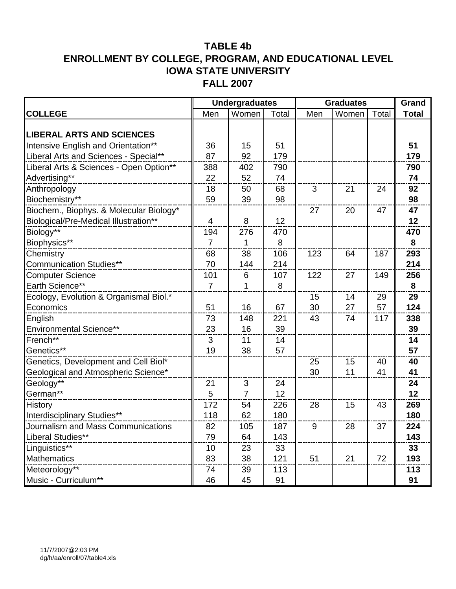|                                         |                | <b>Undergraduates</b> | <b>Graduates</b> |     | Grand |       |              |
|-----------------------------------------|----------------|-----------------------|------------------|-----|-------|-------|--------------|
| <b>COLLEGE</b>                          | Men            | Women                 | Total            | Men | Women | Total | <b>Total</b> |
|                                         |                |                       |                  |     |       |       |              |
| <b>LIBERAL ARTS AND SCIENCES</b>        |                |                       |                  |     |       |       |              |
| Intensive English and Orientation**     | 36             | 15                    | 51               |     |       |       | 51           |
| Liberal Arts and Sciences - Special**   | 87             | 92                    | 179              |     |       |       | 179          |
| Liberal Arts & Sciences - Open Option** | 388            | 402                   | 790              |     |       |       | 790          |
| Advertising**                           | 22             | 52                    | 74               |     |       |       | 74           |
| Anthropology                            | 18             | 50                    | 68               | 3   | 21    | 24    | 92           |
| Biochemistry**                          | 59             | 39                    | 98               |     |       |       | 98           |
| Biochem., Biophys. & Molecular Biology* |                |                       |                  | 27  | 20    | 47    | 47           |
| Biological/Pre-Medical Illustration**   | 4              | 8                     | 12               |     |       |       | 12           |
| Biology**                               | 194            | 276                   | 470              |     |       |       | 470          |
| Biophysics**                            | $\overline{7}$ | 1                     | 8                |     |       |       | 8            |
| Chemistry                               | 68             | 38                    | 106              | 123 | 64    | 187   | 293          |
| <b>Communication Studies**</b>          | 70             | 144                   | 214              |     |       |       | 214          |
| <b>Computer Science</b>                 | 101            | 6                     | 107              | 122 | 27    | 149   | 256          |
| Earth Science**                         | $\overline{7}$ | 1                     | 8                |     |       |       | 8            |
| Ecology, Evolution & Organismal Biol.*  |                |                       |                  | 15  | 14    | 29    | 29           |
| Economics                               | 51             | 16                    | 67               | 30  | 27    | 57    | 124          |
| English                                 | 73             | 148                   | 221              | 43  | 74    | 117   | 338          |
| <b>Environmental Science**</b>          | 23             | 16                    | 39               |     |       |       | 39           |
| French**                                | 3              | 11                    | 14               |     |       |       | 14           |
| Genetics**                              | 19             | 38                    | 57               |     |       |       | 57           |
| Genetics, Development and Cell Biol*    |                |                       |                  | 25  | 15    | 40    | 40           |
| Geological and Atmospheric Science*     |                |                       |                  | 30  | 11    | 41    | 41           |
| Geology**                               | 21             | 3                     | 24               |     |       |       | 24           |
| German**                                | 5              | $\overline{7}$        | 12               |     |       |       | 12           |
| <b>History</b>                          | 172            | 54                    | 226              | 28  | 15    | 43    | 269          |
| Interdisciplinary Studies**             | 118            | 62                    | 180              |     |       |       | 180          |
| Journalism and Mass Communications      | 82             | 105                   | 187              | 9   | 28    | 37    | 224          |
| Liberal Studies**                       | 79             | 64                    | 143              |     |       |       | 143          |
| Linguistics**                           | 10             | 23                    | 33               |     |       |       | 33           |
| <b>Mathematics</b>                      | 83             | 38                    | 121              | 51  | 21    | 72    | 193          |
| Meteorology**                           | 74             | 39                    | 113              |     |       |       | 113          |
| Music - Curriculum**                    | 46             | 45                    | 91               |     |       |       | 91           |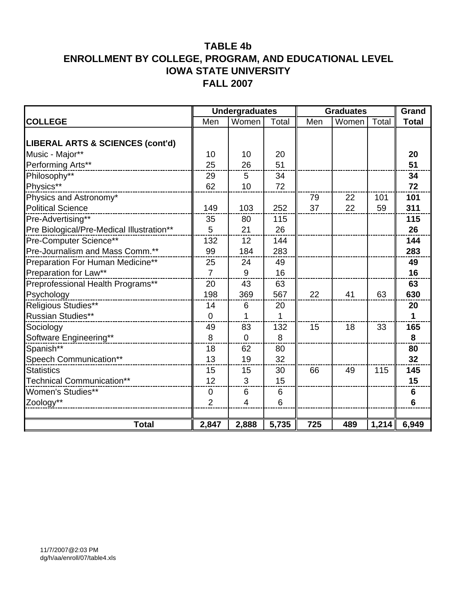|                                             |                | <b>Undergraduates</b> |                 | <b>Graduates</b> | Grand |       |                |
|---------------------------------------------|----------------|-----------------------|-----------------|------------------|-------|-------|----------------|
| <b>COLLEGE</b>                              | Men            | Women                 | Total           | Men              | Women | Total | <b>Total</b>   |
|                                             |                |                       |                 |                  |       |       |                |
| <b>LIBERAL ARTS &amp; SCIENCES (cont'd)</b> |                |                       |                 |                  |       |       |                |
| Music - Major**                             | 10             | 10                    | 20              |                  |       |       | 20             |
| Performing Arts**                           | 25             | 26                    | 51              |                  |       |       | 51             |
| Philosophy**                                | 29             | 5                     | 34              |                  |       |       | 34             |
| Physics**                                   | 62             | 10                    | 72              |                  |       |       | 72             |
| Physics and Astronomy*                      |                |                       |                 | 79               | 22    | 101   | 101            |
| <b>Political Science</b>                    | 149            | 103                   | 252             | 37               | 22    | 59    | 311            |
| Pre-Advertising**                           | 35             | 80                    | 115             |                  |       |       | 115            |
| Pre Biological/Pre-Medical Illustration**   | 5              | 21                    | 26              |                  |       |       | 26             |
| Pre-Computer Science**                      | 132            | 12                    | 144             |                  |       |       | 144            |
| Pre-Journalism and Mass Comm.**             | 99             | 184                   | 283             |                  |       |       | 283            |
| Preparation For Human Medicine**            | 25             | 24                    | 49              |                  |       |       | 49             |
| Preparation for Law**                       | $\overline{7}$ | 9                     | 16              |                  |       |       | 16             |
| Preprofessional Health Programs**           | 20             | 43                    | 63              |                  |       |       | 63             |
| Psychology                                  | 198            | 369                   | 567             | 22               | 41    | 63    | 630            |
| Religious Studies**                         | 14             | 6                     | 20              |                  |       |       | 20             |
| <b>Russian Studies**</b>                    | $\mathbf 0$    | 1                     | 1               |                  |       |       | 1              |
| Sociology                                   | 49             | 83                    | 132             | 15               | 18    | 33    | 165            |
| Software Engineering**                      | 8              | $\mathbf 0$           | 8               |                  |       |       | 8              |
| Spanish**                                   | 18             | 62                    | 80              |                  |       |       | 80             |
| Speech Communication**                      | 13             | 19                    | 32              |                  |       |       | 32             |
| <b>Statistics</b>                           | 15             | 15                    | 30              | 66               | 49    | 115   | 145            |
| <b>Technical Communication**</b>            | 12             | 3                     | 15              |                  |       |       | 15             |
| Women's Studies**                           | $\pmb{0}$      | 6                     | 6               |                  |       |       | $\bf 6$        |
| Zoology**                                   | $\overline{2}$ | 4                     | $6\phantom{1}6$ |                  |       |       | $6\phantom{1}$ |
|                                             |                |                       |                 |                  |       |       |                |
| <b>Total</b>                                | 2,847          | 2,888                 | 5,735           | 725              | 489   | 1,214 | 6,949          |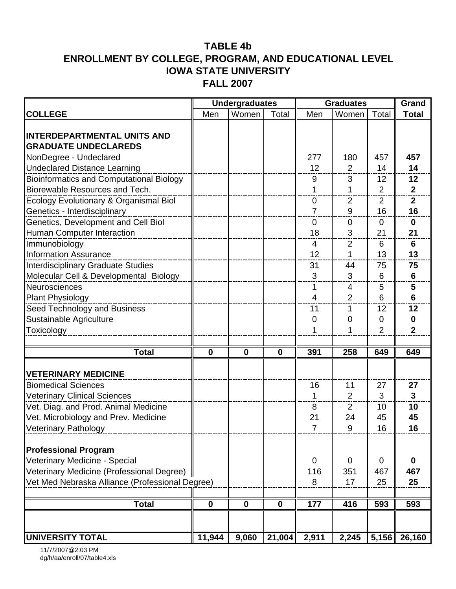|                                                 | <b>Undergraduates</b> |             |             | <b>Graduates</b> |                | Grand          |                |
|-------------------------------------------------|-----------------------|-------------|-------------|------------------|----------------|----------------|----------------|
| <b>COLLEGE</b>                                  | Men                   | Women       | Total       | Men              | Women          | Total          | <b>Total</b>   |
|                                                 |                       |             |             |                  |                |                |                |
| <b>INTERDEPARTMENTAL UNITS AND</b>              |                       |             |             |                  |                |                |                |
| <b>GRADUATE UNDECLAREDS</b>                     |                       |             |             |                  |                |                |                |
| NonDegree - Undeclared                          |                       |             |             | 277              | 180            | 457            | 457            |
| <b>Undeclared Distance Learning</b>             |                       |             |             | 12               | $\overline{2}$ | 14             | 14             |
| <b>Bioinformatics and Computational Biology</b> |                       |             |             | 9                | 3              | 12             | 12             |
| Biorewable Resources and Tech.                  |                       |             |             | 1                | 1              | $\overline{2}$ | $\mathbf{2}$   |
| Ecology Evolutionary & Organismal Biol          |                       |             |             | 0                | $\overline{2}$ | $\overline{2}$ | $\mathbf{2}$   |
| Genetics - Interdisciplinary                    |                       |             |             | $\overline{7}$   | 9              | 16             | 16             |
| Genetics, Development and Cell Biol             |                       |             |             | 0                | 0              | 0              | $\mathbf 0$    |
| Human Computer Interaction                      |                       |             |             | 18               | 3              | 21             | 21             |
| Immunobiology                                   |                       |             |             | 4                | $\overline{2}$ | 6              | 6              |
| <b>Information Assurance</b>                    |                       |             |             | 12               | 1              | 13             | 13             |
| <b>Interdisciplinary Graduate Studies</b>       |                       |             |             | 31               | 44             | 75             | 75             |
| Molecular Cell & Developmental Biology          |                       |             |             | 3                | 3              | 6              | $6\phantom{1}$ |
| Neurosciences                                   |                       |             |             | 1                | $\overline{4}$ | 5              | 5              |
| <b>Plant Physiology</b>                         |                       |             |             | 4                | $\overline{2}$ | 6              | $6\phantom{1}$ |
| Seed Technology and Business                    |                       |             |             | 11               | $\mathbf{1}$   | 12             | 12             |
| Sustainable Agriculture                         |                       |             |             | 0                | 0              | 0              | $\mathbf 0$    |
| Toxicology                                      |                       |             |             |                  |                | $\overline{2}$ | $\overline{2}$ |
|                                                 |                       |             |             |                  |                |                |                |
| <b>Total</b>                                    | $\mathbf 0$           | $\mathbf 0$ | $\mathbf 0$ | 391              | 258            | 649            | 649            |
| <b>VETERINARY MEDICINE</b>                      |                       |             |             |                  |                |                |                |
| <b>Biomedical Sciences</b>                      |                       |             |             | 16               | 11             | 27             | 27             |
| <b>Veterinary Clinical Sciences</b>             |                       |             |             | 1                | $\overline{2}$ | 3              | 3              |
| Vet. Diag. and Prod. Animal Medicine            |                       |             |             | 8                | $\overline{2}$ | 10             | 10             |
| Vet. Microbiology and Prev. Medicine            |                       |             |             | 21               | 24             | 45             | 45             |
| <b>Veterinary Pathology</b>                     |                       |             |             | 7                | a              | 16             | 16             |
|                                                 |                       |             |             |                  |                |                |                |
| <b>Professional Program</b>                     |                       |             |             |                  |                |                |                |
| Veterinary Medicine - Special                   |                       |             |             | $\mathbf 0$      | 0              | 0              | $\mathbf 0$    |
| Veterinary Medicine (Professional Degree)       |                       |             |             | 116              | 351            | 467            | 467            |
| Vet Med Nebraska Alliance (Professional Degree) |                       |             |             | 8                | 17             | 25             | 25             |
|                                                 |                       |             |             |                  |                |                |                |
| <b>Total</b>                                    | $\mathbf 0$           | $\mathbf 0$ | $\mathbf 0$ | 177              | 416            | 593            | 593            |
|                                                 |                       |             |             |                  |                |                |                |
| <b>UNIVERSITY TOTAL</b>                         | 11,944                | 9,060       | 21,004      | 2,911            | 2,245          |                | $5,156$ 26,160 |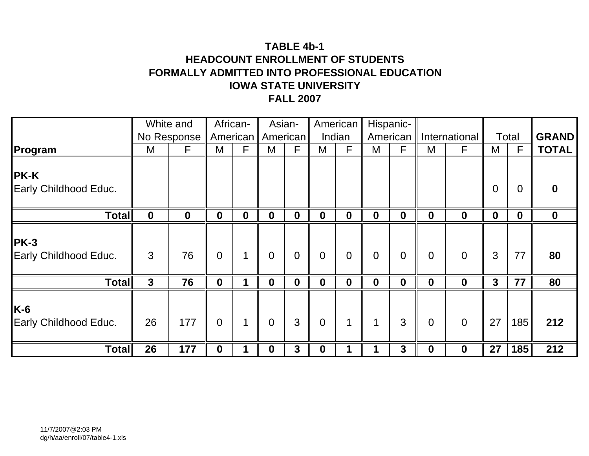# **TABLE 4b-1HEADCOUNT ENROLLMENT OF STUDENTSFORMALLY ADMITTED INTO PROFESSIONAL EDUCATION IOWA STATE UNIVERSITYFALL 2007**

|                                      | White and   |                  | African-         |                  | Asian-              |                  |                | American       |                  | Hispanic-      |                |                |                |                  |              |
|--------------------------------------|-------------|------------------|------------------|------------------|---------------------|------------------|----------------|----------------|------------------|----------------|----------------|----------------|----------------|------------------|--------------|
|                                      |             | No Response      |                  |                  | American   American |                  | Indian         |                |                  | American       |                | International  |                | Total            | <b>GRAND</b> |
| Program                              | M           | F.               | M                | F                | M                   | F                | M              | F              | M                | F              | M              | F              | M              | F                | <b>TOTAL</b> |
| <b>PK-K</b><br>Early Childhood Educ. |             |                  |                  |                  |                     |                  |                |                |                  |                |                |                | $\overline{0}$ | 0                | $\mathbf{0}$ |
| <b>Total</b>                         | $\mathbf 0$ | $\boldsymbol{0}$ | $\boldsymbol{0}$ | $\boldsymbol{0}$ | $\mathbf 0$         | $\boldsymbol{0}$ | $\mathbf 0$    | $\mathbf 0$    | $\boldsymbol{0}$ | $\mathbf 0$    | $\mathbf 0$    | $\mathbf 0$    | $\mathbf 0$    | $\boldsymbol{0}$ | $\mathbf 0$  |
| <b>PK-3</b><br>Early Childhood Educ. | 3           | 76               | $\overline{0}$   |                  | $\overline{0}$      | $\overline{0}$   | $\overline{0}$ | $\overline{0}$ | $\mathbf 0$      | $\overline{0}$ | $\overline{0}$ | $\overline{0}$ | 3              | 77               | 80           |
| <b>Total</b>                         | 3           | 76               | $\mathbf 0$      |                  | $\mathbf 0$         | $\mathbf 0$      | $\mathbf 0$    | $\mathbf 0$    | $\boldsymbol{0}$ | $\mathbf 0$    | $\mathbf 0$    | $\mathbf 0$    | $\mathbf{3}$   | 77               | 80           |
| $K-6$<br>Early Childhood Educ.       | 26          | 177              | $\overline{0}$   |                  | $\overline{0}$      | 3                | $\overline{0}$ | $\mathbf 1$    | 1                | 3              | $\overline{0}$ | $\overline{0}$ | 27             | 185              | 212          |
| <b>Total</b>                         | 26          | 177              | 0                |                  | $\bf{0}$            | 3                | 0              |                |                  | 3              | $\bf{0}$       | $\mathbf 0$    | 27             | 185              | 212          |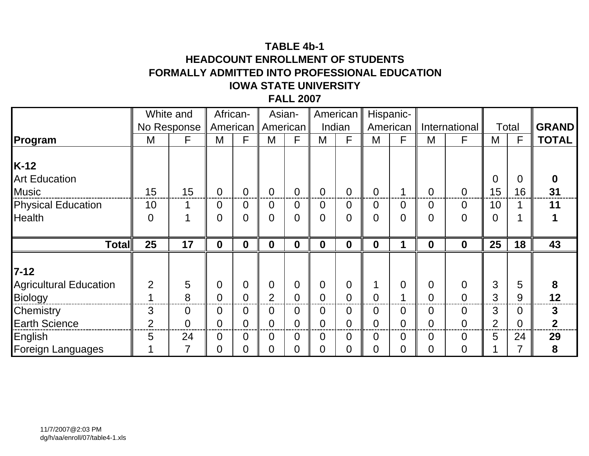# **TABLE 4b-1HEADCOUNT ENROLLMENT OF STUDENTSFORMALLY ADMITTED INTO PROFESSIONAL EDUCATION IOWA STATE UNIVERSITYFALL 2007**

|                               |                | White and   | African-       |                | Asian-               |                  | American       |                  |                  | Hispanic-      |                |                  |                |       |              |
|-------------------------------|----------------|-------------|----------------|----------------|----------------------|------------------|----------------|------------------|------------------|----------------|----------------|------------------|----------------|-------|--------------|
|                               |                | No Response |                |                | American    American |                  |                | Indian           |                  | American       |                | International    |                | Total | <b>GRAND</b> |
| Program                       | M              | F           | M              | F              | M                    | F                | M              | F                | M                | F              | M              | F                | M              | F     | <b>TOTAL</b> |
|                               |                |             |                |                |                      |                  |                |                  |                  |                |                |                  |                |       |              |
| $K-12$                        |                |             |                |                |                      |                  |                |                  |                  |                |                |                  |                |       |              |
| <b>Art Education</b>          |                |             |                |                |                      |                  |                |                  |                  |                |                |                  | $\overline{0}$ | 0     | 0            |
| <b>Music</b>                  | 15             | 15          | $\Omega$       | $\overline{0}$ | $\overline{0}$       | $\overline{0}$   | $\Omega$       | $\overline{0}$   | $\overline{0}$   |                | $\overline{0}$ | $\Omega$         | 15             | 16    | 31           |
| <b>Physical Education</b>     | 10             |             | $\overline{0}$ | 0              | $\overline{0}$       | $\overline{0}$   | 0              | $\overline{0}$   | 0                | $\overline{0}$ | $\overline{0}$ | $\overline{0}$   | 10             |       | 11           |
| <b>Health</b>                 | $\overline{0}$ |             | $\Omega$       | $\overline{0}$ | $\overline{0}$       | $\overline{0}$   | $\Omega$       | $\overline{0}$   | $\overline{0}$   | $\overline{0}$ | $\Omega$       | $\overline{0}$   | 0              |       |              |
|                               |                |             |                |                |                      |                  |                |                  |                  |                |                |                  |                |       |              |
| <b>Total</b>                  | 25             | 17          | $\mathbf 0$    | 0              | $\boldsymbol{0}$     | $\boldsymbol{0}$ | $\mathbf 0$    | $\boldsymbol{0}$ | $\boldsymbol{0}$ |                | $\mathbf 0$    | $\boldsymbol{0}$ | 25             | 18    | 43           |
|                               |                |             |                |                |                      |                  |                |                  |                  |                |                |                  |                |       |              |
| $7 - 12$                      |                |             |                |                |                      |                  |                |                  |                  |                |                |                  |                |       |              |
| <b>Agricultural Education</b> | $\overline{2}$ | 5           | $\overline{0}$ | $\Omega$       | $\mathbf 0$          | $\overline{0}$   | 0              | $\overline{0}$   | 1                | $\overline{0}$ | $\overline{0}$ | $\overline{0}$   | 3              | 5     | 8            |
| Biology                       | 1              | 8           | $\overline{0}$ | $\overline{0}$ | $\overline{2}$       | $\overline{0}$   | $\overline{0}$ | $\overline{0}$   | $\overline{0}$   |                | $\overline{0}$ | $\overline{0}$   | 3              | 9     | 12           |
| Chemistry                     | 3              | 0           | 0              | 0              | $\overline{0}$       | 0                | 0              | $\overline{0}$   | 0                | $\overline{0}$ | $\Omega$       | $\overline{0}$   | 3              | 0     | 3            |
| <b>Earth Science</b>          | $\overline{2}$ | 0           | 0              |                | $\overline{0}$       | 0                | 0              | $\overline{0}$   | 0                | $\overline{0}$ | 0              | $\overline{0}$   | 2              | 0     | $\mathbf 2$  |
| English                       | 5              | 24          | $\Omega$       | $\Omega$       | $\overline{0}$       | $\overline{0}$   | 0              | $\overline{0}$   | 0                | $\overline{0}$ | $\Omega$       | $\Omega$         | 5              | 24    | 29           |
| Foreign Languages             |                |             | 0              | 0              | $\overline{0}$       | 0                | 0              | $\overline{0}$   | 0                | 0              | 0              | 0                |                |       | 8            |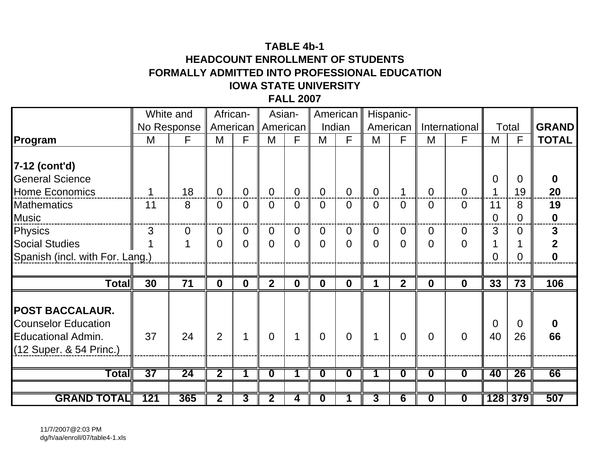# **TABLE 4b-1 HEADCOUNT ENROLLMENT OF STUDENTSFORMALLY ADMITTED INTO PROFESSIONAL EDUCATION IOWA STATE UNIVERSITYFALL 2007**

|                                 |     | White and   |                         | African-     | Asian-                  |                |                         | American                |                | Hispanic-               |                         |                         |                |              |              |
|---------------------------------|-----|-------------|-------------------------|--------------|-------------------------|----------------|-------------------------|-------------------------|----------------|-------------------------|-------------------------|-------------------------|----------------|--------------|--------------|
|                                 |     | No Response | American                |              |                         | American       |                         | Indian                  | American       |                         |                         | International           |                | Total        | <b>GRAND</b> |
| Program                         | M   | F           | M                       | F            | M                       | F              | M                       | F                       | M              | F                       | M                       | F                       | M              | $\mathsf{F}$ | <b>TOTAL</b> |
|                                 |     |             |                         |              |                         |                |                         |                         |                |                         |                         |                         |                |              |              |
| 7-12 (cont'd)                   |     |             |                         |              |                         |                |                         |                         |                |                         |                         |                         |                |              |              |
| <b>General Science</b>          |     |             |                         |              |                         |                |                         |                         |                |                         |                         |                         | 0              | $\Omega$     | 0            |
| <b>Home Economics</b>           | 1   | 18          | $\Omega$                | $\Omega$     | $\Omega$                | $\overline{0}$ | $\Omega$                | $\overline{0}$          | $\overline{0}$ |                         | $\Omega$                | $\overline{0}$          | 1              | 19           | 20           |
| <b>Mathematics</b>              | 11  | 8           | $\Omega$                | $\Omega$     | $\overline{0}$          | $\overline{0}$ | $\Omega$                | $\overline{0}$          | $\overline{0}$ | $\Omega$                | $\overline{0}$          | $\Omega$                | 11             | 8            | 19           |
| <b>Music</b>                    |     |             |                         |              |                         |                |                         |                         |                |                         |                         |                         | $\overline{0}$ | $\Omega$     | $\mathbf 0$  |
| <b>Physics</b>                  | 3   | $\Omega$    | $\Omega$                | $\Omega$     | $\overline{0}$          | $\Omega$       | 0                       | $\overline{0}$          | $\overline{0}$ | $\overline{0}$          | $\Omega$                | $\Omega$                | 3              | $\Omega$     | $\mathbf{3}$ |
| <b>Social Studies</b>           |     |             | $\overline{0}$          | $\Omega$     | $\overline{0}$          | $\Omega$       | $\Omega$                | $\overline{0}$          | $\overline{0}$ | $\Omega$                | $\Omega$                | $\Omega$                | 1              |              | 2            |
| Spanish (incl. with For. Lang.) |     |             |                         |              |                         |                |                         |                         |                |                         |                         |                         | $\Omega$       | 0            | $\mathbf 0$  |
|                                 |     |             |                         |              |                         |                |                         |                         |                |                         |                         |                         |                |              |              |
| <b>Total</b>                    | 30  | 71          | $\mathbf{0}$            | $\mathbf{0}$ | $\overline{2}$          | $\mathbf 0$    | $\mathbf 0$             | $\mathbf 0$             | 1              | $\overline{2}$          | $\mathbf 0$             | $\mathbf 0$             | 33             | 73           | 106          |
|                                 |     |             |                         |              |                         |                |                         |                         |                |                         |                         |                         |                |              |              |
| <b>POST BACCALAUR.</b>          |     |             |                         |              |                         |                |                         |                         |                |                         |                         |                         |                |              |              |
| <b>Counselor Education</b>      |     |             |                         |              |                         |                |                         |                         |                |                         |                         |                         | $\Omega$       | $\Omega$     | O            |
| <b>Educational Admin.</b>       | 37  | 24          | 2                       | 1            | $\overline{0}$          |                | $\Omega$                | $\overline{0}$          | $\mathbf 1$    | $\overline{0}$          | $\Omega$                | $\Omega$                | 40             | 26           | 66           |
| (12 Super. & 54 Princ.)         |     |             |                         |              |                         |                |                         |                         |                |                         |                         |                         |                |              |              |
|                                 |     |             |                         |              |                         |                |                         |                         |                |                         |                         |                         |                |              |              |
| $\sf Total$                     | 37  | 24          | $\overline{2}$          | 1            | $\overline{\mathbf{0}}$ |                | $\overline{\mathbf{0}}$ | $\overline{\mathbf{0}}$ |                | $\overline{\mathbf{0}}$ | $\mathbf 0$             | $\overline{\mathbf{0}}$ | 40             | 26           | 66           |
|                                 |     |             |                         |              |                         |                |                         |                         |                |                         |                         |                         |                |              |              |
| <b>GRAND TOTAL</b>              | 121 | 365         | $\overline{\mathbf{2}}$ | 3            | $\overline{\mathbf{2}}$ | 4              | $\boldsymbol{0}$        |                         | $\overline{3}$ | 6                       | $\overline{\mathbf{0}}$ | $\bf{0}$                |                | 128 379      | 507          |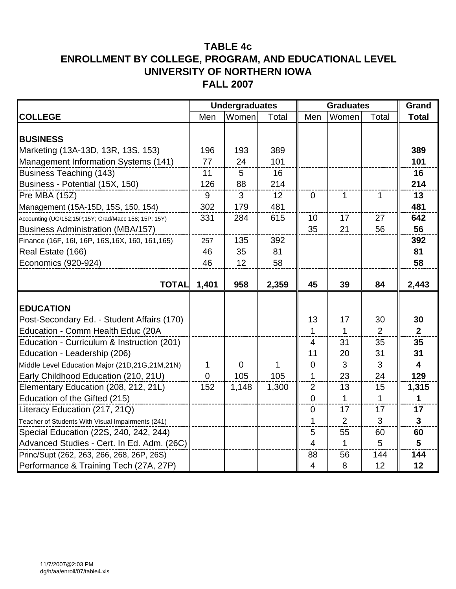|                                                      |             | <b>Undergraduates</b> |       | <b>Graduates</b> | Grand          |                |                         |
|------------------------------------------------------|-------------|-----------------------|-------|------------------|----------------|----------------|-------------------------|
| <b>COLLEGE</b>                                       | Men         | Women                 | Total | Men              | Women          | Total          | <b>Total</b>            |
|                                                      |             |                       |       |                  |                |                |                         |
| <b>BUSINESS</b>                                      |             |                       |       |                  |                |                |                         |
| Marketing (13A-13D, 13R, 13S, 153)                   | 196         | 193                   | 389   |                  |                |                | 389                     |
| Management Information Systems (141)                 | 77          | 24                    | 101   |                  |                |                | 101                     |
| <b>Business Teaching (143)</b>                       | 11          | 5                     | 16    |                  |                |                | 16                      |
| Business - Potential (15X, 150)                      | 126         | 88                    | 214   |                  |                |                | 214                     |
| Pre MBA (15Z)                                        | 9           | 3                     | 12    | $\mathbf 0$      | 1              | 1              | 13                      |
| Management (15A-15D, 15S, 150, 154)                  | 302         | 179                   | 481   |                  |                |                | 481                     |
| Accounting (UG/152;15P;15Y; Grad/Macc 158; 15P; 15Y) | 331         | 284                   | 615   | 10               | 17             | 27             | 642                     |
| <b>Business Administration (MBA/157)</b>             |             |                       |       | 35               | 21             | 56             | 56                      |
| Finance (16F, 16I, 16P, 16S, 16X, 160, 161, 165)     | 257         | 135                   | 392   |                  |                |                | 392                     |
| Real Estate (166)                                    | 46          | 35                    | 81    |                  |                |                | 81                      |
| Economics (920-924)                                  | 46          | 12                    | 58    |                  |                |                | 58                      |
|                                                      |             |                       |       |                  |                |                |                         |
| <b>TOTAL</b>                                         | 1,401       | 958                   | 2,359 | 45               | 39             | 84             | 2,443                   |
|                                                      |             |                       |       |                  |                |                |                         |
| <b>EDUCATION</b>                                     |             |                       |       |                  |                |                |                         |
| Post-Secondary Ed. - Student Affairs (170)           |             |                       |       | 13               | 17             | 30             | 30                      |
| Education - Comm Health Educ (20A                    |             |                       |       | $\mathbf 1$      | 1              | $\overline{2}$ | $\overline{2}$          |
| Education - Curriculum & Instruction (201)           |             |                       |       | $\overline{4}$   | 31             | 35             | 35                      |
| Education - Leadership (206)                         |             |                       |       | 11               | 20             | 31             | 31                      |
| Middle Level Education Major (21D,21G,21M,21N)       | $\mathbf 1$ | $\overline{0}$        | 1     | $\overline{0}$   | 3              | 3              | $\overline{\mathbf{4}}$ |
| Early Childhood Education (210, 21U)                 | $\mathbf 0$ | 105                   | 105   | 1                | 23             | 24             | 129                     |
| Elementary Education (208, 212, 21L)                 | 152         | 1,148                 | 1,300 | $\overline{2}$   | 13             | 15             | 1,315                   |
| Education of the Gifted (215)                        |             |                       |       | $\overline{0}$   | 1              | $\mathbf{1}$   | 1                       |
| Literacy Education (217, 21Q)                        |             |                       |       | $\overline{0}$   | 17             | 17             | 17                      |
| Teacher of Students With Visual Impairments (241)    |             |                       |       | 1                | $\overline{2}$ | 3              | $\mathbf{3}$            |
| Special Education (22S, 240, 242, 244)               |             |                       |       | 5                | 55             | 60             | 60                      |
| Advanced Studies - Cert. In Ed. Adm. (26C)           |             |                       |       | $\overline{4}$   | 1              | 5              | 5                       |
| Princ/Supt (262, 263, 266, 268, 26P, 26S)            |             |                       |       | 88               | 56             | 144            | 144                     |
| Performance & Training Tech (27A, 27P)               |             |                       |       | $\overline{4}$   | 8              | 12             | 12                      |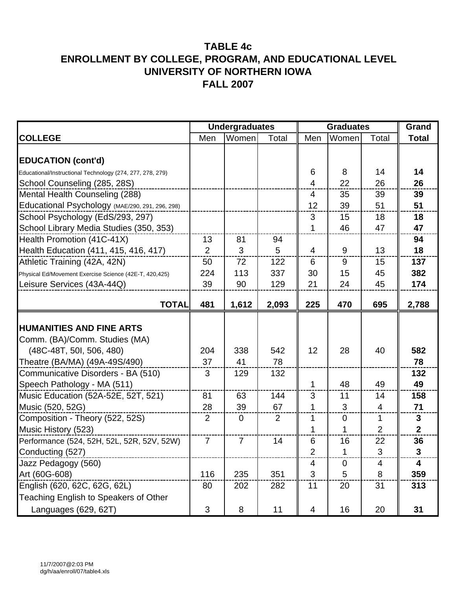|                                                           | <b>Undergraduates</b><br><b>Graduates</b> |                |                |                |             | Grand |                |
|-----------------------------------------------------------|-------------------------------------------|----------------|----------------|----------------|-------------|-------|----------------|
| <b>COLLEGE</b>                                            | Men                                       | Women          | Total          | Men            | Women       | Total | <b>Total</b>   |
|                                                           |                                           |                |                |                |             |       |                |
| <b>EDUCATION (cont'd)</b>                                 |                                           |                |                |                |             |       |                |
| Educational/Instructional Technology (274, 277, 278, 279) |                                           |                |                | 6              | 8           | 14    | 14             |
| School Counseling (285, 28S)                              |                                           |                |                | $\overline{4}$ | 22          | 26    | 26             |
| Mental Health Counseling (288)                            |                                           |                |                | 4              | 35          | 39    | 39             |
| Educational Psychology (MAE/290, 291, 296, 298)           |                                           |                |                | 12             | 39          | 51    | 51             |
| School Psychology (EdS/293, 297)                          |                                           |                |                | 3              | 15          | 18    | 18             |
| School Library Media Studies (350, 353)                   |                                           |                |                | 1              | 46          | 47    | 47             |
| Health Promotion (41C-41X)                                | 13                                        | 81             | 94             |                |             |       | 94             |
| Health Education (411, 415, 416, 417)                     | $\overline{2}$                            | 3              | 5              | 4              | 9           | 13    | 18             |
| Athletic Training (42A, 42N)                              | 50                                        | 72             | 122            | 6              | 9           | 15    | 137            |
| Physical Ed/Movement Exercise Science (42E-T, 420,425)    | 224                                       | 113            | 337            | 30             | 15          | 45    | 382            |
| Leisure Services (43A-44Q)                                | 39                                        | 90             | 129            | 21             | 24          | 45    | 174            |
|                                                           |                                           |                |                |                |             |       |                |
| <b>TOTAL</b>                                              | 481                                       | 1,612          | 2,093          | 225            | 470         | 695   | 2,788          |
|                                                           |                                           |                |                |                |             |       |                |
| <b>HUMANITIES AND FINE ARTS</b>                           |                                           |                |                |                |             |       |                |
| Comm. (BA)/Comm. Studies (MA)                             |                                           |                |                |                |             |       |                |
| (48C-48T, 50I, 506, 480)                                  | 204                                       | 338            | 542            | 12             | 28          | 40    | 582            |
| Theatre (BA/MA) (49A-49S/490)                             | 37                                        | 41             | 78             |                |             |       | 78             |
| Communicative Disorders - BA (510)                        | 3                                         | 129            | 132            |                |             |       | 132            |
| Speech Pathology - MA (511)                               |                                           |                |                | 1              | 48          | 49    | 49             |
| Music Education (52A-52E, 52T, 521)                       | 81                                        | 63             | 144            | 3              | 11          | 14    | 158            |
| Music (520, 52G)                                          | 28                                        | 39             | 67             | 1              | 3           | 4     | 71             |
| Composition - Theory (522, 52S)                           | 2                                         | $\mathbf 0$    | $\overline{2}$ | 1              | $\mathbf 0$ | 1     | $\mathbf{3}$   |
| Music History (523)                                       |                                           |                |                | 1              | 1           | 2     | $\overline{2}$ |
| Performance (524, 52H, 52L, 52R, 52V, 52W)                | $\overline{7}$                            | $\overline{7}$ | 14             | 6              | 16          | 22    | 36             |
| Conducting (527)                                          |                                           |                |                | 2              | 1.          | 3     | 3              |
| Jazz Pedagogy (560)                                       |                                           |                |                | 4              | $\pmb{0}$   | 4     | 4              |
| Art (60G-608)                                             | 116                                       | 235            | 351            | 3              | 5           | 8     | 359            |
| English (620, 62C, 62G, 62L)                              | 80                                        | 202            | 282            | 11             | 20          | 31    | 313            |
| Teaching English to Speakers of Other                     |                                           |                |                |                |             |       |                |
| Languages (629, 62T)                                      | 3                                         | 8              | 11             | 4              | 16          | 20    | 31             |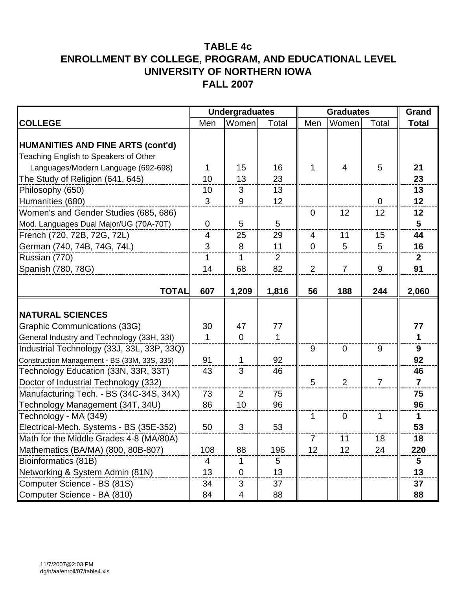|                                                                                   |                | <b>Undergraduates</b> |       | <b>Graduates</b> | Grand          |                |                |
|-----------------------------------------------------------------------------------|----------------|-----------------------|-------|------------------|----------------|----------------|----------------|
| <b>COLLEGE</b>                                                                    | Men            | Women                 | Total | Men              | Women          | Total          | <b>Total</b>   |
| <b>HUMANITIES AND FINE ARTS (cont'd)</b><br>Teaching English to Speakers of Other |                |                       |       |                  |                |                |                |
| Languages/Modern Language (692-698)                                               | 1              | 15                    | 16    | 1                | $\overline{4}$ | 5              | 21             |
| The Study of Religion (641, 645)                                                  | 10             | 13                    | 23    |                  |                |                | 23             |
| Philosophy (650)                                                                  | 10             | 3                     | 13    |                  |                |                | 13             |
| Humanities (680)                                                                  | 3              | 9                     | 12    |                  |                | $\overline{0}$ | 12             |
| Women's and Gender Studies (685, 686)                                             |                |                       |       | $\overline{0}$   | 12             | 12             | 12             |
| Mod. Languages Dual Major/UG (70A-70T)                                            | $\Omega$       | 5                     | 5     |                  |                |                | 5              |
| French (720, 72B, 72G, 72L)                                                       | $\overline{4}$ | 25                    | 29    | $\overline{4}$   | 11             | 15             | 44             |
| German (740, 74B, 74G, 74L)                                                       | 3              | 8                     | 11    | $\overline{0}$   | 5              | 5              | 16             |
| Russian (770)                                                                     | 1              | 1                     | 2     |                  |                |                | $\mathbf{2}$   |
| Spanish (780, 78G)                                                                | 14             | 68                    | 82    | 2                | $\overline{7}$ | 9              | 91             |
| <b>TOTAL</b>                                                                      | 607            | 1,209                 | 1,816 | 56               | 188            | 244            | 2,060          |
| <b>NATURAL SCIENCES</b>                                                           |                |                       |       |                  |                |                |                |
| Graphic Communications (33G)                                                      | 30             | 47                    | 77    |                  |                |                | 77             |
| General Industry and Technology (33H, 33I)                                        | 1              | $\mathbf 0$           | 1     |                  |                |                | $\mathbf{1}$   |
| Industrial Technology (33J, 33L, 33P, 33Q)                                        |                |                       |       | 9                | $\overline{0}$ | 9              | 9              |
| Construction Management - BS (33M, 33S, 335)                                      | 91             | 1                     | 92    |                  |                |                | 92             |
| Technology Education (33N, 33R, 33T)                                              | 43             | 3                     | 46    |                  |                |                | 46             |
| Doctor of Industrial Technology (332)                                             |                |                       |       | 5                | 2              | $\overline{7}$ | $\overline{7}$ |
| Manufacturing Tech. - BS (34C-34S, 34X)                                           | 73             | $\overline{2}$        | 75    |                  |                |                | 75             |
| Technology Management (34T, 34U)                                                  | 86             | 10                    | 96    |                  |                |                | 96             |
| Technology - MA (349)                                                             |                |                       |       | $\mathbf{1}$     | $\mathbf 0$    | $\mathbf 1$    | $\mathbf{1}$   |
| Electrical-Mech. Systems - BS (35E-352)                                           | 50             | 3                     | 53    |                  |                |                | 53             |
| Math for the Middle Grades 4-8 (MA/80A)                                           |                |                       |       | $\overline{7}$   | 11             | 18             | 18             |
| Mathematics (BA/MA) (800, 80B-807)                                                | 108            | 88                    | 196   | 12               | 12             | 24             | 220            |
| Bioinformatics (81B)                                                              | 4              | 1                     | 5     |                  |                |                | 5              |
| Networking & System Admin (81N)                                                   | 13             | $\mathbf 0$           | 13    |                  |                |                | 13             |
| Computer Science - BS (81S)                                                       | 34             | $\mathfrak{S}$        | 37    |                  |                |                | 37             |
| Computer Science - BA (810)                                                       | 84             | 4                     | 88    |                  |                |                | 88             |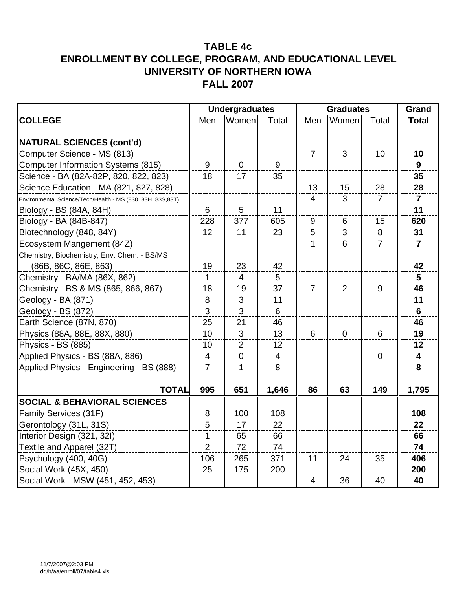|                                                                                                              |                | <b>Undergraduates</b> |                          | <b>Graduates</b> |                  |                |                      |
|--------------------------------------------------------------------------------------------------------------|----------------|-----------------------|--------------------------|------------------|------------------|----------------|----------------------|
| <b>COLLEGE</b>                                                                                               | Men            | Women                 | Total                    | Men              | Women            | Total          | <b>Total</b>         |
| <b>NATURAL SCIENCES (cont'd)</b><br>Computer Science - MS (813)<br><b>Computer Information Systems (815)</b> | 9              | $\overline{0}$        | 9                        | $\overline{7}$   | 3                | 10             | 10<br>9              |
| Science - BA (82A-82P, 820, 822, 823)                                                                        | 18             | 17                    | 35                       |                  |                  |                | 35                   |
| Science Education - MA (821, 827, 828)                                                                       |                |                       |                          | 13               | 15               | 28             | 28                   |
| Environmental Science/Tech/Health - MS (830, 83H, 83S,83T)<br>Biology - BS (84A, 84H)                        | 6              | 5                     | 11                       | $\overline{4}$   | 3                | $\overline{7}$ | $\overline{7}$<br>11 |
| Biology - BA (84B-847)                                                                                       | 228            | 377                   | 605                      | $9\,$            | 6                | 15             | 620                  |
| Biotechnology (848, 84Y)                                                                                     | 12             | 11                    | 23                       | 5                | 3                | 8              | 31                   |
| Ecosystem Mangement (84Z)<br>Chemistry, Biochemistry, Env. Chem. - BS/MS<br>(86B, 86C, 86E, 863)             | 19             | 23                    | 42                       | 1                | 6                | $\overline{7}$ | 7<br>42              |
| Chemistry - BA/MA (86X, 862)                                                                                 | 1              | $\overline{4}$        | 5                        |                  |                  |                | 5                    |
| Chemistry - BS & MS (865, 866, 867)                                                                          | 18             | 19                    | 37                       | $\overline{7}$   | 2                | 9              | 46                   |
| Geology - BA (871)                                                                                           | $\,8\,$        | 3                     | 11                       |                  |                  |                | 11                   |
| Geology - BS (872)                                                                                           | 3              | 3                     | $6\phantom{1}$           |                  |                  |                | $6\phantom{1}$       |
| Earth Science (87N, 870)                                                                                     | 25             | 21                    | 46                       |                  |                  |                | 46                   |
| Physics (88A, 88E, 88X, 880)                                                                                 | 10             | 3                     | 13                       | 6                | $\boldsymbol{0}$ | 6              | 19                   |
| Physics - BS (885)                                                                                           | 10             | $\overline{2}$        | 12                       |                  |                  |                | 12                   |
| Applied Physics - BS (88A, 886)                                                                              | $\overline{4}$ | 0                     | $\overline{\mathcal{A}}$ |                  |                  | 0              | $\boldsymbol{4}$     |
| Applied Physics - Engineering - BS (888)                                                                     | $\overline{7}$ | 1                     | 8                        |                  |                  |                | 8                    |
| <b>TOTAL</b>                                                                                                 | 995            | 651                   | 1,646                    | 86               | 63               | 149            | 1,795                |
| <b>SOCIAL &amp; BEHAVIORAL SCIENCES</b>                                                                      |                |                       |                          |                  |                  |                |                      |
| Family Services (31F)                                                                                        | 8              | 100                   | 108                      |                  |                  |                | 108                  |
| Gerontology (31L, 31S)                                                                                       | 5              | 17                    | 22                       |                  |                  |                | 22                   |
| Interior Design (321, 32I)                                                                                   | $\mathbf{1}$   | 65                    | 66                       |                  |                  |                | 66                   |
| Textile and Apparel (32T)                                                                                    | $\overline{2}$ | 72                    | 74                       |                  |                  |                | 74                   |
| Psychology (400, 40G)                                                                                        | 106            | 265                   | 371                      | 11               | 24               | 35             | 406                  |
| Social Work (45X, 450)                                                                                       | 25             | 175                   | 200                      |                  |                  |                | 200                  |
| Social Work - MSW (451, 452, 453)                                                                            |                |                       |                          | 4                | 36               | 40             | 40                   |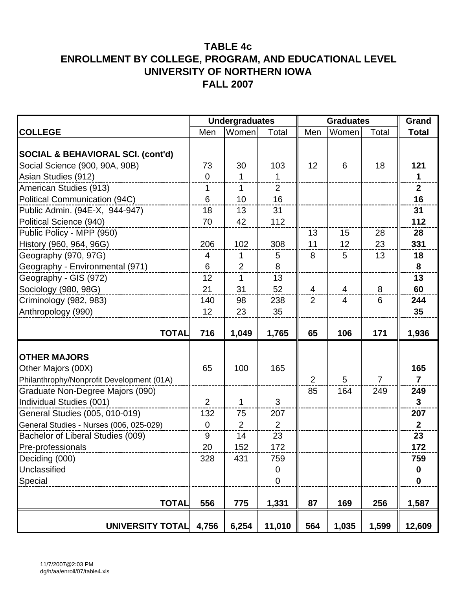|                                              |                | <b>Undergraduates</b> |              |                | <b>Graduates</b> | Grand          |                  |
|----------------------------------------------|----------------|-----------------------|--------------|----------------|------------------|----------------|------------------|
| <b>COLLEGE</b>                               | Men            | Women                 | Total        | Men            | Women            | Total          | <b>Total</b>     |
|                                              |                |                       |              |                |                  |                |                  |
| <b>SOCIAL &amp; BEHAVIORAL SCI. (cont'd)</b> |                |                       |              |                |                  |                |                  |
| Social Science (900, 90A, 90B)               | 73             | 30                    | 103          | 12             | 6                | 18             | 121              |
| Asian Studies (912)                          | $\mathbf 0$    | $\mathbf 1$           | $\mathbf{1}$ |                |                  |                | $\mathbf{1}$     |
| American Studies (913)                       | 1              | 1                     | 2            |                |                  |                | $\overline{2}$   |
| Political Communication (94C)                | 6              | 10                    | 16           |                |                  |                | 16               |
| Public Admin. (94E-X, 944-947)               | 18             | 13                    | 31           |                |                  |                | 31               |
| Political Science (940)                      | 70             | 42                    | 112          |                |                  |                | 112              |
| Public Policy - MPP (950)                    |                |                       |              | 13             | 15               | 28             | 28               |
| History (960, 964, 96G)                      | 206            | 102                   | 308          | 11             | 12               | 23             | 331              |
| Geography (970, 97G)                         | $\overline{4}$ | 1                     | 5            | 8              | 5                | 13             | 18               |
| Geography - Environmental (971)              | 6              | $\overline{2}$        | 8            |                |                  |                | 8                |
| Geography - GIS (972)                        | 12             | 1                     | 13           |                |                  |                | 13               |
| Sociology (980, 98G)                         | 21             | 31                    | 52           | $\overline{4}$ | 4                | 8              | 60               |
| Criminology (982, 983)                       | 140            | 98                    | 238          | $\overline{2}$ | $\overline{4}$   | 6              | 244              |
| Anthropology (990)                           | 12             | 23                    | 35           |                |                  |                | 35               |
|                                              |                |                       |              |                |                  |                |                  |
| <b>TOTAL</b>                                 | 716            | 1,049                 | 1,765        | 65             | 106              | 171            | 1,936            |
|                                              |                |                       |              |                |                  |                |                  |
| <b>OTHER MAJORS</b>                          |                |                       |              |                |                  |                |                  |
| Other Majors (00X)                           | 65             | 100                   | 165          |                |                  |                | 165              |
| Philanthrophy/Nonprofit Development (01A)    |                |                       |              | $\overline{2}$ | 5                | $\overline{7}$ | $\overline{7}$   |
| Graduate Non-Degree Majors (090)             |                |                       |              | 85             | 164              | 249            | 249              |
| Individual Studies (001)                     | $\overline{2}$ | 1                     | 3            |                |                  |                | $\overline{3}$   |
| General Studies (005, 010-019)               | 132            | 75                    | 207          |                |                  |                | 207              |
| General Studies - Nurses (006, 025-029)      | $\mathbf 0$    | $\overline{2}$        | 2            |                |                  |                | 2 <sup>1</sup>   |
| Bachelor of Liberal Studies (009)            | 9              | 14                    | 23           |                |                  |                | 23               |
| Pre-professionals                            | 20             | 152                   | 172          |                |                  |                | 172              |
| Deciding (000)                               | 328            | 431                   | 759          |                |                  |                | 759              |
| Unclassified                                 |                |                       | 0            |                |                  |                | $\boldsymbol{0}$ |
| Special                                      |                |                       | $\mathbf 0$  |                |                  |                | $\mathbf 0$      |
|                                              |                |                       |              |                |                  |                |                  |
| <b>TOTAL</b>                                 | 556            | 775                   | 1,331        | 87             | 169              | 256            | 1,587            |
| <b>UNIVERSITY TOTAL</b>                      | 4,756          | 6,254                 | 11,010       | 564            | 1,035            | 1,599          | 12,609           |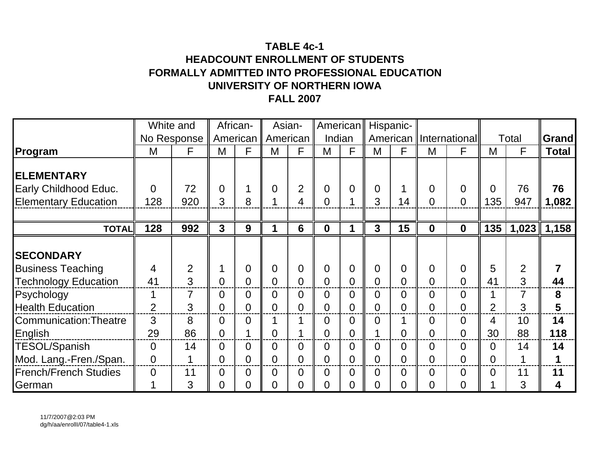# **TABLE 4c-1HEADCOUNT ENROLLMENT OF STUDENTSFORMALLY ADMITTED INTO PROFESSIONAL EDUCATION UNIVERSITY OF NORTHERN IOWAFALL 2007**

|                               | White and      |                |                | African-       |                | Asian-         | American         |                |                | Hispanic-      |                |                          |                |                |              |
|-------------------------------|----------------|----------------|----------------|----------------|----------------|----------------|------------------|----------------|----------------|----------------|----------------|--------------------------|----------------|----------------|--------------|
|                               |                | No Response    |                | American       | American       |                | Indian           |                |                |                |                | American   International |                | Total          | <b>Grand</b> |
| Program                       | M              | F              | M              | F              | M              | F              | M                | F              | M              | F              | M              | F                        | M              | F              | <b>Total</b> |
| <b>ELEMENTARY</b>             |                |                |                |                |                |                |                  |                |                |                |                |                          |                |                |              |
| Early Childhood Educ.         | $\Omega$       | 72             | $\Omega$       |                | $\overline{0}$ | $\overline{2}$ | $\overline{0}$   | 0              | $\overline{0}$ |                | $\Omega$       | $\overline{0}$           | $\Omega$       | 76             | 76           |
| <b>Elementary Education</b>   | 128            | 920            | 3              | 8              |                | 4              | 0                | 1              | 3              | 14             | $\overline{0}$ | $\overline{0}$           | 135            | 947            | 1,082        |
|                               |                |                |                |                |                |                |                  |                |                |                |                |                          |                |                |              |
| <b>TOTAL</b>                  | 128            | 992            | $\mathbf{3}$   | 9              | 1              | 6              | $\boldsymbol{0}$ | 1              | $\overline{3}$ | 15             | $\mathbf 0$    | $\mathbf 0$              | 135            | 1,023          | 1,158        |
|                               |                |                |                |                |                |                |                  |                |                |                |                |                          |                |                |              |
| <b>SECONDARY</b>              |                |                |                |                |                |                |                  |                |                |                |                |                          |                |                |              |
| <b>Business Teaching</b>      | $\overline{4}$ | $\overline{2}$ |                | $\overline{0}$ | $\overline{0}$ | $\overline{0}$ | $\overline{0}$   | 0              | $\overline{0}$ | $\Omega$       | $\Omega$       | $\overline{0}$           | 5              | $\overline{2}$ |              |
| <b>Technology Education</b>   | 41             | 3              | $\Omega$       | $\overline{0}$ | $\Omega$       | $\overline{0}$ | 0                | 0              | $\overline{0}$ | $\overline{0}$ | $\overline{0}$ | $\overline{0}$           | 41             | 3              | 44           |
| Psychology                    | 1              | 7              | $\Omega$       | 0              | $\overline{0}$ | $\overline{0}$ | 0                | 0              | $\overline{0}$ | $\overline{0}$ | $\Omega$       | $\overline{0}$           |                | 7              | 8            |
| <b>Health Education</b>       | 2              | 3              | 0              | $\overline{0}$ | 0              | $\overline{0}$ | 0                | 0              | $\overline{0}$ | $\overline{0}$ | $\overline{0}$ | $\Omega$                 | 2              | 3              | 5            |
| <b>Communication: Theatre</b> | 3              | 8              | $\overline{0}$ | $\overline{0}$ |                | 1              | 0                | 0              | $\overline{0}$ |                | $\overline{0}$ | $\overline{0}$           | 4              | 10             | 14           |
| English                       | 29             | 86             | $\overline{0}$ |                | $\overline{0}$ |                | $\overline{0}$   | $\overline{0}$ | 1              | $\overline{0}$ | $\overline{0}$ | $\overline{0}$           | 30             | 88             | 118          |
| <b>TESOL/Spanish</b>          | $\overline{0}$ | 14             | $\Omega$       | $\overline{0}$ | $\overline{0}$ | $\overline{0}$ | 0                | 0              | $\overline{0}$ | $\overline{0}$ | $\overline{0}$ | $\overline{0}$           | $\overline{0}$ | 14             | 14           |
| Mod. Lang.-Fren./Span.        | $\overline{0}$ | 1              | 0              | $\overline{0}$ | 0              | $\overline{0}$ | 0                | 0              | $\overline{0}$ | $\overline{0}$ | $\overline{0}$ | $\Omega$                 | $\overline{0}$ | 1              | 1            |
| <b>French/French Studies</b>  | $\overline{0}$ | 11             | 0              | $\overline{0}$ | 0              | $\overline{0}$ | 0                | 0              | $\overline{0}$ | $\overline{0}$ | $\overline{0}$ | $\overline{0}$           | $\overline{0}$ | 11             | 11           |
| German                        | 1              | 3              | 0              | 0              | $\overline{0}$ | $\overline{0}$ | 0                | 0              | $\overline{0}$ | 0              | 0              | $\overline{0}$           |                | 3              | 4            |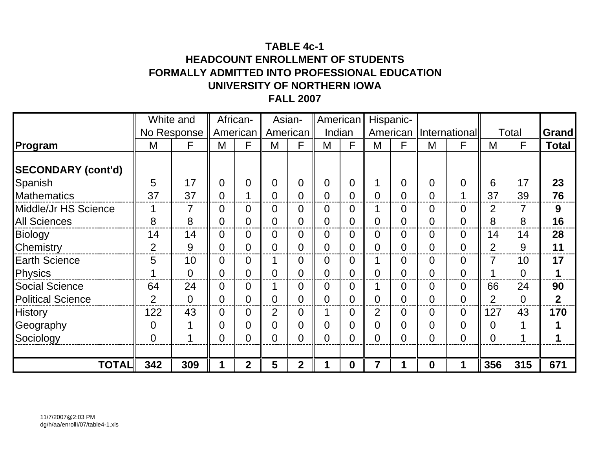# **TABLE 4c-1HEADCOUNT ENROLLMENT OF STUDENTSFORMALLY ADMITTED INTO PROFESSIONAL EDUCATION UNIVERSITY OF NORTHERN IOWAFALL 2007**

|                           |                | White and      |                | African-       |                | Asian-         | American       |             | Hispanic-      |                |                |                |                |                |              |
|---------------------------|----------------|----------------|----------------|----------------|----------------|----------------|----------------|-------------|----------------|----------------|----------------|----------------|----------------|----------------|--------------|
|                           |                | No Response    |                | American       |                | American       | Indian         |             | American       |                |                | International  |                | Total          | Grand        |
| Program                   | M              | F              | M              | F              | M              | F              | M              | F           | M              | F              | M              | F              | M              | F              | <b>Total</b> |
| <b>SECONDARY (cont'd)</b> |                |                |                |                |                |                |                |             |                |                |                |                |                |                |              |
| Spanish                   | 5              | 17             | 0              | $\overline{0}$ | $\Omega$       | $\overline{0}$ | $\overline{0}$ | 0           |                | $\overline{0}$ | $\overline{0}$ | $\Omega$       | 6              | 17             | 23           |
| <b>Mathematics</b>        | 37             | 37             | 0              |                | $\Omega$       | $\overline{0}$ | $\overline{0}$ | 0           | $\overline{0}$ | 0              | $\overline{0}$ |                | 37             | 39             | 76           |
| Middle/Jr HS Science      |                | 7              | 0              | 0              | 0              | $\overline{0}$ | $\overline{0}$ | 0           |                | 0              | $\overline{0}$ | 0              | 2              |                | 9            |
| <b>All Sciences</b>       | 8              | 8              | 0              | $\Omega$       | $\Omega$       | $\overline{0}$ | $\overline{0}$ | 0           | $\overline{0}$ | 0              | 0              | $\overline{0}$ | 8              | 8              | 16           |
| <b>Biology</b>            | 14             | 14             | 0              | 0              | 0              | $\overline{0}$ | $\overline{0}$ | 0           | 0              | 0              | 0              | $\overline{0}$ | 14             | 14             | 28           |
| Chemistry                 | $\overline{2}$ | 9              | $\overline{0}$ | $\overline{0}$ | $\overline{0}$ | $\overline{0}$ | $\overline{0}$ | 0           | $\overline{0}$ | $\overline{0}$ | $\overline{0}$ | $\overline{0}$ | $\overline{2}$ | 9              | 11           |
| <b>Earth Science</b>      | 5              | 10             | $\Omega$       | $\Omega$       |                | $\overline{0}$ | $\overline{0}$ | 0           |                | $\overline{0}$ | $\overline{0}$ | $\Omega$       | 7              | 10             | 17           |
| Physics                   |                | $\overline{0}$ | 0              | $\Omega$       | 0              | $\overline{0}$ | $\overline{0}$ | 0           | $\overline{0}$ | 0              | $\overline{0}$ | $\Omega$       | ◢              | $\overline{0}$ |              |
| <b>Social Science</b>     | 64             | 24             | 0              | 0              |                | $\overline{0}$ | $\overline{0}$ | 0           |                | 0              | $\overline{0}$ | $\Omega$       | 66             | 24             | 90           |
| <b>Political Science</b>  | $\overline{2}$ | $\overline{0}$ | 0              | 0              | $\overline{0}$ | $\overline{0}$ | 0              | 0           | 0              | 0              | 0              | $\overline{0}$ | 2              | $\overline{0}$ | $\mathbf 2$  |
| <b>History</b>            | 122            | 43             | 0              | $\overline{0}$ | $\overline{2}$ | $\overline{0}$ |                | 0           | $\overline{2}$ | 0              | 0              | $\overline{0}$ | 127            | 43             | 170          |
| Geography                 | $\overline{0}$ |                | 0              | 0              | $\Omega$       | $\overline{0}$ | $\overline{0}$ | 0           | $\overline{0}$ | 0              | 0              | $\overline{0}$ | $\overline{0}$ |                |              |
| Sociology                 | $\overline{0}$ |                | $\overline{0}$ | $\Omega$       | 0              | $\overline{0}$ | 0              | 0           | $\overline{0}$ | 0              | $\overline{0}$ | $\overline{0}$ | $\overline{0}$ |                |              |
|                           |                |                |                |                |                |                |                |             |                |                |                |                |                |                |              |
| <b>TOTAL</b>              | 342            | 309            |                | $\overline{2}$ | 5              | $\overline{2}$ |                | $\mathbf 0$ | $\overline{7}$ |                | $\mathbf 0$    |                | 356            | 315            | 671          |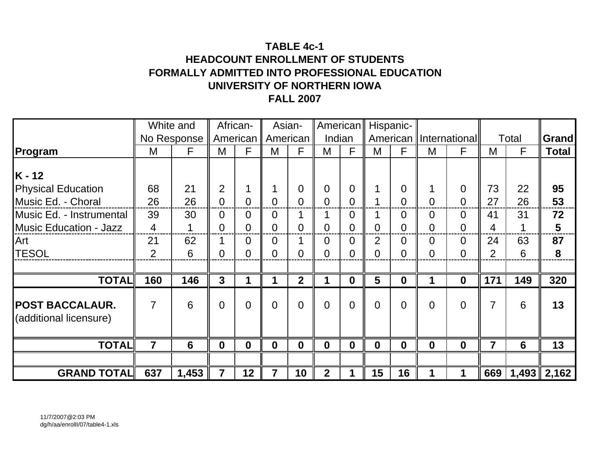# **TABLE 4c-1HEADCOUNT ENROLLMENT OF STUDENTSFORMALLY ADMITTED INTO PROFESSIONAL EDUCATION UNIVERSITY OF NORTHERN IOWAFALL 2007**

|                                                           |                | White and       |                | African-       |                                  | Asian-              |                      | American |                | Hispanic-                  |                      |                          |                |          |               |
|-----------------------------------------------------------|----------------|-----------------|----------------|----------------|----------------------------------|---------------------|----------------------|----------|----------------|----------------------------|----------------------|--------------------------|----------------|----------|---------------|
|                                                           |                | No Response     |                | American       |                                  | American            |                      | Indian   |                |                            |                      | American   International |                | Total    | <b>Grand</b>  |
| Program                                                   | M              | F               | M              | F              | M                                | F                   | M                    | F        | M              | F                          | M                    | F                        | M              | F        | <b>Total</b>  |
| K - 12                                                    |                |                 |                |                |                                  |                     |                      |          |                |                            |                      |                          |                |          |               |
| <b>Physical Education</b><br>Music Ed. - Choral           | 68<br>26       | 21<br>26        | 2<br>$\Omega$  | 0              | $\Omega$                         | 0<br>$\overline{0}$ | $\Omega$<br>$\Omega$ | 0<br>0   |                | $\overline{0}$<br>$\Omega$ | 1<br>$\Omega$        | $\Omega$<br>$\Omega$     | 73<br>27       | 22<br>26 | 95<br>53      |
| Music Ed. - Instrumental<br><b>Music Education - Jazz</b> | 39<br>4        | 30              | 0<br>0         | 0<br>0         | $\overline{0}$<br>$\overline{0}$ | 1<br>0              | 0                    | 0        | $\overline{0}$ | $\Omega$<br>0              | $\Omega$<br>$\Omega$ | $\Omega$<br>0            | 41<br>4        | 31<br>1  | 72<br>5       |
| Art                                                       | 21             | 62              |                | 0              | $\overline{0}$                   | 1                   | $\Omega$             | 0        | $\overline{2}$ | $\overline{0}$             | $\Omega$             | $\Omega$                 | 24             | 63       | 87            |
| <b>TESOL</b>                                              | $\overline{2}$ | 6               | $\overline{0}$ | 0              | $\overline{0}$                   | $\overline{0}$      | 0                    | 0        | $\overline{0}$ | $\Omega$                   | $\overline{0}$       | $\overline{0}$           | 2              | 6        | 8             |
| <b>TOTAL</b>                                              | 160            | 146             | $\mathbf{3}$   | 1              | 1                                | $\overline{2}$      |                      | 0        | 5              | $\mathbf 0$                | 1                    | $\mathbf 0$              | 171            | 149      | 320           |
| POST BACCALAUR.<br>(additional licensure)                 | $\overline{7}$ | 6               | $\overline{0}$ | $\overline{0}$ | $\overline{0}$                   | $\mathbf 0$         | $\overline{0}$       | 0        | $\overline{0}$ | $\Omega$                   | $\Omega$             | $\overline{0}$           | $\overline{7}$ | 6        | 13            |
| <b>TOTAL</b>                                              | $\overline{7}$ | $6\phantom{1}6$ | $\mathbf 0$    | $\bf{0}$       | $\mathbf 0$                      | $\mathbf 0$         | $\bf{0}$             | 0        | $\bf{0}$       | $\mathbf 0$                | $\bf{0}$             | $\boldsymbol{0}$         | $\overline{7}$ | 6        | 13            |
|                                                           |                |                 |                |                |                                  |                     |                      |          |                |                            |                      |                          |                |          |               |
| <b>GRAND TOTAL</b>                                        | 637            | 1,453           | 7              | 12             | 7                                | 10                  | $\overline{2}$       |          | 15             | 16                         | 1                    |                          | 669            |          | $1,493$ 2,162 |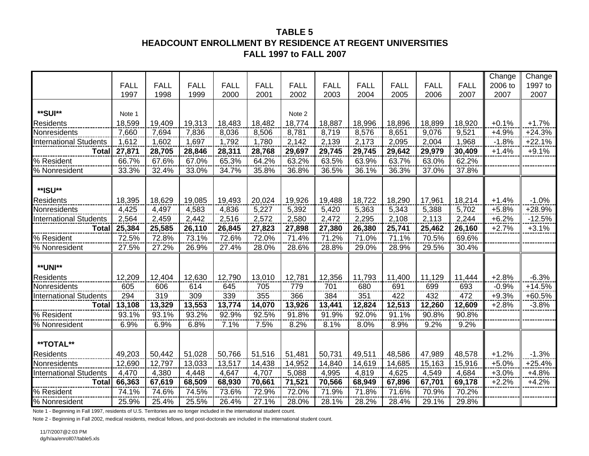### **TABLE 5HEADCOUNT ENROLLMENT BY RESIDENCE AT REGENT UNIVERSITIES FALL 1997 to FALL 2007**

|                               |             |             |             |             |             |             |             |             |             |             |             | Change  | Change   |
|-------------------------------|-------------|-------------|-------------|-------------|-------------|-------------|-------------|-------------|-------------|-------------|-------------|---------|----------|
|                               | <b>FALL</b> | <b>FALL</b> | <b>FALL</b> | <b>FALL</b> | <b>FALL</b> | <b>FALL</b> | <b>FALL</b> | <b>FALL</b> | <b>FALL</b> | <b>FALL</b> | <b>FALL</b> | 2006 to | 1997 to  |
|                               | 1997        | 1998        | 1999        | 2000        | 2001        | 2002        | 2003        | 2004        | 2005        | 2006        | 2007        | 2007    | 2007     |
|                               |             |             |             |             |             |             |             |             |             |             |             |         |          |
| **SUI**                       | Note 1      |             |             |             |             | Note 2      |             |             |             |             |             |         |          |
| <b>Residents</b>              | 18,599      | 19,409      | 19,313      | 18,483      | 18,482      | 18,774      | 18,887      | 18,996      | 18,896      | 18,899      | 18,920      | $+0.1%$ | $+1.7%$  |
| Nonresidents                  | 7,660       | 7,694       | 7,836       | 8,036       | 8,506       | 8,781       | 8,719       | 8,576       | 8,651       | 9,076       | 9,521       | $+4.9%$ | $+24.3%$ |
| <b>International Students</b> | 1,612       | 1,602       | 1,697       | 1,792       | 1,780       | 2,142       | 2,139       | 2,173       | 2,095       | 2,004       | 1,968       | $-1.8%$ | $+22.1%$ |
| <b>Total</b>                  | 27,871      | 28,705      | 28,846      | 28,311      | 28,768      | 29,697      | 29,745      | 29,745      | 29,642      | 29,979      | 30,409      | $+1.4%$ | $+9.1%$  |
| % Resident                    | 66.7%       | 67.6%       | 67.0%       | 65.3%       | 64.2%       | 63.2%       | 63.5%       | 63.9%       | 63.7%       | 63.0%       | 62.2%       |         |          |
| % Nonresident                 | 33.3%       | 32.4%       | 33.0%       | 34.7%       | 35.8%       | 36.8%       | 36.5%       | 36.1%       | 36.3%       | 37.0%       | 37.8%       |         |          |
|                               |             |             |             |             |             |             |             |             |             |             |             |         |          |
| **ISU**                       |             |             |             |             |             |             |             |             |             |             |             |         |          |
| Residents                     | 18,395      | 18,629      | 19,085      | 19,493      | 20,024      | 19,926      | 19,488      | 18,722      | 18,290      | 17,961      | 18,214      | $+1.4%$ | $-1.0%$  |
| Nonresidents                  | 4,425       | 4,497       | 4,583       | 4,836       | 5,227       | 5,392       | 5,420       | 5,363       | 5,343       | 5,388       | 5,702       | $+5.8%$ | $+28.9%$ |
| <b>International Students</b> | 2,564       | 2,459       | 2,442       | 2,516       | 2,572       | 2,580       | 2,472       | 2,295       | 2,108       | 2,113       | 2,244       | $+6.2%$ | $-12.5%$ |
| <b>Total</b>                  | 25,384      | 25,585      | 26,110      | 26,845      | 27,823      | 27,898      | 27,380      | 26,380      | 25,741      | 25,462      | 26,160      | $+2.7%$ | $+3.1%$  |
| % Resident                    | 72.5%       | 72.8%       | 73.1%       | 72.6%       | 72.0%       | 71.4%       | 71.2%       | 71.0%       | 71.1%       | 70.5%       | 69.6%       |         |          |
| % Nonresident                 | 27.5%       | 27.2%       | 26.9%       | 27.4%       | 28.0%       | 28.6%       | 28.8%       | 29.0%       | 28.9%       | 29.5%       | 30.4%       |         |          |
|                               |             |             |             |             |             |             |             |             |             |             |             |         |          |
| **UNI**                       |             |             |             |             |             |             |             |             |             |             |             |         |          |
| <b>Residents</b>              | 12,209      | 12,404      | 12,630      | 12,790      | 13,010      | 12,781      | 12,356      | 11,793      | 11,400      | 11,129      | 11,444      | $+2.8%$ | $-6.3%$  |
| Nonresidents                  | 605         | 606         | 614         | 645         | 705         | 779         | 701         | 680         | 691         | 699         | 693         | $-0.9%$ | $+14.5%$ |
| <b>International Students</b> | 294         | 319         | 309         | 339         | 355         | 366         | 384         | 351         | 422         | 432         | 472         | $+9.3%$ | +60.5%   |
| <b>Total</b>                  | 13,108      | 13,329      | 13,553      | 13,774      | 14,070      | 13,926      | 13,441      | 12,824      | 12,513      | 12,260      | 12,609      | $+2.8%$ | $-3.8%$  |
| % Resident                    | 93.1%       | 93.1%       | 93.2%       | 92.9%       | 92.5%       | 91.8%       | 91.9%       | 92.0%       | 91.1%       | 90.8%       | 90.8%       |         |          |
| % Nonresident                 | 6.9%        | 6.9%        | 6.8%        | 7.1%        | 7.5%        | 8.2%        | 8.1%        | 8.0%        | 8.9%        | 9.2%        | 9.2%        |         |          |
|                               |             |             |             |             |             |             |             |             |             |             |             |         |          |
| **TOTAL**                     |             |             |             |             |             |             |             |             |             |             |             |         |          |
| <b>Residents</b>              | 49,203      | 50,442      | 51,028      | 50,766      | 51,516      | 51,481      | 50,731      | 49,511      | 48,586      | 47,989      | 48,578      | $+1.2%$ | $-1.3%$  |
| Nonresidents                  | 12,690      | 12,797      | 13,033      | 13,517      | 14,438      | 14,952      | 14,840      | 14,619      | 14,685      | 15,163      | 15,916      | $+5.0%$ | $+25.4%$ |
| <b>International Students</b> | 4,470       | 4,380       | 4,448       | 4,647       | 4,707       | 5,088       | 4,995       | 4,819       | 4,625       | 4,549       | 4,684       | $+3.0%$ | $+4.8%$  |
| <b>Total</b>                  | 66,363      | 67,619      | 68,509      | 68,930      | 70,661      | 71,521      | 70,566      | 68,949      | 67,896      | 67,701      | 69,178      | $+2.2%$ | $+4.2%$  |
| % Resident                    | 74.1%       | 74.6%       | 74.5%       | 73.6%       | 72.9%       | 72.0%       | 71.9%       | 71.8%       | 71.6%       | 70.9%       | 70.2%       |         |          |
| % Nonresident                 | 25.9%       | 25.4%       | 25.5%       | 26.4%       | 27.1%       | 28.0%       | 28.1%       | 28.2%       | 28.4%       | 29.1%       | 29.8%       |         |          |

Note 1 - Beginning in Fall 1997, residents of U.S. Territories are no longer included in the international student count.

Note 2 - Beginning in Fall 2002, medical residents, medical fellows, and post-doctorals are included in the international student count.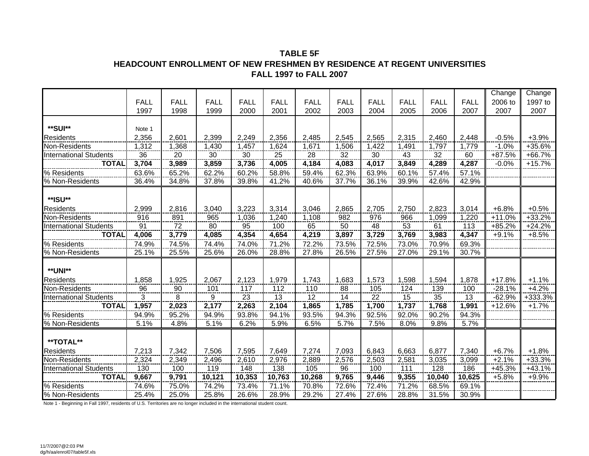### **TABLE 5FHEADCOUNT ENROLLMENT OF NEW FRESHMEN BY RESIDENCE AT REGENT UNIVERSITIES FALL 1997 to FALL 2007**

|                               |                |             |             |             |             |             |             |             |             |             |             | Change   | Change   |
|-------------------------------|----------------|-------------|-------------|-------------|-------------|-------------|-------------|-------------|-------------|-------------|-------------|----------|----------|
|                               | <b>FALL</b>    | <b>FALL</b> | <b>FALL</b> | <b>FALL</b> | <b>FALL</b> | <b>FALL</b> | <b>FALL</b> | <b>FALL</b> | <b>FALL</b> | <b>FALL</b> | <b>FALL</b> | 2006 to  | 1997 to  |
|                               | 1997           | 1998        | 1999        | 2000        | 2001        | 2002        | 2003        | 2004        | 2005        | 2006        | 2007        | 2007     | 2007     |
|                               |                |             |             |             |             |             |             |             |             |             |             |          |          |
| **SUI**                       | Note 1         |             |             |             |             |             |             |             |             |             |             |          |          |
| <b>Residents</b>              | 2,356          | 2,601       | 2,399       | 2,249       | 2,356       | 2,485       | 2,545       | 2,565       | 2,315       | 2,460       | 2,448       | $-0.5%$  | $+3.9%$  |
| Non-Residents                 | 1,312          | 1,368       | 1,430       | 1,457       | 1,624       | 1,671       | 1,506       | 1,422       | 1,491       | 1,797       | 1,779       | $-1.0%$  | $+35.6%$ |
| <b>International Students</b> | 36             | 20          | 30          | 30          | 25          | 28          | 32          | 30          | 43          | 32          | 60          | +87.5%   | +66.7%   |
| <b>TOTAL</b>                  | 3,704          | 3,989       | 3,859       | 3,736       | 4,005       | 4,184       | 4,083       | 4,017       | 3,849       | 4,289       | 4,287       | $-0.0%$  | $+15.7%$ |
| % Residents                   | 63.6%          | 65.2%       | 62.2%       | 60.2%       | 58.8%       | 59.4%       | 62.3%       | 63.9%       | 60.1%       | 57.4%       | 57.1%       |          |          |
| % Non-Residents               | 36.4%          | 34.8%       | 37.8%       | 39.8%       | 41.2%       | 40.6%       | 37.7%       | 36.1%       | 39.9%       | 42.6%       | 42.9%       |          |          |
|                               |                |             |             |             |             |             |             |             |             |             |             |          |          |
| **ISU**                       |                |             |             |             |             |             |             |             |             |             |             |          |          |
| <b>Residents</b>              | 2,999          | 2,816       | 3,040       | 3,223       | 3,314       | 3,046       | 2,865       | 2,705       | 2,750       | 2,823       | 3,014       | $+6.8%$  | $+0.5%$  |
| Non-Residents                 | 916            | 891         | 965         | 1,036       | 1,240       | 1,108       | 982         | 976         | 966         | 1,099       | 1,220       | $+11.0%$ | $+33.2%$ |
| <b>International Students</b> | 91             | 72          | 80          | 95          | 100         | 65          | 50          | 48          | 53          | 61          | 113         | $+85.2%$ | $+24.2%$ |
| <b>TOTAL</b>                  | 4,006          | 3,779       | 4,085       | 4,354       | 4,654       | 4,219       | 3,897       | 3,729       | 3,769       | 3,983       | 4,347       | $+9.1%$  | $+8.5%$  |
| % Residents                   | 74.9%          | 74.5%       | 74.4%       | 74.0%       | 71.2%       | 72.2%       | 73.5%       | 72.5%       | 73.0%       | 70.9%       | 69.3%       |          |          |
| % Non-Residents               | 25.1%          | 25.5%       | 25.6%       | 26.0%       | 28.8%       | 27.8%       | 26.5%       | 27.5%       | 27.0%       | 29.1%       | 30.7%       |          |          |
|                               |                |             |             |             |             |             |             |             |             |             |             |          |          |
| **UNI**                       |                |             |             |             |             |             |             |             |             |             |             |          |          |
| <b>Residents</b>              | 1,858          | 1,925       | 2,067       | 2,123       | 1,979       | 1,743       | 1,683       | 1,573       | 1,598       | 1,594       | 1,878       | $+17.8%$ | $+1.1%$  |
| Non-Residents                 | $\frac{96}{5}$ | $90\,$      | 101         | 117         | 112         | 110         | 88          | 105         | 124         | 139         | 100         | $-28.1%$ | $+4.2%$  |
| <b>International Students</b> | 3              | 8           | 9           | 23          | 13          | 12          | 14          | 22          | 15          | 35          | 13          | $-62.9%$ | +333.3%  |
| <b>TOTAL</b>                  | 1,957          | 2,023       | 2,177       | 2,263       | 2,104       | 1,865       | 1,785       | 1,700       | 1,737       | 1,768       | 1,991       | $+12.6%$ | $+1.7%$  |
| % Residents                   | 94.9%          | 95.2%       | 94.9%       | 93.8%       | 94.1%       | 93.5%       | 94.3%       | 92.5%       | 92.0%       | 90.2%       | 94.3%       |          |          |
| % Non-Residents               | 5.1%           | 4.8%        | 5.1%        | 6.2%        | 5.9%        | 6.5%        | 5.7%        | 7.5%        | 8.0%        | 9.8%        | 5.7%        |          |          |
|                               |                |             |             |             |             |             |             |             |             |             |             |          |          |
| **TOTAL**                     |                |             |             |             |             |             |             |             |             |             |             |          |          |
| <b>Residents</b>              | 7,213          | 7,342       | 7,506       | 7,595       | 7,649       | 7,274       | 7,093       | 6,843       | 6,663       | 6,877       | 7,340       | $+6.7%$  | $+1.8%$  |
| Non-Residents                 | 2,324          | 2,349       | 2,496       | 2,610       | 2,976       | 2,889       | 2,576       | 2,503       | 2,581       | 3,035       | 3,099       | $+2.1%$  | $+33.3%$ |
| <b>International Students</b> | 130            | 100         | 119         | 148         | 138         | 105         | 96          | 100         | 111         | 128         | 186         | +45.3%   | $+43.1%$ |
| <b>TOTAL</b>                  | 9,667          | 9,791       | 10,121      | 10,353      | 10,763      | 10,268      | 9,765       | 9,446       | 9,355       | 10,040      | 10,625      | $+5.8%$  | $+9.9%$  |
| % Residents                   | 74.6%          | 75.0%       | 74.2%       | 73.4%       | 71.1%       | 70.8%       | 72.6%       | 72.4%       | 71.2%       | 68.5%       | 69.1%       |          |          |
| % Non-Residents               | 25.4%          | 25.0%       | 25.8%       | 26.6%       | 28.9%       | 29.2%       | 27.4%       | 27.6%       | 28.8%       | 31.5%       | 30.9%       |          |          |

Note 1 - Beginning in Fall 1997, residents of U.S. Territories are no longer included in the international student count.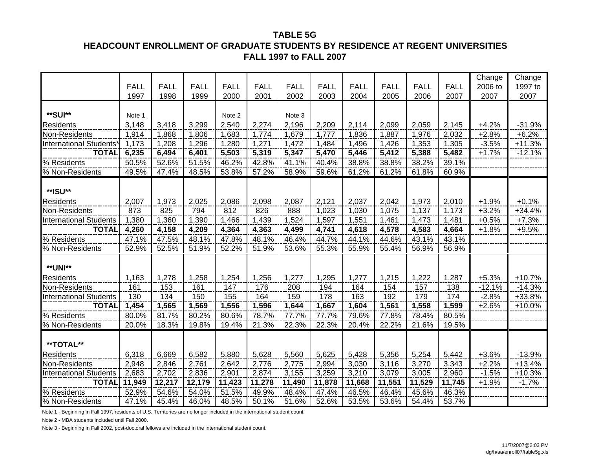#### **TABLE 5G**

### **HEADCOUNT ENROLLMENT OF GRADUATE STUDENTS BY RESIDENCE AT REGENT UNIVERSITIES FALL 1997 to FALL 2007**

|                               |             |             |             |             |             |             |             |             |             |             |             | Change   | Change   |
|-------------------------------|-------------|-------------|-------------|-------------|-------------|-------------|-------------|-------------|-------------|-------------|-------------|----------|----------|
|                               | <b>FALL</b> | <b>FALL</b> | <b>FALL</b> | <b>FALL</b> | <b>FALL</b> | <b>FALL</b> | <b>FALL</b> | <b>FALL</b> | <b>FALL</b> | <b>FALL</b> | <b>FALL</b> | 2006 to  | 1997 to  |
|                               | 1997        | 1998        | 1999        | 2000        | 2001        | 2002        | 2003        | 2004        | 2005        | 2006        | 2007        | 2007     | 2007     |
|                               |             |             |             |             |             |             |             |             |             |             |             |          |          |
| **SUI**                       | Note 1      |             |             | Note 2      |             | Note 3      |             |             |             |             |             |          |          |
| <b>Residents</b>              | 3,148       | 3,418       | 3,299       | 2,540       | 2,274       | 2,196       | 2,209       | 2,114       | 2,099       | 2,059       | 2,145       | $+4.2%$  | $-31.9%$ |
| Non-Residents                 | 1,914       | 1,868       | 1,806       | 1,683       | 1,774       | 1,679       | 1,777       | 1,836       | 1,887       | 1,976       | 2,032       | $+2.8%$  | $+6.2%$  |
| <b>International Students</b> | 1,173       | 1,208       | 1,296       | 1,280       | 1,271       | 1,472       | 1,484       | 1,496       | 1,426       | 1,353       | 1,305       | $-3.5%$  | $+11.3%$ |
| <b>TOTAL</b>                  | 6,235       | 6,494       | 6,401       | 5,503       | 5,319       | 5,347       | 5,470       | 5,446       | 5,412       | 5,388       | 5,482       | $+1.7%$  | $-12.1%$ |
| % Residents                   | 50.5%       | 52.6%       | 51.5%       | 46.2%       | 42.8%       | 41.1%       | 40.4%       | 38.8%       | 38.8%       | 38.2%       | 39.1%       |          |          |
| % Non-Residents               | 49.5%       | 47.4%       | 48.5%       | 53.8%       | 57.2%       | 58.9%       | 59.6%       | 61.2%       | 61.2%       | 61.8%       | 60.9%       |          |          |
|                               |             |             |             |             |             |             |             |             |             |             |             |          |          |
| **ISU**                       |             |             |             |             |             |             |             |             |             |             |             |          |          |
| <b>Residents</b>              | 2,007       | 1,973       | 2,025       | 2,086       | 2,098       | 2,087       | 2,121       | 2,037       | 2,042       | 1,973       | 2,010       | $+1.9%$  | $+0.1%$  |
| Non-Residents                 | 873         | 825         | 794         | 812         | 826         | 888         | 1,023       | 1,030       | 1,075       | 1,137       | 1,173       | $+3.2%$  | $+34.4%$ |
| <b>International Students</b> | 1,380       | 1,360       | 1,390       | 1,466       | 1,439       | 1,524       | 1,597       | 1,551       | 1,461       | 1,473       | 1,481       | $+0.5%$  | $+7.3%$  |
| <b>TOTAL</b>                  | 4,260       | 4,158       | 4,209       | 4,364       | 4,363       | 4,499       | 4,741       | 4,618       | 4,578       | 4,583       | 4,664       | $+1.8%$  | $+9.5%$  |
| % Residents                   | 47.1%       | 47.5%       | 48.1%       | 47.8%       | 48.1%       | 46.4%       | 44.7%       | 44.1%       | 44.6%       | 43.1%       | 43.1%       |          |          |
| % Non-Residents               | 52.9%       | 52.5%       | 51.9%       | 52.2%       | 51.9%       | 53.6%       | 55.3%       | 55.9%       | 55.4%       | 56.9%       | 56.9%       |          |          |
|                               |             |             |             |             |             |             |             |             |             |             |             |          |          |
| **UNI**                       |             |             |             |             |             |             |             |             |             |             |             |          |          |
| <b>Residents</b>              | 1,163       | 1,278       | 1,258       | 1,254       | 1,256       | 1,277       | 1,295       | 1,277       | 1,215       | 1,222       | 1,287       | $+5.3%$  | $+10.7%$ |
| Non-Residents                 | 161         | 153         | 161         | 147         | 176         | 208         | 194         | 164         | 154         | 157         | 138         | $-12.1%$ | $-14.3%$ |
| <b>International Students</b> | 130         | 134         | 150         | 155         | 164         | 159         | 178         | 163         | 192         | 179         | 174         | $-2.8%$  | +33.8%   |
| <b>TOTAL</b>                  | 1,454       | 1,565       | 1,569       | 1,556       | 1,596       | 1,644       | 1,667       | 1,604       | 1,561       | 1,558       | 1,599       | $+2.6%$  | $+10.0%$ |
| % Residents                   | 80.0%       | 81.7%       | 80.2%       | 80.6%       | 78.7%       | 77.7%       | 77.7%       | 79.6%       | 77.8%       | 78.4%       | 80.5%       |          |          |
| % Non-Residents               | 20.0%       | 18.3%       | 19.8%       | 19.4%       | 21.3%       | 22.3%       | 22.3%       | 20.4%       | 22.2%       | 21.6%       | 19.5%       |          |          |
|                               |             |             |             |             |             |             |             |             |             |             |             |          |          |
| **TOTAL**                     |             |             |             |             |             |             |             |             |             |             |             |          |          |
| <b>Residents</b>              | 6,318       | 6,669       | 6,582       | 5,880       | 5,628       | 5,560       | 5,625       | 5,428       | 5,356       | 5,254       | 5,442       | $+3.6%$  | $-13.9%$ |
| Non-Residents                 | 2,948       | 2,846       | 2,761       | 2,642       | 2,776       | 2,775       | 2,994       | 3,030       | 3,116       | 3,270       | 3,343       | $+2.2%$  | $+13.4%$ |
| <b>International Students</b> | 2,683       | 2,702       | 2,836       | 2,901       | 2,874       | 3,155       | 3,259       | 3,210       | 3,079       | 3,005       | 2,960       | $-1.5%$  | $+10.3%$ |
| <b>TOTAL</b>                  | 11,949      | 12,217      | 12,179      | 11,423      | 11,278      | 11,490      | 11,878      | 11,668      | 11,551      | 11,529      | 11,745      | $+1.9%$  | $-1.7%$  |
| % Residents                   | 52.9%       | 54.6%       | 54.0%       | 51.5%       | 49.9%       | 48.4%       | 47.4%       | 46.5%       | 46.4%       | 45.6%       | 46.3%       |          |          |
| % Non-Residents               | 47.1%       | 45.4%       | 46.0%       | 48.5%       | 50.1%       | 51.6%       | 52.6%       | 53.5%       | 53.6%       | 54.4%       | 53.7%       |          |          |

Note 1 - Beginning in Fall 1997, residents of U.S. Territories are no longer included in the international student count.

Note 2 - MBA students included until Fall 2000.

Note 3 - Beginning in Fall 2002, post-doctoral fellows are included in the international student count.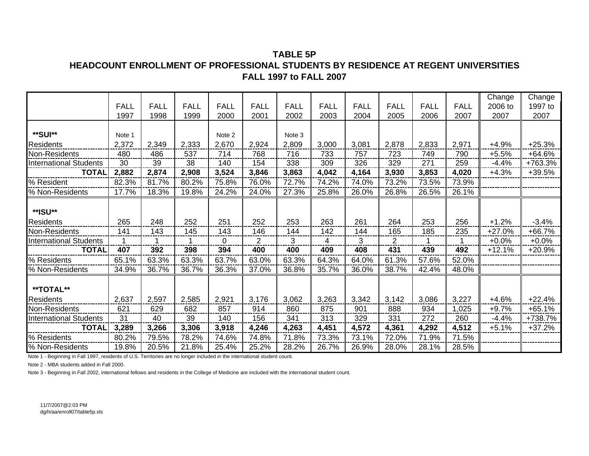### **TABLE 5PHEADCOUNT ENROLLMENT OF PROFESSIONAL STUDENTS BY RESIDENCE AT REGENT UNIVERSITIESFALL 1997 to FALL 2007**

|                               |             |             |             |             |             |             |             |             |                |             |             | Change   | Change   |
|-------------------------------|-------------|-------------|-------------|-------------|-------------|-------------|-------------|-------------|----------------|-------------|-------------|----------|----------|
|                               | <b>FALL</b> | <b>FALL</b> | <b>FALL</b> | <b>FALL</b> | <b>FALL</b> | <b>FALL</b> | <b>FALL</b> | <b>FALL</b> | <b>FALL</b>    | <b>FALL</b> | <b>FALL</b> | 2006 to  | 1997 to  |
|                               | 1997        | 1998        | 1999        | 2000        | 2001        | 2002        | 2003        | 2004        | 2005           | 2006        | 2007        | 2007     | 2007     |
| **SUI**                       | Note 1      |             |             | Note 2      |             | Note 3      |             |             |                |             |             |          |          |
| <b>Residents</b>              | 2,372       | 2,349       | 2,333       | 2,670       | 2,924       | 2,809       | 3,000       | 3,081       | 2,878          | 2,833       | 2,971       | $+4.9%$  | $+25.3%$ |
| Non-Residents                 | 480         | 486         | 537         | 714         | 768         | 716         | 733         | 757         | 723            | 749         | 790         | $+5.5%$  | $+64.6%$ |
| <b>International Students</b> | 30          | 39          | 38          | 140         | 154         | 338         | 309         | 326         | 329            | 271         | 259         | $-4.4%$  | +763.3%  |
| <b>TOTAL</b>                  | 2,882       | 2,874       | 2,908       | 3,524       | 3,846       | 3,863       | 4,042       | 4,164       | 3,930          | 3,853       | 4,020       | $+4.3%$  | $+39.5%$ |
| % Resident                    | 82.3%       | 81.7%       | 80.2%       | 75.8%       | 76.0%       | 72.7%       | 74.2%       | 74.0%       | 73.2%          | 73.5%       | 73.9%       |          |          |
| % Non-Residents               | 17.7%       | 18.3%       | 19.8%       | 24.2%       | 24.0%       | 27.3%       | 25.8%       | 26.0%       | 26.8%          | 26.5%       | 26.1%       |          |          |
| **ISU**                       |             |             |             |             |             |             |             |             |                |             |             |          |          |
| <b>Residents</b>              | 265         | 248         | 252         | 251         | 252         | 253         | 263         | 261         | 264            | 253         | 256         | $+1.2%$  | $-3.4%$  |
| Non-Residents                 | 141         | 143         | 145         | 143         | 146         | 144         | 142         | 144         | 165            | 185         | 235         | $+27.0%$ | $+66.7%$ |
| <b>International Students</b> | 1           | 1           |             | 0           | 2           | 3           | 4           | 3           | $\overline{2}$ | 1           |             | $+0.0%$  | $+0.0%$  |
| <b>TOTAL</b>                  | 407         | 392         | 398         | 394         | 400         | 400         | 409         | 408         | 431            | 439         | 492         | $+12.1%$ | $+20.9%$ |
| % Residents                   | 65.1%       | 63.3%       | 63.3%       | 63.7%       | 63.0%       | 63.3%       | 64.3%       | 64.0%       | 61.3%          | 57.6%       | 52.0%       |          |          |
| % Non-Residents               | 34.9%       | 36.7%       | 36.7%       | 36.3%       | 37.0%       | 36.8%       | 35.7%       | 36.0%       | 38.7%          | 42.4%       | 48.0%       |          |          |
| **TOTAL**                     |             |             |             |             |             |             |             |             |                |             |             |          |          |
| <b>Residents</b>              | 2,637       | 2,597       | 2,585       | 2,921       | 3,176       | 3,062       | 3,263       | 3,342       | 3,142          | 3,086       | 3,227       | $+4.6%$  | $+22.4%$ |
| Non-Residents                 | 621         | 629         | 682         | 857         | 914         | 860         | 875         | 901         | 888            | 934         | 1,025       | $+9.7%$  | $+65.1%$ |
| <b>International Students</b> | 31          | 40          | 39          | 140         | 156         | 341         | 313         | 329         | 331            | 272         | 260         | $-4.4%$  | +738.7%  |
| <b>TOTAL</b>                  | 3,289       | 3,266       | 3,306       | 3,918       | 4,246       | 4,263       | 4,451       | 4,572       | 4,361          | 4,292       | 4,512       | $+5.1%$  | $+37.2%$ |
| % Residents                   | 80.2%       | 79.5%       | 78.2%       | 74.6%       | 74.8%       | 71.8%       | 73.3%       | 73.1%       | 72.0%          | 71.9%       | 71.5%       |          |          |
| % Non-Residents               | 19.8%       | 20.5%       | 21.8%       | 25.4%       | 25.2%       | 28.2%       | 26.7%       | 26.9%       | 28.0%          | 28.1%       | 28.5%       |          |          |

Note 1 - Beginning in Fall 1997, residents of U.S. Territories are no longer included in the international student count.

Note 2 - MBA students added in Fall 2000.

Note 3 - Beginning in Fall 2002, international fellows and residents in the College of Medicine are included with the international student count.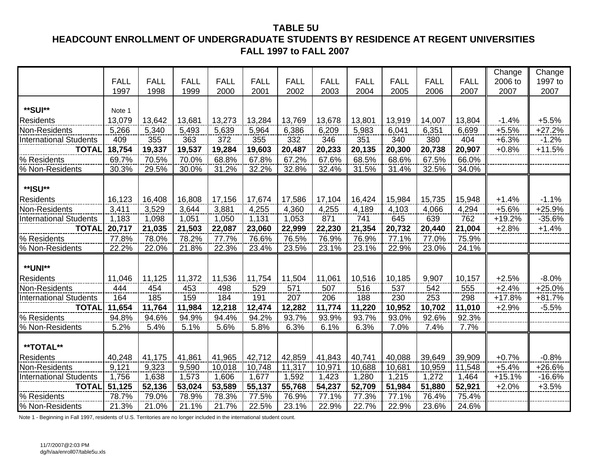### **TABLE 5U HEADCOUNT ENROLLMENT OF UNDERGRADUATE STUDENTS BY RESIDENCE AT REGENT UNIVERSITIES FALL 1997 to FALL 2007**

|                               |             |             |             |             |             |             |             |             |             |             |             | Change   | Change   |
|-------------------------------|-------------|-------------|-------------|-------------|-------------|-------------|-------------|-------------|-------------|-------------|-------------|----------|----------|
|                               | <b>FALL</b> | <b>FALL</b> | <b>FALL</b> | <b>FALL</b> | <b>FALL</b> | <b>FALL</b> | <b>FALL</b> | <b>FALL</b> | <b>FALL</b> | <b>FALL</b> | <b>FALL</b> | 2006 to  | 1997 to  |
|                               | 1997        | 1998        | 1999        | 2000        | 2001        | 2002        | 2003        | 2004        | 2005        | 2006        | 2007        | 2007     | 2007     |
|                               |             |             |             |             |             |             |             |             |             |             |             |          |          |
| **SUI**                       | Note 1      |             |             |             |             |             |             |             |             |             |             |          |          |
| <b>Residents</b>              | 13,079      | 13,642      | 13,681      | 13,273      | 13,284      | 13,769      | 13,678      | 13,801      | 13,919      | 14,007      | 13,804      | $-1.4%$  | $+5.5%$  |
| Non-Residents                 | 5,266       | 5,340       | 5,493       | 5,639       | 5,964       | 6,386       | 6,209       | 5,983       | 6,041       | 6,351       | 6,699       | $+5.5%$  | $+27.2%$ |
| <b>International Students</b> | 409         | 355         | 363         | 372         | 355         | 332         | 346         | 351         | 340         | 380         | 404         | $+6.3%$  | $-1.2%$  |
| <b>TOTAL</b>                  | 18,754      | 19,337      | 19,537      | 19,284      | 19,603      | 20,487      | 20,233      | 20,135      | 20,300      | 20,738      | 20,907      | $+0.8%$  | $+11.5%$ |
| % Residents                   | 69.7%       | 70.5%       | 70.0%       | 68.8%       | 67.8%       | 67.2%       | 67.6%       | 68.5%       | 68.6%       | 67.5%       | 66.0%       |          |          |
| % Non-Residents               | 30.3%       | 29.5%       | 30.0%       | 31.2%       | 32.2%       | 32.8%       | 32.4%       | 31.5%       | 31.4%       | 32.5%       | 34.0%       |          |          |
|                               |             |             |             |             |             |             |             |             |             |             |             |          |          |
| **ISU**                       |             |             |             |             |             |             |             |             |             |             |             |          |          |
| <b>Residents</b>              | 16,123      | 16,408      | 16,808      | 17,156      | 17,674      | 17,586      | 17,104      | 16,424      | 15,984      | 15,735      | 15,948      | $+1.4%$  | $-1.1%$  |
| Non-Residents                 | 3,411       | 3,529       | 3,644       | 3,881       | 4,255       | 4,360       | 4,255       | 4,189       | 4,103       | 4,066       | 4,294       | $+5.6%$  | $+25.9%$ |
| <b>International Students</b> | 1,183       | 1,098       | 1,051       | 1,050       | 1,131       | 1,053       | 871         | 741         | 645         | 639         | 762         | $+19.2%$ | $-35.6%$ |
| <b>TOTAL</b>                  | 20,717      | 21,035      | 21,503      | 22,087      | 23,060      | 22,999      | 22,230      | 21,354      | 20,732      | 20,440      | 21,004      | $+2.8%$  | $+1.4%$  |
| % Residents                   | 77.8%       | 78.0%       | 78.2%       | 77.7%       | 76.6%       | 76.5%       | 76.9%       | 76.9%       | 77.1%       | 77.0%       | 75.9%       |          |          |
| % Non-Residents               | 22.2%       | 22.0%       | 21.8%       | 22.3%       | 23.4%       | 23.5%       | 23.1%       | 23.1%       | 22.9%       | 23.0%       | 24.1%       |          |          |
|                               |             |             |             |             |             |             |             |             |             |             |             |          |          |
| <b>**UNI**</b>                |             |             |             |             |             |             |             |             |             |             |             |          |          |
| <b>Residents</b>              | 11,046      | 11,125      | 11,372      | 11,536      | 11,754      | 11,504      | 11,061      | 10,516      | 10,185      | 9,907       | 10,157      | $+2.5%$  | $-8.0%$  |
| Non-Residents                 | 444         | 454         | 453         | 498         | 529         | 571         | 507         | 516         | 537         | 542         | 555         | $+2.4%$  | $+25.0%$ |
| <b>International Students</b> | 164         | 185         | 159         | 184         | 191         | 207         | 206         | 188         | 230         | 253         | 298         | $+17.8%$ | $+81.7%$ |
| <b>TOTAL</b>                  | 11,654      | 11,764      | 11,984      | 12,218      | 12,474      | 12,282      | 11,774      | 11,220      | 10,952      | 10,702      | 11,010      | $+2.9%$  | $-5.5%$  |
| % Residents                   | 94.8%       | 94.6%       | 94.9%       | 94.4%       | 94.2%       | 93.7%       | 93.9%       | 93.7%       | 93.0%       | 92.6%       | 92.3%       |          |          |
| % Non-Residents               | 5.2%        | 5.4%        | 5.1%        | 5.6%        | 5.8%        | 6.3%        | 6.1%        | 6.3%        | 7.0%        | 7.4%        | 7.7%        |          |          |
|                               |             |             |             |             |             |             |             |             |             |             |             |          |          |
| **TOTAL**                     |             |             |             |             |             |             |             |             |             |             |             |          |          |
| <b>Residents</b>              | 40,248      | 41,175      | 41,861      | 41,965      | 42,712      | 42,859      | 41,843      | 40,741      | 40,088      | 39,649      | 39,909      | $+0.7%$  | $-0.8%$  |
| Non-Residents                 | 9,121       | 9,323       | 9,590       | 10,018      | 10,748      | 11,317      | 10,971      | 10,688      | 10,681      | 10,959      | 11,548      | $+5.4%$  | +26.6%   |
| <b>International Students</b> | 1,756       | 1,638       | 1,573       | 1,606       | 1,677       | 1,592       | 1,423       | 1,280       | 1,215       | 1,272       | 1,464       | $+15.1%$ | $-16.6%$ |
| <b>TOTAL</b>                  | 51,125      | 52,136      | 53,024      | 53,589      | 55,137      | 55,768      | 54,237      | 52,709      | 51,984      | 51,880      | 52,921      | $+2.0%$  | $+3.5%$  |
| % Residents                   | 78.7%       | 79.0%       | 78.9%       | 78.3%       | 77.5%       | 76.9%       | 77.1%       | 77.3%       | 77.1%       | 76.4%       | 75.4%       |          |          |
| % Non-Residents               | 21.3%       | 21.0%       | 21.1%       | 21.7%       | 22.5%       | 23.1%       | 22.9%       | 22.7%       | 22.9%       | 23.6%       | 24.6%       |          |          |

Note 1 - Beginning in Fall 1997, residents of U.S. Territories are no longer included in the international student count.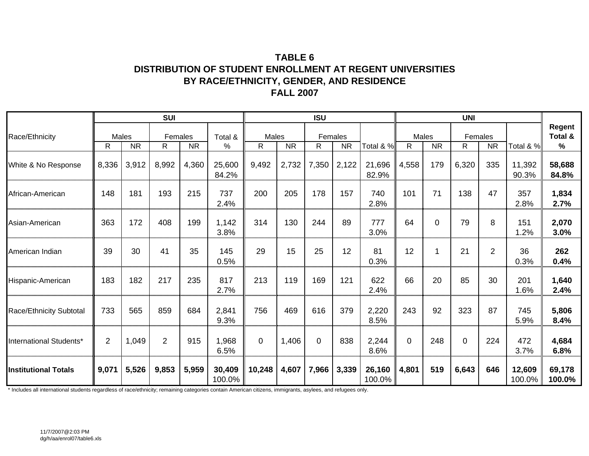### **TABLE 6DISTRIBUTION OF STUDENT ENROLLMENT AT REGENT UNIVERSITIES BY RACE/ETHNICITY, GENDER, AND RESIDENCE FALL 2007**

|                             |                |                    | <b>SUI</b>   |           |                  |            |           | <b>ISU</b>  |                      |                  |              |           | <b>UNI</b>    |                |                     |                           |
|-----------------------------|----------------|--------------------|--------------|-----------|------------------|------------|-----------|-------------|----------------------|------------------|--------------|-----------|---------------|----------------|---------------------|---------------------------|
| Race/Ethnicity              | R              | Males<br><b>NR</b> | Females<br>R | <b>NR</b> | Total &<br>%     | Males<br>R | <b>NR</b> | R           | Females<br><b>NR</b> | Total & %        | Males<br>R   | <b>NR</b> | Females<br>R. | <b>NR</b>      | Total & %           | Regent<br>Total &<br>$\%$ |
| White & No Response         | 8,336          | 3,912              | 8,992        | 4,360     | 25,600<br>84.2%  | 9,492      | 2,732     | 7,350       | 2,122                | 21,696<br>82.9%  | 4,558        | 179       | 6,320         | 335            | 11,392<br>90.3%     | 58,688<br>84.8%           |
| African-American            | 148            | 181                | 193          | 215       | 737<br>2.4%      | 200        | 205       | 178         | 157                  | 740<br>2.8%      | 101          | 71        | 138           | 47             | 357<br>2.8%         | 1,834<br>2.7%             |
| Asian-American              | 363            | 172                | 408          | 199       | 1,142<br>3.8%    | 314        | 130       | 244         | 89                   | 777<br>3.0%      | 64           | 0         | 79            | 8              | 151<br>1.2%         | 2,070<br>3.0%             |
| American Indian             | 39             | 30                 | 41           | 35        | 145<br>0.5%      | 29         | 15        | 25          | 12                   | 81<br>0.3%       | 12           | 1         | 21            | $\overline{2}$ | 36<br>0.3%          | 262<br>0.4%               |
| Hispanic-American           | 183            | 182                | 217          | 235       | 817<br>2.7%      | 213        | 119       | 169         | 121                  | 622<br>2.4%      | 66           | 20        | 85            | 30             | 201<br>1.6%         | 1,640<br>2.4%             |
| Race/Ethnicity Subtotal     | 733            | 565                | 859          | 684       | 2,841<br>9.3%    | 756        | 469       | 616         | 379                  | 2,220<br>8.5%    | 243          | 92        | 323           | 87             | 745<br>5.9%         | 5,806<br>8.4%             |
| International Students*     | $\overline{2}$ | 1,049              | 2            | 915       | 1,968<br>6.5%    | $\Omega$   | 1,406     | $\mathbf 0$ | 838                  | 2,244<br>8.6%    | $\mathbf{0}$ | 248       | $\Omega$      | 224            | 472<br>3.7%         | 4,684<br>6.8%             |
| <b>Institutional Totals</b> | 9,071          | 5,526              | 9,853        | 5,959     | 30,409<br>100.0% | 10,248     | 4,607     | 7,966       | 3,339                | 26,160<br>100.0% | 4,801        | 519       | 6,643         | 646            | 12,609<br>$100.0\%$ | 69,178<br>100.0%          |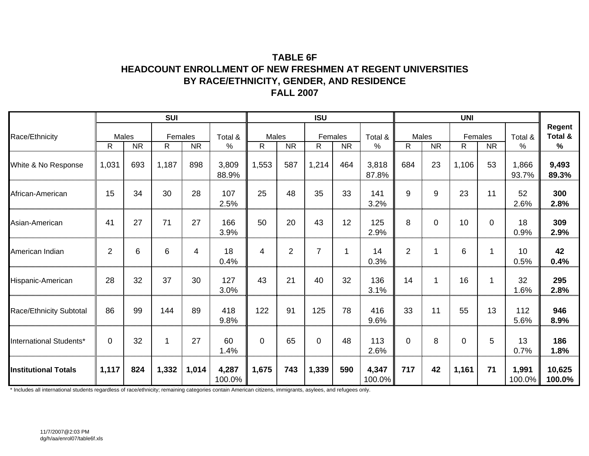### **TABLE 6FHEADCOUNT ENROLLMENT OF NEW FRESHMEN AT REGENT UNIVERSITIES BY RACE/ETHNICITY, GENDER, AND RESIDENCE FALL 2007**

|                             |                |           | <b>SUI</b>    |           |                 |             |                | <b>ISU</b>     |           |                 |             |             | <b>UNI</b>  |                      |                 |                           |
|-----------------------------|----------------|-----------|---------------|-----------|-----------------|-------------|----------------|----------------|-----------|-----------------|-------------|-------------|-------------|----------------------|-----------------|---------------------------|
| Race/Ethnicity              | Males<br>R     | <b>NR</b> | Females<br>R. | <b>NR</b> | Total &<br>$\%$ | Males<br>R. | <b>NR</b>      | Females<br>R   | <b>NR</b> | Total &<br>$\%$ | Males<br>R. | <b>NR</b>   | R.          | Females<br><b>NR</b> | Total &<br>%    | Regent<br>Total &<br>$\%$ |
| White & No Response         | 1,031          | 693       | 1,187         | 898       | 3,809<br>88.9%  | 1,553       | 587            | 1,214          | 464       | 3,818<br>87.8%  | 684         | 23          | 1,106       | 53                   | 1,866<br>93.7%  | 9,493<br>89.3%            |
| African-American            | 15             | 34        | 30            | 28        | 107<br>2.5%     | 25          | 48             | 35             | 33        | 141<br>3.2%     | 9           | 9           | 23          | 11                   | 52<br>2.6%      | 300<br>2.8%               |
| Asian-American              | 41             | 27        | 71            | 27        | 166<br>3.9%     | 50          | 20             | 43             | 12        | 125<br>2.9%     | 8           | $\mathbf 0$ | 10          | $\overline{0}$       | 18<br>0.9%      | 309<br>2.9%               |
| American Indian             | $\overline{2}$ | 6         | 6             | 4         | 18<br>0.4%      | 4           | $\overline{2}$ | $\overline{7}$ | -1        | 14<br>0.3%      | 2           |             | 6           | 1                    | 10<br>0.5%      | 42<br>0.4%                |
| Hispanic-American           | 28             | 32        | 37            | 30        | 127<br>3.0%     | 43          | 21             | 40             | 32        | 136<br>3.1%     | 14          |             | 16          | 1                    | 32<br>1.6%      | 295<br>2.8%               |
| Race/Ethnicity Subtotal     | 86             | 99        | 144           | 89        | 418<br>9.8%     | 122         | 91             | 125            | 78        | 416<br>9.6%     | 33          | 11          | 55          | 13                   | 112<br>5.6%     | 946<br>8.9%               |
| International Students*     | $\Omega$       | 32        | 1             | 27        | 60<br>1.4%      | 0           | 65             | $\mathbf 0$    | 48        | 113<br>2.6%     | $\mathbf 0$ | 8           | $\mathbf 0$ | 5                    | 13<br>0.7%      | 186<br>1.8%               |
| <b>Institutional Totals</b> | 1,117          | 824       | 1,332         | 1,014     | 4,287<br>100.0% | 1,675       | 743            | 1,339          | 590       | 4,347<br>100.0% | 717         | 42          | 1,161       | 71                   | 1,991<br>100.0% | 10,625<br>100.0%          |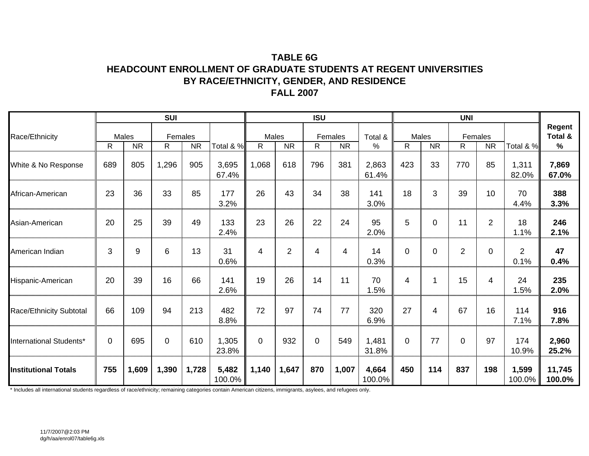### **TABLE 6GHEADCOUNT ENROLLMENT OF GRADUATE STUDENTS AT REGENT UNIVERSITIES BY RACE/ETHNICITY, GENDER, AND RESIDENCE FALL 2007**

|                             |     |                    | <b>SUI</b>    |           |                 |                       |           | <b>ISU</b>   |                      |                 |              |                    | <b>UNI</b>     |                      |                        |                                    |
|-----------------------------|-----|--------------------|---------------|-----------|-----------------|-----------------------|-----------|--------------|----------------------|-----------------|--------------|--------------------|----------------|----------------------|------------------------|------------------------------------|
| Race/Ethnicity              | R   | Males<br><b>NR</b> | Females<br>R. | <b>NR</b> | Total & %       | Males<br>$\mathsf{R}$ | <b>NR</b> | R            | Females<br><b>NR</b> | Total &<br>%    | $\mathsf{R}$ | Males<br><b>NR</b> | R              | Females<br><b>NR</b> | Total & %              | Regent<br>Total &<br>$\frac{9}{6}$ |
| White & No Response         | 689 | 805                | 1,296         | 905       | 3,695<br>67.4%  | 1,068                 | 618       | 796          | 381                  | 2,863<br>61.4%  | 423          | 33                 | 770            | 85                   | 1,311<br>82.0%         | 7,869<br>67.0%                     |
| African-American            | 23  | 36                 | 33            | 85        | 177<br>3.2%     | 26                    | 43        | 34           | 38                   | 141<br>3.0%     | 18           | 3                  | 39             | 10                   | 70<br>4.4%             | 388<br>3.3%                        |
| Asian-American              | 20  | 25                 | 39            | 49        | 133<br>2.4%     | 23                    | 26        | 22           | 24                   | 95<br>2.0%      | 5            | $\mathbf 0$        | 11             | $\overline{2}$       | 18<br>1.1%             | 246<br>2.1%                        |
| American Indian             | 3   | 9                  | 6             | 13        | 31<br>0.6%      | 4                     | 2         | 4            | 4                    | 14<br>0.3%      | $\mathbf 0$  | $\Omega$           | $\overline{2}$ | $\Omega$             | $\overline{2}$<br>0.1% | 47<br>0.4%                         |
| Hispanic-American           | 20  | 39                 | 16            | 66        | 141<br>2.6%     | 19                    | 26        | 14           | 11                   | 70<br>1.5%      | 4            |                    | 15             | 4                    | 24<br>1.5%             | 235<br>2.0%                        |
| Race/Ethnicity Subtotal     | 66  | 109                | 94            | 213       | 482<br>8.8%     | 72                    | 97        | 74           | 77                   | 320<br>6.9%     | 27           | 4                  | 67             | 16                   | 114<br>7.1%            | 916<br>7.8%                        |
| International Students*     | 0   | 695                | $\mathbf 0$   | 610       | 1,305<br>23.8%  | $\Omega$              | 932       | $\mathbf{0}$ | 549                  | 1,481<br>31.8%  | $\mathbf 0$  | 77                 | $\mathbf 0$    | 97                   | 174<br>10.9%           | 2,960<br>25.2%                     |
| <b>Institutional Totals</b> | 755 | 1,609              | 1,390         | 1,728     | 5,482<br>100.0% | 1,140                 | 1,647     | 870          | 1,007                | 4,664<br>100.0% | 450          | 114                | 837            | 198                  | 1,599<br>100.0%        | 11,745<br>100.0%                   |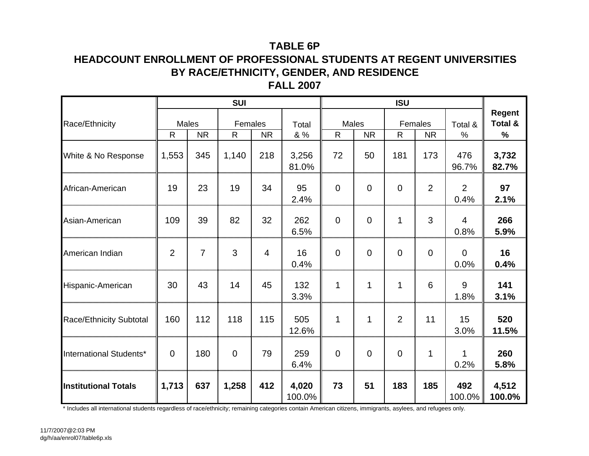# **TABLE 6P**

### **HEADCOUNT ENROLLMENT OF PROFESSIONAL STUDENTS AT REGENT UNIVERSITIES BY RACE/ETHNICITY, GENDER, AND RESIDENCE FALL 2007**

|                                |                |                    | <b>SUI</b>              |           |                 |                |             | <b>ISU</b>  |                      |                        |                               |
|--------------------------------|----------------|--------------------|-------------------------|-----------|-----------------|----------------|-------------|-------------|----------------------|------------------------|-------------------------------|
| Race/Ethnicity                 | $\mathsf{R}$   | Males<br><b>NR</b> | Females<br>$\mathsf{R}$ | <b>NR</b> | Total<br>& %    | Males<br>R     | <b>NR</b>   | R           | Females<br><b>NR</b> | Total &<br>%           | <b>Regent</b><br>Total &<br>% |
| White & No Response            | 1,553          | 345                | 1,140                   | 218       | 3,256<br>81.0%  | 72             | 50          | 181         | 173                  | 476<br>96.7%           | 3,732<br>82.7%                |
| African-American               | 19             | 23                 | 19                      | 34        | 95<br>2.4%      | $\overline{0}$ | $\Omega$    | $\mathbf 0$ | $\overline{2}$       | $\overline{2}$<br>0.4% | 97<br>2.1%                    |
| Asian-American                 | 109            | 39                 | 82                      | 32        | 262<br>6.5%     | $\overline{0}$ | $\mathbf 0$ | 1           | 3                    | 4<br>0.8%              | 266<br>5.9%                   |
| American Indian                | $\overline{2}$ | $\overline{7}$     | 3                       | 4         | 16<br>0.4%      | $\overline{0}$ | $\mathbf 0$ | $\Omega$    | $\Omega$             | $\mathbf 0$<br>0.0%    | 16<br>0.4%                    |
| Hispanic-American              | 30             | 43                 | 14                      | 45        | 132<br>3.3%     | 1              | 1           | 1           | 6                    | 9<br>1.8%              | 141<br>3.1%                   |
| <b>Race/Ethnicity Subtotal</b> | 160            | 112                | 118                     | 115       | 505<br>12.6%    | 1              | 1           | 2           | 11                   | 15<br>3.0%             | 520<br>11.5%                  |
| International Students*        | $\overline{0}$ | 180                | $\mathbf 0$             | 79        | 259<br>6.4%     | $\overline{0}$ | $\mathbf 0$ | $\mathbf 0$ | 1                    | 1<br>0.2%              | 260<br>5.8%                   |
| <b>Institutional Totals</b>    | 1,713          | 637                | 1,258                   | 412       | 4,020<br>100.0% | 73             | 51          | 183         | 185                  | 492<br>100.0%          | 4,512<br>100.0%               |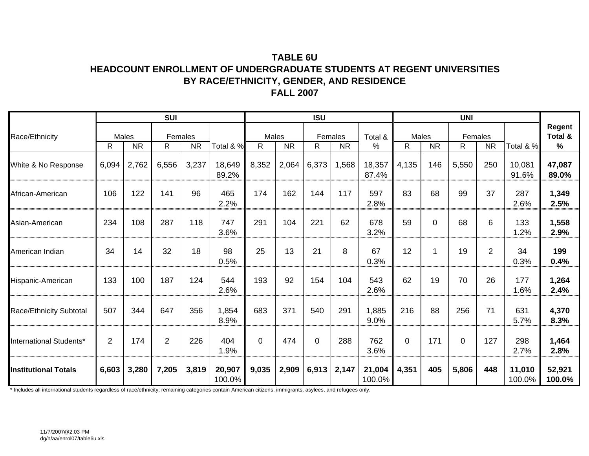### **TABLE 6UHEADCOUNT ENROLLMENT OF UNDERGRADUATE STUDENTS AT REGENT UNIVERSITIES BY RACE/ETHNICITY, GENDER, AND RESIDENCE FALL 2007**

|                                |                |           | <b>SUI</b>    |           |                  |            |           | <b>ISU</b>   |           |                  |                       |           | <b>UNI</b>   |                |                  |                           |
|--------------------------------|----------------|-----------|---------------|-----------|------------------|------------|-----------|--------------|-----------|------------------|-----------------------|-----------|--------------|----------------|------------------|---------------------------|
| Race/Ethnicity                 | Males<br>R     | <b>NR</b> | Females<br>R. | <b>NR</b> | Total & %        | Males<br>R | <b>NR</b> | Females<br>R | <b>NR</b> | Total &<br>%     | Males<br>$\mathsf{R}$ | <b>NR</b> | Females<br>R | <b>NR</b>      | Total & %        | Regent<br>Total &<br>$\%$ |
| White & No Response            | 6,094          | 2,762     | 6,556         | 3,237     | 18,649<br>89.2%  | 8,352      | 2,064     | 6,373        | 1,568     | 18,357<br>87.4%  | 4,135                 | 146       | 5,550        | 250            | 10,081<br>91.6%  | 47,087<br>89.0%           |
| African-American               | 106            | 122       | 141           | 96        | 465<br>2.2%      | 174        | 162       | 144          | 117       | 597<br>2.8%      | 83                    | 68        | 99           | 37             | 287<br>2.6%      | 1,349<br>2.5%             |
| Asian-American                 | 234            | 108       | 287           | 118       | 747<br>3.6%      | 291        | 104       | 221          | 62        | 678<br>3.2%      | 59                    | $\Omega$  | 68           | 6              | 133<br>1.2%      | 1,558<br>2.9%             |
| American Indian                | 34             | 14        | 32            | 18        | 98<br>0.5%       | 25         | 13        | 21           | 8         | 67<br>0.3%       | 12                    | 1         | 19           | $\overline{2}$ | 34<br>0.3%       | 199<br>0.4%               |
| Hispanic-American              | 133            | 100       | 187           | 124       | 544<br>2.6%      | 193        | 92        | 154          | 104       | 543<br>2.6%      | 62                    | 19        | 70           | 26             | 177<br>1.6%      | 1,264<br>2.4%             |
| <b>Race/Ethnicity Subtotal</b> | 507            | 344       | 647           | 356       | 1,854<br>8.9%    | 683        | 371       | 540          | 291       | 1,885<br>9.0%    | 216                   | 88        | 256          | 71             | 631<br>5.7%      | 4,370<br>8.3%             |
| International Students*        | $\overline{2}$ | 174       | 2             | 226       | 404<br>1.9%      | $\Omega$   | 474       | $\mathbf 0$  | 288       | 762<br>3.6%      | $\mathbf 0$           | 171       | $\mathbf 0$  | 127            | 298<br>2.7%      | 1,464<br>2.8%             |
| <b>Institutional Totals</b>    | 6,603          | 3,280     | 7,205         | 3,819     | 20,907<br>100.0% | 9,035      | 2,909     | 6,913        | 2,147     | 21,004<br>100.0% | 4,351                 | 405       | 5,806        | 448            | 11,010<br>100.0% | 52,921<br>100.0%          |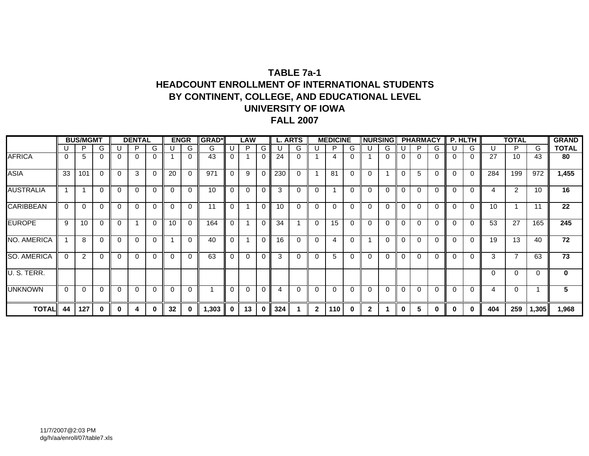### **TABLE 7a-1HEADCOUNT ENROLLMENT OF INTERNATIONAL STUDENTS BY CONTINENT, COLLEGE, AND EDUCATIONAL LEVEL UNIVERSITY OF IOWAFALL 2007**

|                    |          | <b>BUS/MGMT</b> |   |          | <b>DENTAL</b> |          |          | <b>ENGR</b> | <b>IGRAD*</b>            |          | <b>LAW</b> |             |     | <b>L. ARTS</b> |              | <b>MEDICINE</b> |          | <b>INURSING</b> |          |          | <b>PHARMACY</b> |          |          | P. HLTH  |          | <b>TOTAL</b>   |       | <b>GRAND</b> |
|--------------------|----------|-----------------|---|----------|---------------|----------|----------|-------------|--------------------------|----------|------------|-------------|-----|----------------|--------------|-----------------|----------|-----------------|----------|----------|-----------------|----------|----------|----------|----------|----------------|-------|--------------|
|                    |          | P               | G |          | P             | G        |          | G           | G                        |          | P          | G           |     | G.             |              | P               | G        |                 | G        |          | P               | G        |          | G        | U        | P.             | G     | <b>TOTAL</b> |
| <b>AFRICA</b>      | 0        | 5               | 0 |          | $\Omega$      | $\Omega$ |          |             | 43                       | $\Omega$ |            | $\Omega$    | 24  | 0              |              | 4               |          |                 |          | $\Omega$ |                 | $\Omega$ | $\Omega$ | 0        | 27       | 10             | 43    | 80           |
| <b>ASIA</b>        | 33       | 101             |   | $\Omega$ | 3             | $\Omega$ | 20       | $\Omega$    | 971                      | $\Omega$ | 9          | 0           | 230 | 0              |              | 81              | 0        | $\Omega$        |          | $\Omega$ | 5               | $\Omega$ | $\Omega$ | $\Omega$ | 284      | 199            | 972   | 1,455        |
| <b>AUSTRALIA</b>   |          |                 | 0 |          | $\Omega$      | $\Omega$ | $\Omega$ |             | 10                       | $\Omega$ | $\Omega$   | 0           | 3   | 0              | $\Omega$     |                 |          | $\Omega$        | $\Omega$ | $\Omega$ | ∩               |          | $\Omega$ | 0        | 4        | 2              | 10    | 16           |
| <b>CARIBBEAN</b>   | $\Omega$ | $\Omega$        | 0 | $\Omega$ | $\Omega$      | $\Omega$ | $\Omega$ | $\Omega$    | 11                       | $\Omega$ |            | $\mathbf 0$ | 10  | $\Omega$       | $\Omega$     | $\Omega$        | $\Omega$ | $\Omega$        | 0        | $\Omega$ | $\Omega$        | $\Omega$ | $\Omega$ | 0        | 10       |                | 11    | 22           |
| <b>EUROPE</b>      | 9        | 10              |   | $\Omega$ |               | $\Omega$ | 10       |             | 164                      | $\Omega$ |            | 0           | 34  |                | $\Omega$     | 15              |          | 0               |          | $\Omega$ | ∩               | $\Omega$ | $\Omega$ | 0        | 53       | 27             | 165   | 245          |
| NO. AMERICA        |          | 8               | 0 | $\Omega$ | $\Omega$      | $\Omega$ |          |             | 40                       | $\Omega$ |            | $\Omega$    | 16  | $\Omega$       | $\Omega$     | 4               |          |                 | 0        | $\Omega$ | $\Omega$        | $\Omega$ | $\Omega$ | $\Omega$ | 19       | 13             | 40    | 72           |
| <b>SO. AMERICA</b> | $\Omega$ | 2               |   | $\Omega$ | $\Omega$      | $\Omega$ | $\Omega$ |             | 63                       | $\Omega$ | $\Omega$   | $\Omega$    | 3   | 0              | $\Omega$     | 5               |          | $\Omega$        |          | $\Omega$ | $\Omega$        | $\Omega$ | $\Omega$ | 0        | 3        | $\overline{7}$ | 63    | 73           |
| U. S. TERR.        |          |                 |   |          |               |          |          |             |                          |          |            |             |     |                |              |                 |          |                 |          |          |                 |          |          |          | $\Omega$ | $\Omega$       | 0     | $\mathbf 0$  |
| <b>UNKNOWN</b>     | $\Omega$ | $\Omega$        | 0 | 0        | $\Omega$      | $\Omega$ | $\Omega$ | 0           | $\overline{\phantom{a}}$ | $\Omega$ | $\Omega$   | $\Omega$    | 4   | 0              | - 0          | 0               | $\Omega$ | $\Omega$        | $\Omega$ | $\Omega$ | $\Omega$        | $\Omega$ | $\Omega$ | 0        | 4        | $\Omega$       |       | 5            |
| <b>TOTAL</b>       | 44       | 127             | 0 | 0        | 4             | 0        | 32       | 0           | 1,303                    | $\bf{0}$ | 13         | $\bf{0}$    | 324 |                | $\mathbf{2}$ | 110             | 0        | 2               |          | 0        | 5               | 0        | 0        | 0        | 404      | 259            | 1,305 | 1,968        |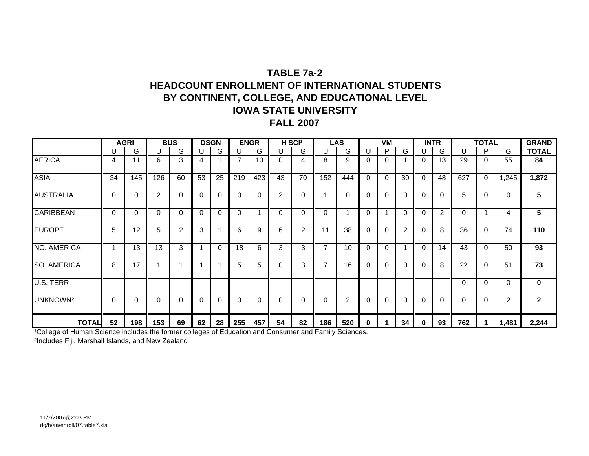## **TABLE 7a-2HEADCOUNT ENROLLMENT OF INTERNATIONAL STUDENTSBY CONTINENT, COLLEGE, AND EDUCATIONAL LEVEL IOWA STATE UNIVERSITYFALL 2007**

|                      |          | <b>AGRI</b> |     | <b>BUS</b> |              | <b>DSGN</b> |          | <b>ENGR</b> |          | H SCI <sup>1</sup> |                | LAS            |          | <b>VM</b> |                |          | <b>INTR</b> |          | <b>TOTAL</b> |                | <b>GRAND</b>   |
|----------------------|----------|-------------|-----|------------|--------------|-------------|----------|-------------|----------|--------------------|----------------|----------------|----------|-----------|----------------|----------|-------------|----------|--------------|----------------|----------------|
|                      |          | G           | U   | G          | U            | G.          |          | G           | U        | G                  | U              | G              |          | P         | G              |          | G           | U        | P            | G              | <b>TOTAL</b>   |
| <b>AFRICA</b>        | 4        | 11          | 6   | 3          | 4            |             |          | 13          | 0        | 4                  | 8              | 9              |          | 0         |                | $\Omega$ | 13          | 29       | 0            | 55             | 84             |
| <b>ASIA</b>          | 34       | 145         | 126 | 60         | 53           | 25          | 219      | 423         | 43       | 70                 | 152            | 444            | 0        | $\Omega$  | 30             | $\Omega$ | 48          | 627      | $\Omega$     | 1,245          | 1,872          |
| <b>AUSTRALIA</b>     | $\Omega$ | 0           | 2   | 0          | $\Omega$     | 0           | $\Omega$ | 0           | 2        | 0                  |                | 0              |          | 0         | $\Omega$       | 0        | 0           | 5        | $\Omega$     | 0              | 5              |
| <b>CARIBBEAN</b>     | $\Omega$ | 0           | 0   | $\Omega$   | $\mathbf{0}$ | 0           | $\Omega$ |             | $\Omega$ | 0                  | $\Omega$       |                |          | ٠         | $\Omega$       | $\Omega$ | 2           | 0        |              | 4              | 5              |
| <b>EUROPE</b>        | 5        | 12          | 5   | 2          | 3            |             | 6        | 9           | 6        | $\overline{2}$     | 11             | 38             |          | $\Omega$  | $\overline{2}$ | $\Omega$ | 8           | 36       | $\Omega$     | 74             | 110            |
| NO. AMERICA          |          | 13          | 13  | 3          | 1            | 0           | 18       | 6           | 3        | 3                  | 7              | 10             | 0        | $\Omega$  |                | $\Omega$ | 14          | 43       | $\Omega$     | 50             | 93             |
| <b>SO. AMERICA</b>   | 8        | 17          |     |            | 1            |             | 5        | 5           | 0        | 3                  | $\overline{7}$ | 16             | $\Omega$ | $\Omega$  | $\Omega$       | $\Omega$ | 8           | 22       | $\Omega$     | 51             | 73             |
| U.S. TERR.           |          |             |     |            |              |             |          |             |          |                    |                |                |          |           |                |          |             | $\Omega$ | $\Omega$     | 0              | 0              |
| UNKNOWN <sup>2</sup> | $\Omega$ | 0           | 0   | $\Omega$   | $\mathbf{0}$ | 0           | $\Omega$ | 0           | 0        | 0                  | $\Omega$       | $\overline{2}$ | 0        | $\Omega$  | $\Omega$       | $\Omega$ | $\Omega$    | $\Omega$ | $\Omega$     | $\overline{2}$ | $\overline{2}$ |
| <b>TOTAL</b>         | 52       | 198         | 153 | 69         | 62           | 28          | 255      | 457         | 54       | 82                 | 186            | 520            | $\bf{0}$ |           | 34             | 0        | 93          | 762      |              | 1,481          | 2,244          |

<sup>1</sup>College of Human Science includes the former colleges of Education and Consumer and Family Sciences.

²Includes Fiji, Marshall Islands, and New Zealand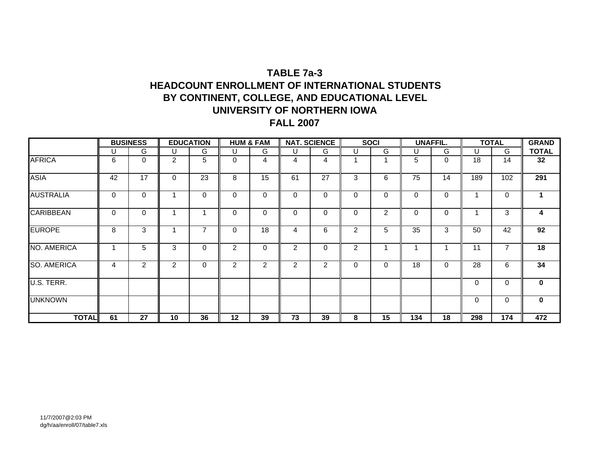# **TABLE 7a-3HEADCOUNT ENROLLMENT OF INTERNATIONAL STUDENTSBY CONTINENT, COLLEGE, AND EDUCATIONAL LEVEL UNIVERSITY OF NORTHERN IOWA FALL 2007**

|                    |    | <b>BUSINESS</b> |                | <b>EDUCATION</b> |                | <b>HUM &amp; FAM</b> |             | <b>NAT. SCIENCE</b> |                | <b>SOCI</b> |          | <b>UNAFFIL.</b> |          | <b>TOTAL</b> | <b>GRAND</b>         |
|--------------------|----|-----------------|----------------|------------------|----------------|----------------------|-------------|---------------------|----------------|-------------|----------|-----------------|----------|--------------|----------------------|
|                    | U  | G               | U              | G                | U              | G                    | U           | G                   | U              | G           | U        | G               | U        | G            | <b>TOTAL</b>         |
| <b>AFRICA</b>      | 6  | $\mathbf 0$     | $\overline{2}$ | 5                | 0              | 4                    | 4           | 4                   |                |             | 5        | 0               | 18       | 14           | 32                   |
| <b>ASIA</b>        | 42 | 17              | $\mathbf 0$    | 23               | 8              | 15                   | 61          | 27                  | 3              | 6           | 75       | 14              | 189      | 102          | 291                  |
| <b>AUSTRALIA</b>   | 0  | $\mathbf 0$     |                | $\Omega$         | 0              | $\Omega$             | 0           | $\Omega$            | 0              | 0           | $\Omega$ | 0               |          | 0            | $\blacktriangleleft$ |
| <b>CARIBBEAN</b>   | 0  | $\mathbf 0$     | 4              |                  | 0              | $\Omega$             | $\mathbf 0$ | $\Omega$            | $\Omega$       | 2           | $\Omega$ | $\Omega$        |          | 3            | 4                    |
| <b>EUROPE</b>      | 8  | 3               |                | 7                | 0              | 18                   | 4           | 6                   | $\overline{2}$ | 5           | 35       | 3               | 50       | 42           | 92                   |
| NO. AMERICA        |    | 5               | 3              | $\Omega$         | $\overline{2}$ | $\Omega$             | 2           | $\Omega$            | $\overline{2}$ |             |          |                 | 11       |              | 18                   |
| <b>SO. AMERICA</b> | 4  | 2               | 2              | $\mathbf 0$      | 2              | 2                    | 2           | 2                   | 0              | 0           | 18       | 0               | 28       | 6            | 34                   |
| U.S. TERR.         |    |                 |                |                  |                |                      |             |                     |                |             |          |                 | $\Omega$ | 0            | $\mathbf{0}$         |
| <b>UNKNOWN</b>     |    |                 |                |                  |                |                      |             |                     |                |             |          |                 | 0        | 0            | $\mathbf 0$          |
| <b>TOTAL</b>       | 61 | 27              | 10             | 36               | 12             | 39                   | 73          | 39                  | 8              | 15          | 134      | 18              | 298      | 174          | 472                  |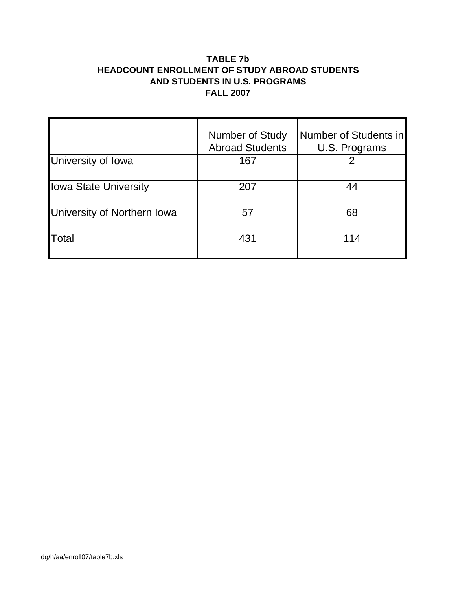### **TABLE 7b HEADCOUNT ENROLLMENT OF STUDY ABROAD STUDENTS AND STUDENTS IN U.S. PROGRAMS FALL 2007**

|                              | <b>Number of Study</b><br><b>Abroad Students</b> | Number of Students in<br>U.S. Programs |
|------------------------------|--------------------------------------------------|----------------------------------------|
| University of Iowa           | 167                                              |                                        |
| <b>Iowa State University</b> | 207                                              | 44                                     |
| University of Northern Iowa  | 57                                               | 68                                     |
| Total                        | 431                                              | 114                                    |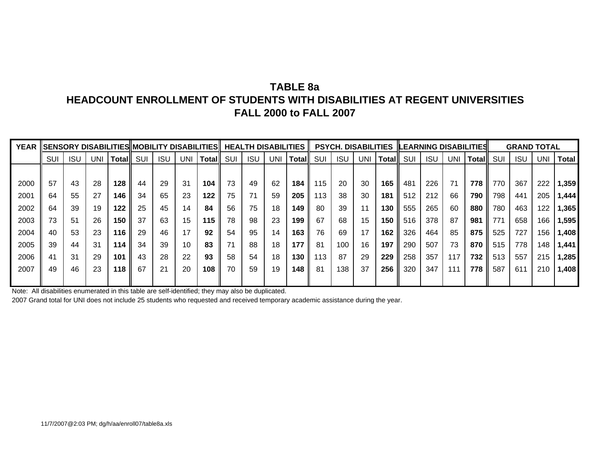# **TABLE 8aHEADCOUNT ENROLLMENT OF STUDENTS WITH DISABILITIES AT REGENT UNIVERSITIESFALL 2000 to FALL 2007**

| <b>YEAR</b> |     |            |     |       |     |            |     | <b>SENSORY DISABILITIES MOBILITY DISABILITIES</b> |     |            | <b>HEALTH DISABILITIES</b> |              |     | <b>PSYCH. DISABILITIES</b> |            |        |     |            |     | <b>LEARNING DISABILITIES</b> |     | <b>GRAND TOTAL</b> |     |       |
|-------------|-----|------------|-----|-------|-----|------------|-----|---------------------------------------------------|-----|------------|----------------------------|--------------|-----|----------------------------|------------|--------|-----|------------|-----|------------------------------|-----|--------------------|-----|-------|
|             | SUI | <b>ISU</b> | UNI | Total | SUI | <b>ISU</b> | UNI | Total                                             | SUI | <b>ISU</b> | UNI                        | <b>Total</b> | SUI | <b>ISU</b>                 | <b>UNI</b> | Totall | SUI | <b>ISU</b> | UNI | Total                        | SUI | <b>ISU</b>         | UNI | Total |
|             |     |            |     |       |     |            |     |                                                   |     |            |                            |              |     |                            |            |        |     |            |     |                              |     |                    |     |       |
| 2000        | 57  | 43         | 28  | 128   | 44  | 29         | 31  | 104                                               | 73  | 49         | 62                         | 184          | 115 | 20                         | 30         | 165    | 481 | 226        | 71  | 778                          | 770 | 367                | 222 | 1,359 |
| 2001        | 64  | 55         | 27  | 146   | 34  | 65         | 23  | 122                                               | 75  | 71         | 59                         | 205          | 113 | 38                         | 30         | 181    | 512 | 212        | 66  | 790                          | 798 | 441                | 205 | 1,444 |
| 2002        | 64  | 39         | 19  | 122   | 25  | 45         | 14  | 84                                                | 56  | 75         | 18                         | 149          | 80  | 39                         | 11         | 130    | 555 | 265        | 60  | 880                          | 780 | 463                | 122 | 1,365 |
| 2003        | 73  | 51         | 26  | 150   | 37  | 63         | 15  | 115                                               | 78  | 98         | 23                         | 199          | 67  | 68                         | 15         | 150    | 516 | 378        | 87  | 981                          | 771 | 658                | 166 | 1,595 |
| 2004        | 40  | 53         | 23  | 116   | 29  | 46         | 17  | 92                                                | 54  | 95         | 14                         | 163          | 76  | 69                         | 17         | 162    | 326 | 464        | 85  | 875                          | 525 | 727                | 156 | 1,408 |
| 2005        | 39  | 44         | 31  | 114   | 34  | 39         | 10  | 83                                                | 74  | 88         | 18                         | 177          | 81  | 100                        | 16         | 197    | 290 | 507        | 73  | 870                          | 515 | 778                | 148 | 1,441 |
| 2006        | 41  | 31         | 29  | 101   | 43  | 28         | 22  | 93                                                | 58  | 54         | 18                         | 130          | 113 | 87                         | 29         | 229    | 258 | 357        | 117 | 732                          | 513 | 557                | 215 | 1,285 |
| 2007        | 49  | 46         | 23  | 118   | 67  | 21         | 20  | 108                                               | 70  | 59         | 19                         | 148          | -81 | 138                        | 37         | 256    | 320 | 347        | 111 | 778                          | 587 | 611                | 210 | 1,408 |
|             |     |            |     |       |     |            |     |                                                   |     |            |                            |              |     |                            |            |        |     |            |     |                              |     |                    |     |       |

Note: All disabilities enumerated in this table are self-identified; they may also be duplicated.

2007 Grand total for UNI does not include 25 students who requested and received temporary academic assistance during the year.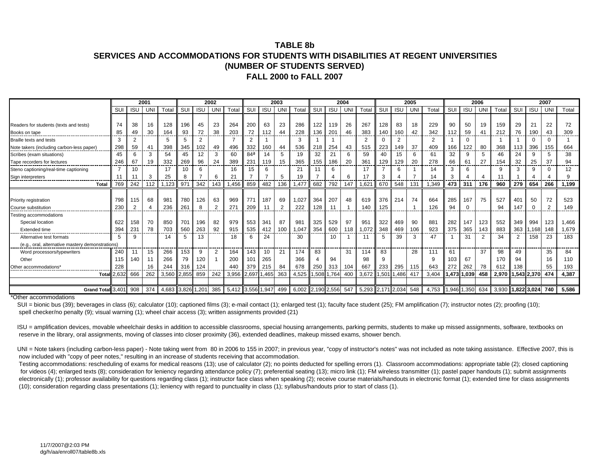#### **TABLE 8bSERVICES AND ACCOMMODATIONS FOR STUDENTS WITH DISABILITIES AT REGENT UNIVERSITIES(NUMBER OF STUDENTS SERVED) FALL 2000 to FALL 2007**

|                                                  |             |                | 2001      |                   |       |            | 2002       |                   |                 |             | 2003            |                     |       |            | 2004        |       |             |            | 2005 |       |     |             | 2006           |       |     |             | 2007 |                 |
|--------------------------------------------------|-------------|----------------|-----------|-------------------|-------|------------|------------|-------------------|-----------------|-------------|-----------------|---------------------|-------|------------|-------------|-------|-------------|------------|------|-------|-----|-------------|----------------|-------|-----|-------------|------|-----------------|
|                                                  | SUI         | <b>ISL</b>     | UN        | Total             | SUI   | <b>ISU</b> | <b>UNI</b> | Total             | SUI             | <b>ISU</b>  | UN.             | Total               | SUI   | <b>ISU</b> | UNI         | Total | SUI         | <b>ISU</b> | UNI  | Total | SUI | <b>ISU</b>  | UN             | Total | SUI | <b>ISU</b>  | UNI  | Total           |
|                                                  |             |                |           |                   |       |            |            |                   |                 |             |                 |                     |       |            |             |       |             |            |      |       |     |             |                |       |     |             |      |                 |
| Readers for students (texts and tests)           | 74          | 38             | 16        | 128               | 196   | 45         | 23         | 264               | 200             | 63          | 23              | 286                 | 122   | 119        | 26          | 267   | 128         | 83         | 18   | 229   | 90  | 50          | 19             | 159   | 29  | 21          | 22   | 72              |
| <u>Books on tape</u>                             | 85<br>----- | 49             | 30<br>--- | 164               | 93    | 72         | 38         | 203<br>-----      | 72              | 112<br>---- | 44              | 228                 | 136   | 201        | 46<br>----- | 383   | 140         | 160        | 42   | 342   | 112 | 59          | 41             | 212   | 76  | 190         | 43   | 309<br>-------- |
| <b>Braille texts and tests</b>                   | 3           |                |           | 5                 | 5     | 2          |            |                   |                 |             |                 | 3                   |       |            |             |       | $\Omega$    |            |      |       |     | $\Omega$    |                |       |     |             |      |                 |
| Note takers (including carbon-less paper)        | 298<br>.    | 59             | 41        | 398               | 345   | 102        | 49         | 496               | 332             | 160         | 44              | 536                 | 218   | 254        | 43          | 515   | 223         | 149        | 37   | 409   | 166 | 122         | 80             | 368   | 113 | 396         | 155  | 664<br>------   |
| Scribes (exam situations)                        | 45          | 6              | 3         | 54                | 45    | 12         | 3          | 60                | 84 <sup>a</sup> | 14          | 5               | 19                  | 32    | 21         | 6           | 59    | 40          | 15         | 6    | 61    | 32  | 9           | 5              | 46    | 24  | 9           |      | 38              |
| Tape recorders for lectures                      | 246         | 67             | 19        | 332               | 269   | 96         | 24         | 389               | 231             | 119         | 15              | 365                 | 155   | 186        | 20          | 361   | 129         | 129        | 20   | 278   | 66  | 61          | 27             | 154   | 32  | 25          | 37   | 94              |
| Steno captioning/real-time captioning            |             | 10             |           | 17                | 10    | 6          |            | 16                | 15              | 6           |                 | 21                  |       | 6          |             |       |             | 6          |      | 14    | 3   | 6           |                | 9     |     | 9           |      | 12              |
| Sign interpreters                                | 11          |                | 3         | 25                | 8     |            | 6          | 21                |                 |             | 5               | 19                  |       |            | 6           |       | 3           |            | 7    | 14    | 3   |             | $\overline{4}$ | 11    |     |             |      | 9               |
| <b>Total</b>                                     | 769         | 242            | 112       | 1.123             | 971   | 342        | 143        | .456              | 859             | 482         | 136             | 1.477               | 682   | 792        | 147         | 1,621 | 670         | 548        | 131  | 1,349 | 473 | 311         | 176            | 960   | 279 | 654         | 266  | 1,199           |
|                                                  |             |                |           |                   |       |            |            |                   |                 |             |                 |                     |       |            |             |       |             |            |      |       |     |             |                |       |     |             |      |                 |
| Priority registration                            | 798         | 115            | 68        | 981               | 780   | 126        | 63         | 969               | 771             | 187         | 69              | 1.027               | 364   | 207        | 48          | 619   | 376         | 214        | 74   | 664   | 285 | 167         | 75             | 527   | 401 | 50          | 72   | 523             |
| Course substitution                              | 230         | $\overline{2}$ |           | 236               | 261   | 8          | 2          | 27'               | 209             |             | ົ               | 222                 | 128   | 11         |             | 140   | 125         |            |      | 126   | 94  | $\Omega$    |                | 94    | 147 | $\Omega$    | ົ    | 149             |
| Testing accommodations                           |             |                |           |                   |       |            |            |                   |                 |             |                 |                     |       |            |             |       |             |            |      |       |     |             |                |       |     |             |      |                 |
| Special location                                 | 622         | 158            | 70        | 850               | 701   | 196        | 82         | 979               | 553             | 341         | 87              | 981                 | 325   | 529        | 97          | 951   | 322         | 469        | 90   | 881   | 282 | 147         | 123            | 552   | 349 | 994         | 123  | 1.466           |
| Extended time                                    | 394         | 231            | 78        | 703               | 560   | 263        | 92         | 915               | 535             | 412         | 10 <sup>c</sup> | 047. ا              | 354   | 600        | 118         | 1.072 | 348         | 469        | 106  | 923   | 375 | 365         | 143            | 883   | 363 | 1.168       | 148  | 1,679           |
| Alternative test formats                         |             | 9              |           | 14                | 5     | 13         |            | 18                | 6               | 24          |                 | 30                  |       | 10         |             |       | 5           | 39         | 3    | 47    |     | 31          | $\mathcal{P}$  | 34    | 2   | 158         | 23   | 183             |
| (e.g., oral, alternative mastery demonstrations) |             |                |           |                   |       |            |            |                   |                 |             |                 |                     |       |            |             |       |             |            |      |       |     |             |                |       |     |             |      |                 |
| Word processors/typewriters                      | 240         |                | 15        | 266               | 153   | 9          | 2          | 164               | 143             | 10          | 21              | 174                 | 83    |            | 31          | 114   | 83          |            | 28   | 111   | 61  |             | 37             | 98    | 49  |             | 35   | 84              |
| Other                                            | 115         | 140            | 11        | 266               | 79    | 120        |            | 200               | 101             | 265         |                 | 366                 |       | 94         |             | 98    | 9           |            |      | q     | 103 | 67          |                | 170   | 94  |             | 16   | 110             |
| Other accommodations'                            | 228         |                | 16        | 244               | 316   | 124        |            | 440               | 379             | 215         | 84              | 678                 | 250   | 313        | 104         | 667   | 233         | 295        | 115  | 643   | 272 | 262         | 78             | 612   | 138 |             | 55   | 193             |
| Total                                            | 2,632       | 666            | 262       | 3,560             | 2.855 | 859        | 242        | 3,956             | 2,697 1,465     |             | 363             | 4,525               | 1,508 | 1.764      | 400         | 3,672 |             | .501 1,486 | 417  | 3,404 |     | 1,473 1,039 | 458            | 2,970 |     | 1,543 2,370 | 474  | 4,387           |
|                                                  |             |                |           |                   |       |            |            |                   |                 |             |                 |                     |       |            |             |       |             |            |      |       |     |             |                |       |     |             |      |                 |
| <b>Grand Total</b>                               | 3,401       | 908            | 374       | 4.683 3.826 1.201 |       |            | 385        | 5,412 3,556 1,947 |                 |             | 499             | $6,002$ 2,190 2,556 |       |            | 547         | 5.293 | 2,171 2,034 |            | 548  | 4.753 |     | 1.946 1.350 | 634            | 3.930 |     | 1.822 3.024 | 740  | 5.586           |

\*Other accommodations

SUI = bionic bus (39); beverages in class (6); calculator (10); captioned films (3); e-mail contact (1); enlarged test (1); faculty face student (25); FM amplification (7); instructor notes (2); proofing (10); spell checker/no penalty (9); visual warning (1); wheel chair access (3); written assignments provided (21)

 ISU = amplification devices, movable wheelchair desks in addition to accessible classrooms, special housing arrangements, parking permits, students to make up missed assignments, software, textbooks on reserve in the library, oral assignments, moving of classes into closer proximity (36), extended deadlines, makeup missed exams, shower bench.

UNI = Note takers (including carbon-less paper) - Note taking went from 80 in 2006 to 155 in 2007; in previous year, "copy of instructor's notes" was not included as note taking assistance. Effective 2007, this is now included with "copy of peer notes," resulting in an increase of students receiving that accommodation.

 Testing accommodations: rescheduling of exams for medical reasons (13); use of calculator (2); no points deducted for spelling errors (1). Classroom accommodations: appropriate table (2); closed captioning for videos (4); enlarged texts (8); consideration for leniency regarding attendance policy (7); preferential seating (13); micro link (1); FM wireless transmitter (1); pastel paper handouts (1); submit assignments electronically (1); professor availability for questions regarding class (1); instructor face class when speaking (2); receive course materials/handouts in electronic format (1); extended time for class assignments (10); consideration regarding class presentations (1); leniency with regard to punctuality in class (1); syllabus/handouts prior to start of class (1).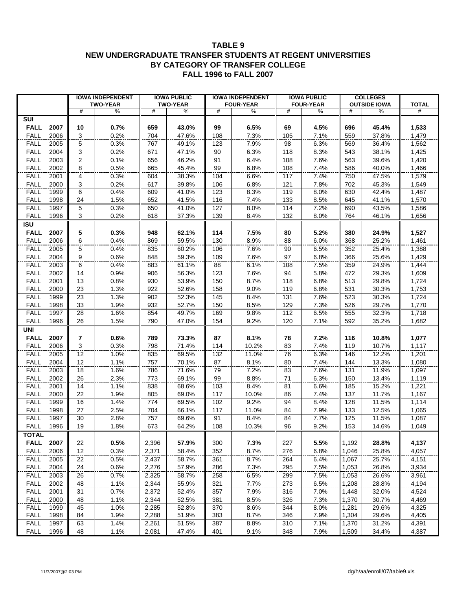#### **TABLE 9 NEW UNDERGRADUATE TRANSFER STUDENTS AT REGENT UNIVERSITIES BY CATEGORY OF TRANSFER COLLEGE FALL 1996 to FALL 2007**

|                            |              |                         | <b>IOWA INDEPENDENT</b> |            | <b>IOWA PUBLIC</b> |            | <b>IOWA INDEPENDENT</b> |            | <b>IOWA PUBLIC</b> |            | <b>COLLEGES</b>     |                |
|----------------------------|--------------|-------------------------|-------------------------|------------|--------------------|------------|-------------------------|------------|--------------------|------------|---------------------|----------------|
|                            |              |                         | <b>TWO-YEAR</b>         |            | <b>TWO-YEAR</b>    |            | <b>FOUR-YEAR</b>        |            | <b>FOUR-YEAR</b>   |            | <b>OUTSIDE IOWA</b> | <b>TOTAL</b>   |
|                            |              | #                       | %                       | #          | $\%$               | #          | %                       | #          | %                  | #          | %                   | #              |
| SUI<br><b>FALL</b>         | 2007         | 10                      | 0.7%                    | 659        | 43.0%              | 99         | 6.5%                    | 69         | 4.5%               | 696        | 45.4%               | 1,533          |
| <b>FALL</b>                | 2006         | 3                       | 0.2%                    | 704        | 47.6%              | 108        | 7.3%                    | 105        | 7.1%               | 559        | 37.8%               | 1,479          |
| <b>FALL</b>                | 2005         | 5                       | 0.3%                    | 767        | 49.1%              | 123        | 7.9%                    | 98         | 6.3%               | 569        | 36.4%               | 1,562          |
| <b>FALL</b>                | 2004         | 3                       | 0.2%                    | 671        | 47.1%              | 90         | 6.3%                    | 118        | 8.3%               | 543        | 38.1%               | 1,425          |
| <b>FALL</b>                | 2003         | $\overline{2}$          | 0.1%                    |            | 46.2%              | 91         | 6.4%                    |            |                    |            |                     |                |
| <b>FALL</b>                | 2002         | 8                       | 0.5%                    | 656<br>665 |                    | 99         | 6.8%                    | 108<br>108 | 7.6%<br>7.4%       | 563<br>586 | 39.6%               | 1,420          |
| <b>FALL</b>                |              |                         |                         |            | 45.4%              |            |                         |            |                    |            | 40.0%               | 1,466          |
|                            | 2001<br>2000 | 4<br>3                  | 0.3%                    | 604<br>617 | 38.3%              | 104        | 6.6%                    | 117        | 7.4%               | 750        | 47.5%               | 1,579          |
| <b>FALL</b><br><b>FALL</b> | 1999         | 6                       | 0.2%<br>0.4%            | 609        | 39.8%<br>41.0%     | 106<br>123 | 6.8%<br>8.3%            | 121<br>119 | 7.8%<br>8.0%       | 702<br>630 | 45.3%<br>42.4%      | 1,549<br>1,487 |
| <b>FALL</b>                | 1998         | 24                      | 1.5%                    | 652        | 41.5%              | 116        | 7.4%                    | 133        | 8.5%               | 645        | 41.1%               | 1,570          |
| <b>FALL</b>                | 1997         | 5                       | 0.3%                    | 650        | 41.0%              | 127        | 8.0%                    | 114        | 7.2%               | 690        | 43.5%               | 1,586          |
| <b>FALL</b>                | 1996         | 3                       | 0.2%                    | 618        | 37.3%              | 139        | 8.4%                    | 132        | 8.0%               | 764        | 46.1%               | 1,656          |
| <b>ISU</b>                 |              |                         |                         |            |                    |            |                         |            |                    |            |                     |                |
| <b>FALL</b>                |              | 5                       |                         |            |                    |            |                         |            |                    | 380        |                     |                |
| <b>FALL</b>                | 2007<br>2006 | 6                       | 0.3%                    | 948<br>869 | 62.1%<br>59.5%     | 114<br>130 | 7.5%                    | 80         | 5.2%               | 368        | 24.9%               | 1,527          |
|                            |              |                         | 0.4%                    |            |                    |            | 8.9%                    | 88         | 6.0%               |            | 25.2%               | 1,461          |
| <b>FALL</b>                | 2005         | 5                       | 0.4%                    | 835        | 60.2%              | 106        | 7.6%                    | 90         | 6.5%               | 352        | 25.4%               | 1,388          |
| <b>FALL</b>                | 2004         | 9                       | 0.6%                    | 848        | 59.3%              | 109        | 7.6%                    | 97         | 6.8%               | 366        | 25.6%               | 1,429          |
| <b>FALL</b>                | 2003         | $\overline{6}$          | 0.4%                    | 883        | 61.1%              | 88         | 6.1%                    | 108        | 7.5%               | 359        | 24.9%               | 1,444          |
| <b>FALL</b>                | 2002         | 14                      | 0.9%                    | 906        | 56.3%              | 123        | 7.6%                    | 94         | 5.8%               | 472        | 29.3%               | 1,609          |
| <b>FALL</b>                | 2001         | 13                      | 0.8%                    | 930        | 53.9%              | 150        | 8.7%                    | 118        | 6.8%               | 513        | 29.8%               | 1,724          |
| <b>FALL</b>                | 2000         | 23                      | 1.3%                    | 922        | 52.6%              | 158        | 9.0%                    | 119        | 6.8%               | 531        | 30.3%               | 1,753          |
| <b>FALL</b>                | 1999         | 23                      | 1.3%                    | 902        | 52.3%              | 145        | 8.4%                    | 131        | 7.6%               | 523        | 30.3%               | 1,724          |
| <b>FALL</b>                | 1998         | 33                      | 1.9%                    | 932        | 52.7%              | 150        | 8.5%                    | 129        | 7.3%               | 526        | 29.7%               | 1,770          |
| <b>FALL</b>                | 1997         | 28                      | 1.6%                    | 854        | 49.7%              | 169        | 9.8%                    | 112        | 6.5%               | 555        | 32.3%               | 1,718          |
| <b>FALL</b>                | 1996         | 26                      | 1.5%                    | 790        | 47.0%              | 154        | 9.2%                    | 120        | 7.1%               | 592        | 35.2%               | 1,682          |
| <b>UNI</b>                 |              |                         |                         |            |                    |            |                         |            |                    |            |                     |                |
| <b>FALL</b>                | 2007         | $\overline{\mathbf{r}}$ | 0.6%                    | 789        | 73.3%              | 87         | 8.1%                    | 78         | 7.2%               | 116        | 10.8%               | 1,077          |
| <b>FALL</b>                | 2006         | 3                       | 0.3%                    | 798        | 71.4%              | 114        | 10.2%                   | 83         | 7.4%               | 119        | 10.7%               | 1,117          |
| <b>FALL</b>                | 2005         | $\overline{12}$         | 1.0%                    | 835        | 69.5%              | 132        | 11.0%                   | 76         | 6.3%               | 146        | 12.2%               | 1,201          |
| <b>FALL</b>                | 2004         | 12                      | 1.1%                    | 757        | 70.1%              | 87         | 8.1%                    | 80         | 7.4%               | 144        | 13.3%               | 1,080          |
| <b>FALL</b>                | 2003         | 18                      | 1.6%                    | 786        | 71.6%              | 79         | 7.2%                    | 83         | 7.6%               | 131        | 11.9%               | 1,097          |
| <b>FALL</b>                | 2002         | 26                      | 2.3%                    | 773        | 69.1%              | 99         | 8.8%                    | 71         | 6.3%               | 150        | 13.4%               | 1,119          |
| <b>FALL</b>                | 2001         | 14                      | 1.1%                    | 838        | 68.6%              | 103        | 8.4%                    | 81         | 6.6%               | 185        | 15.2%               | 1,221          |
| <b>FALL</b>                | 2000         | 22                      | 1.9%                    | 805        | 69.0%              | 117        | 10.0%                   | 86         | 7.4%               | 137        | 11.7%               | 1,167          |
| <b>FALL</b>                | 1999         | 16                      | 1.4%                    | 774        | 69.5%              | 102        | 9.2%                    | 94         | 8.4%               | 128        | 11.5%               | 1,114          |
| <b>FALL</b>                | 1998         | 27                      | 2.5%                    | 704        | 66.1%              | 117        | 11.0%                   | 84         | 7.9%               | 133        | 12.5%               | 1,065          |
| <b>FALL</b>                | 1997         | 30<br>19                | 2.8%                    | 757        | 69.6%              | 91         | 8.4%                    | 84         | 7.7%<br>9.2%       | 125        | 11.5%<br>14.6%      | 1,087          |
| <b>FALL</b>                | 1996         |                         | 1.8%                    | 673        | 64.2%              | 108        | 10.3%                   | 96         |                    | 153        |                     | 1,049          |
| <b>TOTAL</b>               |              |                         |                         |            |                    |            |                         |            |                    |            |                     |                |
| <b>FALL</b>                | 2007         | 22                      | 0.5%                    | 2,396      | 57.9%              | 300        | 7.3%                    | 227        | 5.5%               | 1,192      | 28.8%               | 4,137          |
| <b>FALL</b>                | 2006         | 12                      | 0.3%                    | 2,371      | 58.4%              | 352        | 8.7%                    | 276        | 6.8%               | 1,046      | 25.8%               | 4,057          |
| <b>FALL</b>                | 2005         | 22                      | 0.5%                    | 2,437      | 58.7%              | 361        | 8.7%                    | 264        | 6.4%               | 1,067      | 25.7%               | 4,151          |
| <b>FALL</b>                | 2004         | 24                      | 0.6%                    | 2,276      | 57.9%              | 286        | 7.3%                    | 295        | 7.5%               | 1,053      | 26.8%               | 3,934          |
| <b>FALL</b>                | 2003         | 26                      | 0.7%                    | 2,325      | 58.7%              | 258        | 6.5%                    | 299        | 7.5%               | 1,053      | 26.6%               | 3,961          |
| <b>FALL</b>                | 2002         | 48                      | 1.1%                    | 2,344      | 55.9%              | 321        | 7.7%                    | 273        | 6.5%               | 1,208      | 28.8%               | 4,194          |
| <b>FALL</b>                | 2001         | 31                      | 0.7%                    | 2,372      | 52.4%              | 357        | 7.9%                    | 316        | 7.0%               | 1,448      | 32.0%               | 4,524          |
| <b>FALL</b>                | 2000         | 48                      | 1.1%                    | 2,344      | 52.5%              | 381        | 8.5%                    | 326        | 7.3%               | 1,370      | 30.7%               | 4,469          |
| FALL                       | 1999         | 45                      | 1.0%                    | 2,285      | 52.8%              | 370        | 8.6%                    | 344        | 8.0%               | 1,281      | 29.6%               | 4,325          |
| <b>FALL</b>                | 1998         | 84                      | 1.9%                    | 2,288      | 51.9%              | 383        | 8.7%                    | 346        | 7.9%               | 1,304      | 29.6%               | 4,405          |
| <b>FALL</b>                | 1997         | 63                      | 1.4%                    | 2,261      | 51.5%              | 387        | 8.8%                    | 310        | 7.1%               | 1,370      | 31.2%               | 4,391          |
| <b>FALL</b>                | 1996         | 48                      | 1.1%                    | 2,081      | 47.4%              | 401        | 9.1%                    | 348        | 7.9%               | 1,509      | 34.4%               | 4,387          |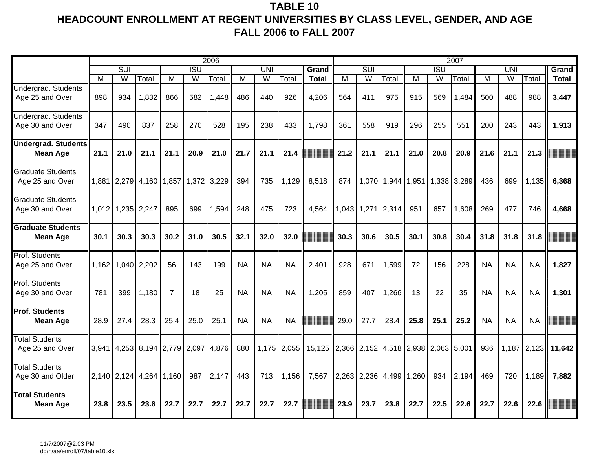# **TABLE 10 HEADCOUNT ENROLLMENT AT REGENT UNIVERSITIES BY CLASS LEVEL, GENDER, AND AGE FALL 2006 to FALL 2007**

|                                               |       |                         |                         |                |                  | 2006  |           |                |             |                                            |                |                |       |                         |                  | 2007  |           |                |               |              |
|-----------------------------------------------|-------|-------------------------|-------------------------|----------------|------------------|-------|-----------|----------------|-------------|--------------------------------------------|----------------|----------------|-------|-------------------------|------------------|-------|-----------|----------------|---------------|--------------|
|                                               |       | SUI                     |                         |                | $\overline{ISU}$ |       |           | UNI            |             | Grand                                      |                | <b>SUI</b>     |       |                         | $\overline{ISU}$ |       |           | <b>UNI</b>     |               | Grand        |
|                                               | M     | $\overline{\mathsf{W}}$ | Total                   | M              | W                | Total | M         | $\overline{W}$ | Total       | <b>Total</b>                               | $\overline{M}$ | $\overline{W}$ | Total | M                       | $\overline{W}$   | Total | M         | $\overline{W}$ | Total         | <b>Total</b> |
| <b>Undergrad. Students</b><br>Age 25 and Over | 898   | 934                     | 1,832                   | 866            | 582              | 1,448 | 486       | 440            | 926         | 4,206                                      | 564            | 411            | 975   | 915                     | 569              | 1,484 | 500       | 488            | 988           | 3,447        |
| <b>Undergrad. Students</b><br>Age 30 and Over | 347   | 490                     | 837                     | 258            | 270              | 528   | 195       | 238            | 433         | 1,798                                      | 361            | 558            | 919   | 296                     | 255              | 551   | 200       | 243            | 443           | 1,913        |
| <b>Undergrad. Students</b><br><b>Mean Age</b> | 21.1  | 21.0                    | 21.1                    | 21.1           | 20.9             | 21.0  | 21.7      | 21.1           | 21.4        |                                            | 21.2           | 21.1           | 21.1  | 21.0                    | 20.8             | 20.9  | 21.6      | 21.1           | 21.3          |              |
| <b>Graduate Students</b><br>Age 25 and Over   |       | 1,881 2,279 4,160       |                         | 1,857          | 1,372            | 3,229 | 394       | 735            | 1,129       | 8,518                                      | 874            | 1,070          |       | 1,944 1,951 1,338 3,289 |                  |       | 436       | 699            | 1,135         | 6,368        |
| <b>Graduate Students</b><br>Age 30 and Over   |       | 1,012 1,235 2,247       |                         | 895            | 699              | 1,594 | 248       | 475            | 723         | 4,564                                      | 1,043          | 1,271          | 2,314 | 951                     | 657              | 1,608 | 269       | 477            | 746           | 4,668        |
| <b>Graduate Students</b><br><b>Mean Age</b>   | 30.1  | 30.3                    | 30.3                    | 30.2           | 31.0             | 30.5  | 32.1      | 32.0           | 32.0        |                                            | 30.3           | 30.6           | 30.5  | 30.1                    | 30.8             | 30.4  | 31.8      | 31.8           | 31.8          |              |
| Prof. Students<br>Age 25 and Over             |       | 1,162 1,040 2,202       |                         | 56             | 143              | 199   | <b>NA</b> | <b>NA</b>      | <b>NA</b>   | 2,401                                      | 928            | 671            | 1,599 | 72                      | 156              | 228   | <b>NA</b> | <b>NA</b>      | <b>NA</b>     | 1,827        |
| Prof. Students<br>Age 30 and Over             | 781   | 399                     | 1,180                   | $\overline{7}$ | 18               | 25    | <b>NA</b> | <b>NA</b>      | <b>NA</b>   | 1,205                                      | 859            | 407            | 1,266 | 13                      | 22               | 35    | <b>NA</b> | <b>NA</b>      | <b>NA</b>     | 1,301        |
| <b>Prof. Students</b><br><b>Mean Age</b>      | 28.9  | 27.4                    | 28.3                    | 25.4           | 25.0             | 25.1  | <b>NA</b> | <b>NA</b>      | <b>NA</b>   |                                            | 29.0           | 27.7           | 28.4  | 25.8                    | 25.1             | 25.2  | <b>NA</b> | <b>NA</b>      | <b>NA</b>     |              |
| <b>Total Students</b><br>Age 25 and Over      | 3,941 |                         | 4,253 8,194 2,779 2,097 |                |                  | 4,876 | 880       |                | 1,175 2,055 | 15,125 2,366 2,152 4,518 2,938 2,063 5,001 |                |                |       |                         |                  |       | 936       |                | $1,187$ 2,123 | 11,642       |
| <b>Total Students</b><br>Age 30 and Older     |       | 2,140 2,124 4,264       |                         | 1,160          | 987              | 2,147 | 443       | 713            | 1,156       | 7,567                                      |                | 2,263 2,236    | 4,499 | 1,260                   | 934              | 2,194 | 469       | 720            | 1,189         | 7,882        |
| <b>Total Students</b><br><b>Mean Age</b>      | 23.8  | 23.5                    | 23.6                    | 22.7           | 22.7             | 22.7  | 22.7      | 22.7           | 22.7        |                                            | 23.9           | 23.7           | 23.8  | 22.7                    | 22.5             | 22.6  | 22.7      | 22.6           | 22.6          |              |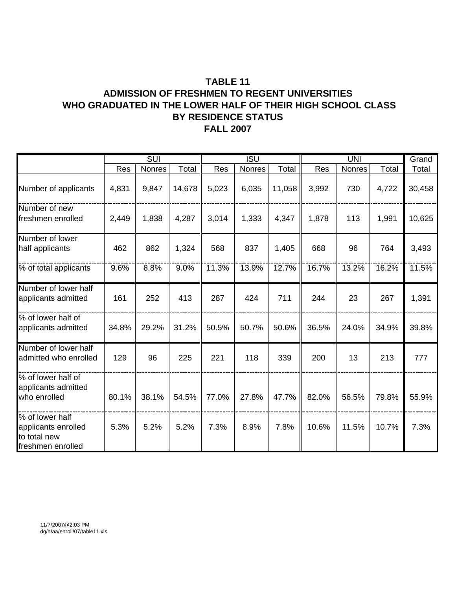# **TABLE 11**

### **ADMISSION OF FRESHMEN TO REGENT UNIVERSITIES WHO GRADUATED IN THE LOWER HALF OF THEIR HIGH SCHOOL CLASS FALL 2007 BY RESIDENCE STATUS**

|                                                                             |       | SUI    |        |       | <b>ISU</b> |        |       | <b>UNI</b> |       | Grand  |
|-----------------------------------------------------------------------------|-------|--------|--------|-------|------------|--------|-------|------------|-------|--------|
|                                                                             | Res   | Nonres | Total  | Res   | Nonres     | Total  | Res   | Nonres     | Total | Total  |
| Number of applicants                                                        | 4,831 | 9,847  | 14,678 | 5,023 | 6,035      | 11,058 | 3,992 | 730        | 4,722 | 30,458 |
| Number of new<br>freshmen enrolled                                          | 2,449 | 1,838  | 4,287  | 3,014 | 1,333      | 4,347  | 1,878 | 113        | 1,991 | 10,625 |
| Number of lower<br>half applicants                                          | 462   | 862    | 1,324  | 568   | 837        | 1,405  | 668   | 96         | 764   | 3,493  |
| % of total applicants                                                       | 9.6%  | 8.8%   | 9.0%   | 11.3% | 13.9%      | 12.7%  | 16.7% | 13.2%      | 16.2% | 11.5%  |
| Number of lower half<br>applicants admitted                                 | 161   | 252    | 413    | 287   | 424        | 711    | 244   | 23         | 267   | 1,391  |
| % of lower half of<br>applicants admitted                                   | 34.8% | 29.2%  | 31.2%  | 50.5% | 50.7%      | 50.6%  | 36.5% | 24.0%      | 34.9% | 39.8%  |
| Number of lower half<br>admitted who enrolled                               | 129   | 96     | 225    | 221   | 118        | 339    | 200   | 13         | 213   | 777    |
| % of lower half of<br>applicants admitted<br>who enrolled                   | 80.1% | 38.1%  | 54.5%  | 77.0% | 27.8%      | 47.7%  | 82.0% | 56.5%      | 79.8% | 55.9%  |
| % of lower half<br>applicants enrolled<br>to total new<br>freshmen enrolled | 5.3%  | 5.2%   | 5.2%   | 7.3%  | 8.9%       | 7.8%   | 10.6% | 11.5%      | 10.7% | 7.3%   |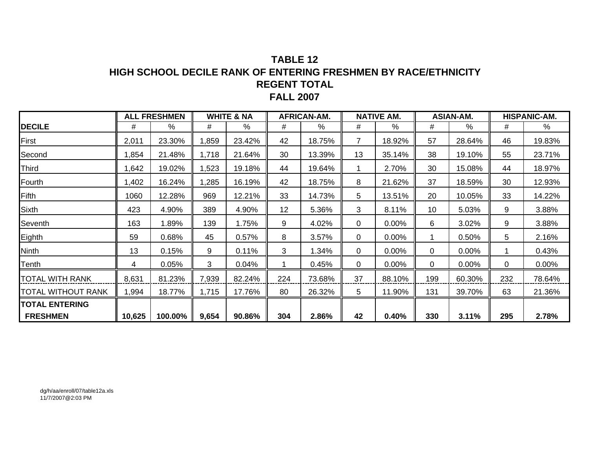### **TABLE 12 HIGH SCHOOL DECILE RANK OF ENTERING FRESHMEN BY RACE/ETHNICITYREGENT TOTAL FALL 2007**

|                       |        | <b>ALL FRESHMEN</b> |       | <b>WHITE &amp; NA</b> |     | AFRICAN-AM. |    | <b>NATIVE AM.</b> |     | <b>ASIAN-AM.</b> |     | HISPANIC-AM. |
|-----------------------|--------|---------------------|-------|-----------------------|-----|-------------|----|-------------------|-----|------------------|-----|--------------|
| <b>DECILE</b>         | #      | $\frac{0}{0}$       | #     | %                     | #   | %           | #  | %                 | #   | $\%$             | #   | %            |
| First                 | 2,011  | 23.30%              | ,859  | 23.42%                | 42  | 18.75%      | 7  | 18.92%            | 57  | 28.64%           | 46  | 19.83%       |
| Second                | ,854   | 21.48%              | 1,718 | 21.64%                | 30  | 13.39%      | 13 | 35.14%            | 38  | 19.10%           | 55  | 23.71%       |
| Third                 | ,642   | 19.02%              | 1,523 | 19.18%                | 44  | 19.64%      |    | 2.70%             | 30  | 15.08%           | 44  | 18.97%       |
| Fourth                | ,402   | 16.24%              | 1,285 | 16.19%                | 42  | 18.75%      | 8  | 21.62%            | 37  | 18.59%           | 30  | 12.93%       |
| Fifth                 | 1060   | 12.28%              | 969   | 12.21%                | 33  | 14.73%      | 5  | 13.51%            | 20  | 10.05%           | 33  | 14.22%       |
| Sixth                 | 423    | 4.90%               | 389   | 4.90%                 | 12  | 5.36%       | 3  | 8.11%             | 10  | 5.03%            | 9   | 3.88%        |
| Seventh               | 163    | 1.89%               | 139   | 1.75%                 | 9   | 4.02%       | 0  | 0.00%             | 6   | 3.02%            | 9   | 3.88%        |
| Eighth                | 59     | 0.68%               | 45    | 0.57%                 | 8   | 3.57%       | 0  | 0.00%             |     | 0.50%            | 5   | 2.16%        |
| Ninth                 | 13     | 0.15%               | 9     | 0.11%                 | 3   | 1.34%       | 0  | 0.00%             | 0   | 0.00%            | 1   | 0.43%        |
| Tenth                 | 4      | 0.05%               | 3     | 0.04%                 |     | 0.45%       | 0  | 0.00%             | 0   | 0.00%            | 0   | 0.00%        |
| TOTAL WITH RANK       | 8,631  | 81.23%              | 7,939 | 82.24%                | 224 | 73.68%      | 37 | 88.10%            | 199 | 60.30%           | 232 | 78.64%       |
| TOTAL WITHOUT RANK    | ,994   | 18.77%              | 1,715 | 17.76%                | 80  | 26.32%      | 5  | 11.90%            | 131 | 39.70%           | 63  | 21.36%       |
| <b>TOTAL ENTERING</b> |        |                     |       |                       |     |             |    |                   |     |                  |     |              |
| <b>FRESHMEN</b>       | 10,625 | 100.00%             | 9,654 | 90.86%                | 304 | 2.86%       | 42 | 0.40%             | 330 | 3.11%            | 295 | 2.78%        |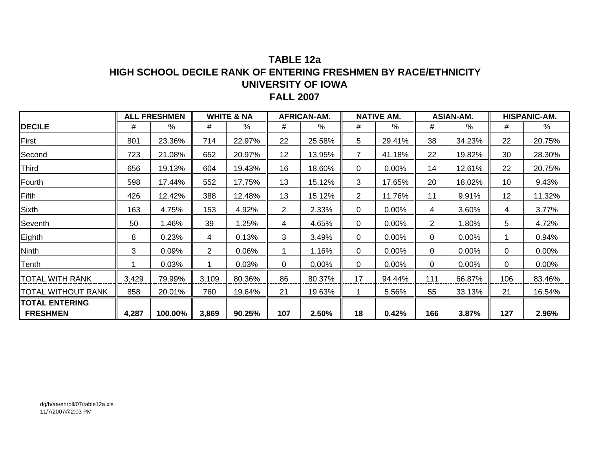## **TABLE 12aHIGH SCHOOL DECILE RANK OF ENTERING FRESHMEN BY RACE/ETHNICITYUNIVERSITY OF IOWA FALL 2007**

|                    |       | <b>ALL FRESHMEN</b> |                       | <b>WHITE &amp; NA</b> |                | <b>AFRICAN-AM.</b> |                | <b>NATIVE AM.</b> |                | <b>ASIAN-AM.</b> |     | <b>HISPANIC-AM.</b> |
|--------------------|-------|---------------------|-----------------------|-----------------------|----------------|--------------------|----------------|-------------------|----------------|------------------|-----|---------------------|
| <b>DECILE</b>      | #     | $\%$                | #                     | %                     | #              | $\%$               | #              | %                 | #              | $\%$             | #   | %                   |
| First              | 801   | 23.36%              | 714                   | 22.97%                | 22             | 25.58%             | 5              | 29.41%            | 38             | 34.23%           | 22  | 20.75%              |
| Second             | 723   | 21.08%              | 652                   | 20.97%                | 12             | 13.95%             | $\overline{7}$ | 41.18%            | 22             | 19.82%           | 30  | 28.30%              |
| Third              | 656   | 19.13%              | 604                   | 19.43%                | 16             | 18.60%             | 0              | 0.00%             | 14             | 12.61%           | 22  | 20.75%              |
| Fourth             | 598   | 17.44%              | 552                   | 17.75%                | 13             | 15.12%             | 3              | 17.65%            | 20             | 18.02%           | 10  | 9.43%               |
| Fifth              | 426   | 12.42%              | 388                   | 12.48%                | 13             | 15.12%             | $\overline{2}$ | 11.76%            | 11             | 9.91%            | 12  | 11.32%              |
| Sixth              | 163   | 4.75%               | 153                   | 4.92%                 | $\overline{2}$ | 2.33%              | 0              | 0.00%             | 4              | 3.60%            | 4   | 3.77%               |
| Seventh            | 50    | 1.46%               | 39                    | .25%                  | 4              | 4.65%              | 0              | 0.00%             | $\overline{2}$ | 1.80%            | 5   | 4.72%               |
| Eighth             | 8     | 0.23%               | 4                     | 0.13%                 | 3              | 3.49%              | 0              | 0.00%             | 0              | 0.00%            |     | 0.94%               |
| Ninth              | 3     | 0.09%               | $\mathbf{2}^{\prime}$ | 0.06%                 |                | 1.16%              | 0              | 0.00%             | $\Omega$       | 0.00%            | 0   | $0.00\%$            |
| Tenth              |       | 0.03%               |                       | 0.03%                 | 0              | $0.00\%$           | 0              | 0.00%             | 0              | 0.00%            | 0   | 0.00%               |
| TOTAL WITH RANK    | 3,429 | 79.99%              | 3,109                 | 80.36%                | 86             | 80.37%             | 17             | 94.44%            | 111            | 66.87%           | 106 | 83.46%              |
| TOTAL WITHOUT RANK | 858   | 20.01%              | 760                   | 19.64%                | 21             | 19.63%             |                | 5.56%             | 55             | 33.13%           | 21  | 16.54%              |
| TOTAL ENTERING     |       |                     |                       |                       |                |                    |                |                   |                |                  |     |                     |
| <b>FRESHMEN</b>    | 4,287 | 100.00%             | 3,869                 | 90.25%                | 107            | 2.50%              | 18             | 0.42%             | 166            | 3.87%            | 127 | 2.96%               |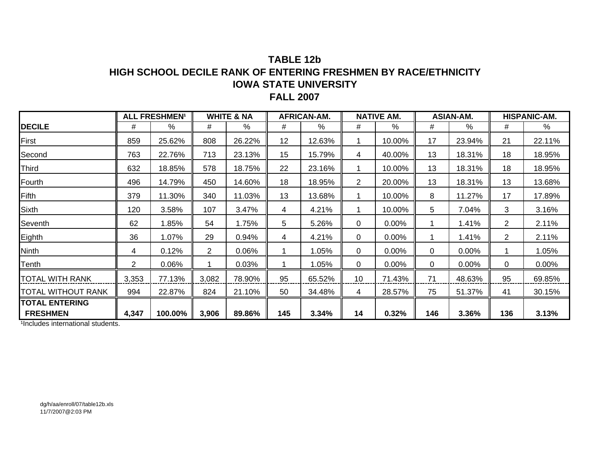### **TABLE 12bHIGH SCHOOL DECILE RANK OF ENTERING FRESHMEN BY RACE/ETHNICITY IOWA STATE UNIVERSITY FALL 2007**

|                           |       | <b>ALL FRESHMEN<sup>1</sup></b> |                | <b>WHITE &amp; NA</b> |     | AFRICAN-AM. |                | <b>NATIVE AM.</b> |     | <b>ASIAN-AM.</b> |                | <b>HISPANIC-AM.</b> |
|---------------------------|-------|---------------------------------|----------------|-----------------------|-----|-------------|----------------|-------------------|-----|------------------|----------------|---------------------|
| <b>DECILE</b>             | #     | %                               | #              | %                     | #   | %           | #              | %                 | #   | $\%$             | #              | %                   |
| First                     | 859   | 25.62%                          | 808            | 26.22%                | 12  | 12.63%      | 1              | 10.00%            | 17  | 23.94%           | 21             | 22.11%              |
| Second                    | 763   | 22.76%                          | 713            | 23.13%                | 15  | 15.79%      | 4              | 40.00%            | 13  | 18.31%           | 18             | 18.95%              |
| Third                     | 632   | 18.85%                          | 578            | 18.75%                | 22  | 23.16%      | 1.             | 10.00%            | 13  | 18.31%           | 18             | 18.95%              |
| Fourth                    | 496   | 14.79%                          | 450            | 14.60%                | 18  | 18.95%      | $\overline{2}$ | 20.00%            | 13  | 18.31%           | 13             | 13.68%              |
| Fifth                     | 379   | 11.30%                          | 340            | 11.03%                | 13  | 13.68%      |                | 10.00%            | 8   | 11.27%           | 17             | 17.89%              |
| <b>Sixth</b>              | 120   | 3.58%                           | 107            | 3.47%                 | 4   | 4.21%       | 1              | 10.00%            | 5   | 7.04%            | 3              | 3.16%               |
| Seventh                   | 62    | 1.85%                           | 54             | 1.75%                 | 5   | 5.26%       | 0              | 0.00%             |     | 1.41%            | $\overline{2}$ | 2.11%               |
| Eighth                    | 36    | 1.07%                           | 29             | 0.94%                 | 4   | 4.21%       | 0              | 0.00%             | 1   | 1.41%            | $\overline{2}$ | 2.11%               |
| <b>Ninth</b>              | 4     | 0.12%                           | $\overline{2}$ | 0.06%                 |     | 1.05%       | 0              | 0.00%             | 0   | 0.00%            |                | 1.05%               |
| Tenth                     | 2     | 0.06%                           | 1.             | 0.03%                 |     | 1.05%       | 0              | 0.00%             | 0   | 0.00%            | 0              | $0.00\%$            |
| <b>TOTAL WITH RANK</b>    | 3,353 | 77.13%                          | 3,082          | 78.90%                | 95  | 65.52%      | 10             | 71.43%            | 71  | 48.63%           | 95             | 69.85%              |
| <b>TOTAL WITHOUT RANK</b> | 994   | 22.87%                          | 824            | 21.10%                | 50  | 34.48%      | 4              | 28.57%            | 75  | 51.37%           | 41             | 30.15%              |
| <b>TOTAL ENTERING</b>     |       |                                 |                |                       |     |             |                |                   |     |                  |                |                     |
| <b>FRESHMEN</b>           | 4,347 | 100.00%                         | 3,906          | 89.86%                | 145 | 3.34%       | 14             | 0.32%             | 146 | 3.36%            | 136            | 3.13%               |

<sup>1</sup>Includes international students.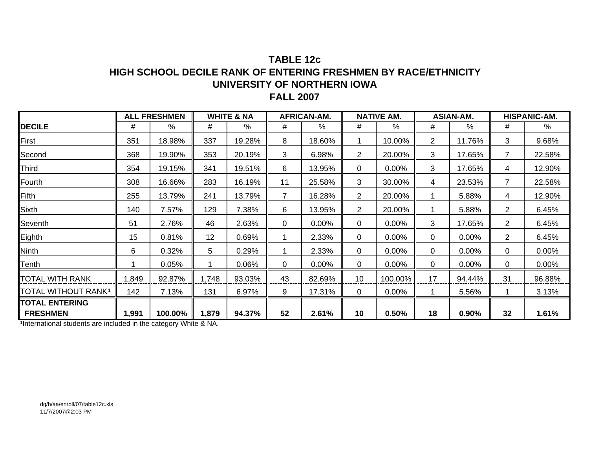### **TABLE 12cHIGH SCHOOL DECILE RANK OF ENTERING FRESHMEN BY RACE/ETHNICITYUNIVERSITY OF NORTHERN IOWA FALL 2007**

|                                 |       | <b>ALL FRESHMEN</b> |       | <b>WHITE &amp; NA</b> |                | <b>AFRICAN-AM.</b> |                | <b>NATIVE AM.</b> |                | <b>ASIAN-AM.</b> |                | <b>HISPANIC-AM.</b> |
|---------------------------------|-------|---------------------|-------|-----------------------|----------------|--------------------|----------------|-------------------|----------------|------------------|----------------|---------------------|
| <b>DECILE</b>                   | #     | %                   | #     | %                     | #              | %                  | #              | %                 | #              | %                | #              | $\%$                |
| First                           | 351   | 18.98%              | 337   | 19.28%                | 8              | 18.60%             |                | 10.00%            | $\overline{2}$ | 11.76%           | 3              | 9.68%               |
| Second                          | 368   | 19.90%              | 353   | 20.19%                | 3              | 6.98%              | $\overline{2}$ | 20.00%            | 3              | 17.65%           | $\overline{7}$ | 22.58%              |
| Third                           | 354   | 19.15%              | 341   | 19.51%                | 6              | 13.95%             | 0              | 0.00%             | 3              | 17.65%           | 4              | 12.90%              |
| Fourth                          | 308   | 16.66%              | 283   | 16.19%                | 11             | 25.58%             | 3              | 30.00%            | 4              | 23.53%           | $\overline{7}$ | 22.58%              |
| Fifth                           | 255   | 13.79%              | 241   | 13.79%                | $\overline{7}$ | 16.28%             | $\overline{2}$ | 20.00%            |                | 5.88%            | 4              | 12.90%              |
| Sixth                           | 140   | 7.57%               | 129   | 7.38%                 | 6              | 13.95%             | $\overline{2}$ | 20.00%            |                | 5.88%            | $\overline{2}$ | 6.45%               |
| Seventh                         | 51    | 2.76%               | 46    | 2.63%                 | 0              | 0.00%              | 0              | 0.00%             | 3              | 17.65%           | $\overline{2}$ | 6.45%               |
| Eighth                          | 15    | 0.81%               | 12    | 0.69%                 |                | 2.33%              | 0              | 0.00%             | 0              | 0.00%            | $\overline{2}$ | 6.45%               |
| Ninth                           | 6     | 0.32%               | 5     | 0.29%                 |                | 2.33%              | 0              | 0.00%             | 0              | 0.00%            | 0              | 0.00%               |
| Tenth                           |       | 0.05%               |       | 0.06%                 | 0              | 0.00%              | 0              | 0.00%             | 0              | 0.00%            | 0              | 0.00%               |
| TOTAL WITH RANK                 | ,849  | 92.87%              | 1,748 | 93.03%                | 43             | 82.69%             | 10             | 100.00%           | 17             | 94.44%           | 31             | 96.88%              |
| TOTAL WITHOUT RANK <sup>1</sup> | 142   | 7.13%               | 131   | 6.97%                 | 9              | 17.31%             | 0              | $0.00\%$          |                | 5.56%            |                | 3.13%               |
| <b>TOTAL ENTERING</b>           |       |                     |       |                       |                |                    |                |                   |                |                  |                |                     |
| <b>FRESHMEN</b>                 | 1,991 | 100.00%             | 1,879 | 94.37%                | 52             | 2.61%              | 10             | 0.50%             | 18             | 0.90%            | 32             | 1.61%               |

1International students are included in the category White & NA.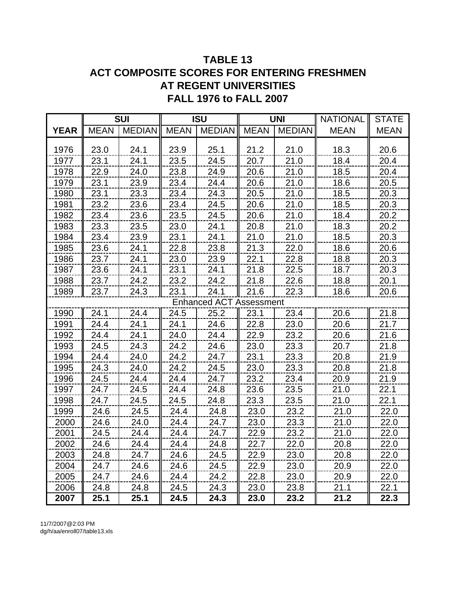# **TABLE 13 ACT COMPOSITE SCORES FOR ENTERING FRESHMEN AT REGENT UNIVERSITIES FALL 1976 to FALL 2007**

|             |             | <b>SUI</b>    |             | <b>ISU</b>                     |             | <b>UNI</b>    | <b>NATIONAL</b> | <b>STATE</b> |
|-------------|-------------|---------------|-------------|--------------------------------|-------------|---------------|-----------------|--------------|
| <b>YEAR</b> | <b>MEAN</b> | <b>MEDIAN</b> | <b>MEAN</b> | <b>MEDIAN</b>                  | <b>MEAN</b> | <b>MEDIAN</b> | <b>MEAN</b>     | <b>MEAN</b>  |
|             |             |               |             |                                |             |               |                 |              |
| 1976        | 23.0        | 24.1          | 23.9        | 25.1                           | 21.2        | 21.0          | 18.3            | 20.6         |
| 1977        | 23.1        | 24.1          | 23.5        | 24.5                           | 20.7        | 21.0          | 18.4            | 20.4         |
| 1978        | 22.9        | 24.0          | 23.8        | 24.9                           | 20.6        | 21.0          | 18.5            | 20.4         |
| 1979        | 23.1        | 23.9          | 23.4        | 24.4                           | 20.6        | 21.0          | 18.6            | 20.5         |
| 1980        | 23.1        | 23.3          | 23.4        | 24.3                           | 20.5        | 21.0          | 18.5            | 20.3         |
| 1981        | 23.2        | 23.6          | 23.4        | 24.5                           | 20.6        | 21.0          | 18.5            | 20.3         |
| 1982        | 23.4        | 23.6          | 23.5        | 24.5                           | 20.6        | 21.0          | 18.4            | 20.2         |
| 1983        | 23.3        | 23.5          | 23.0        | 24.1                           | 20.8        | 21.0          | 18.3            | 20.2         |
| 1984        | 23.4        | 23.9          | 23.1        | 24.1                           | 21.0        | 21.0          | 18.5            | 20.3         |
| 1985        | 23.6        | 24.1          | 22.8        | 23.8                           | 21.3        | 22.0          | 18.6            | 20.6         |
| 1986        | 23.7        | 24.1          | 23.0        | 23.9                           | 22.1        | 22.8          | 18.8            | 20.3         |
| 1987        | 23.6        | 24.1          | 23.1        | 24.1                           | 21.8        | 22.5          | 18.7            | 20.3         |
| 1988        | 23.7        | 24.2          | 23.2        | 24.2                           | 21.8        | 22.6          | 18.8            | 20.1         |
| 1989        | 23.7        | 24.3          | 23.1        | 24.1                           | 21.6        | 22.3          | 18.6            | 20.6         |
|             |             |               |             | <b>Enhanced ACT Assessment</b> |             |               |                 |              |
| 1990        | 24.1        | 24.4          | 24.5        | 25.2                           | 23.1        | 23.4          | 20.6            | 21.8         |
| 1991        | 24.4        | 24.1          | 24.1        | 24.6                           | 22.8        | 23.0          | 20.6            | 21.7         |
| 1992        | 24.4        | 24.1          | 24.0        | 24.4                           | 22.9        | 23.2          | 20.6            | 21.6         |
| 1993        | 24.5        | 24.3          | 24.2        | 24.6                           | 23.0        | 23.3          | 20.7            | 21.8         |
| 1994        | 24.4        | 24.0          | 24.2        | 24.7                           | 23.1        | 23.3          | 20.8            | 21.9         |
| 1995        | 24.3        | 24.0          | 24.2        | 24.5                           | 23.0        | 23.3          | 20.8            | 21.8         |
| 1996        | 24.5        | 24.4          | 24.4        | 24.7                           | 23.2        | 23.4          | 20.9            | 21.9         |
| 1997        | 24.7        | 24.5          | 24.4        | 24.8                           | 23.6        | 23.5          | 21.0            | 22.1         |
| 1998        | 24.7        | 24.5          | 24.5        | 24.8                           | 23.3        | 23.5          | 21.0            | 22.1         |
| 1999        | 24.6        | 24.5          | 24.4        | 24.8                           | 23.0        | 23.2          | 21.0            | 22.0         |
| 2000        | 24.6        | 24.0          | 24.4        | 24.7                           | 23.0        | 23.3          | 21.0            | 22.0         |
| 2001        | 24.5        | 24.4          | 24.4        | 24.7                           | 22.9        | 23.2          | 21.0            | 22.0         |
| 2002        | 24.6        | 24.4          | 24.4        | 24.8                           | 22.7        | 22.0          | 20.8            | 22.0         |
| 2003        | 24.8        | 24.7          | 24.6        | 24.5                           | 22.9        | 23.0          | 20.8            | 22.0         |
| 2004        | 24.7        | 24.6          | 24.6        | 24.5                           | 22.9        | 23.0          | 20.9            | 22.0         |
| 2005        | 24.7        | 24.6          | 24.4        | 24.2                           | 22.8        | 23.0          | 20.9            | 22.0         |
| 2006        | 24.8        | 24.8          | 24.5        | 24.3                           | 23.0        | 23.8          | 21.1            | 22.1         |
| 2007        | 25.1        | 25.1          | 24.5        | 24.3                           | 23.0        | 23.2          | 21.2            | 22.3         |

11/7/2007@2:03 PM dg/h/aa/enroll07/table13.xls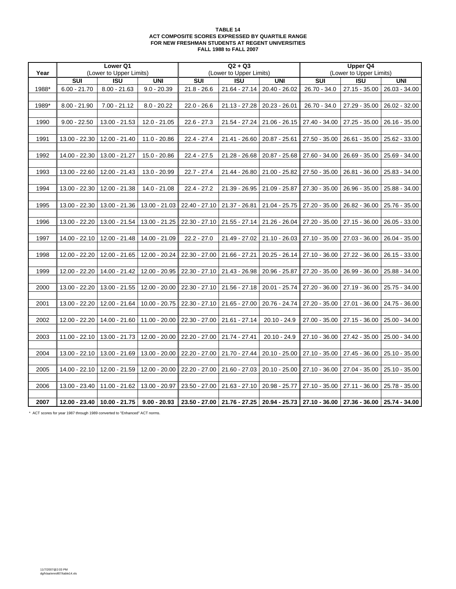#### **TABLE 14 ACT COMPOSITE SCORES EXPRESSED BY QUARTILE RANGE FOR NEW FRESHMAN STUDENTS AT REGENT UNIVERSITIES FALL 1988 to FALL 2007**

|       |                 | Lower Q1                  |                               |                 | $Q2 + Q3$                 |                                                               |                         | <b>Upper Q4</b>               |                 |
|-------|-----------------|---------------------------|-------------------------------|-----------------|---------------------------|---------------------------------------------------------------|-------------------------|-------------------------------|-----------------|
| Year  |                 | (Lower to Upper Limits)   |                               |                 | (Lower to Upper Limits)   |                                                               |                         | (Lower to Upper Limits)       |                 |
|       | <b>SUI</b>      | $\overline{\mathsf{ISU}}$ | <b>UNI</b>                    | SUI             | $\overline{\mathsf{ISU}}$ | <b>UNI</b>                                                    | $\overline{\text{SUI}}$ | $\overline{\mathsf{ISU}}$     | <b>UNI</b>      |
| 1988* | $6.00 - 21.70$  | $8.00 - 21.63$            | $9.0 - 20.39$                 | $21.8 - 26.6$   | 21.64 - 27.14             | $20.40 - 26.02$                                               | 26.70 - 34.0            | 27.15 - 35.00                 | $26.03 - 34.00$ |
|       |                 |                           |                               |                 |                           |                                                               |                         |                               |                 |
| 1989* | $8.00 - 21.90$  | $7.00 - 21.12$            | $8.0 - 20.22$                 | $22.0 - 26.6$   | 21.13 - 27.28             | 20.23 - 26.01                                                 | 26.70 - 34.0            | 27.29 - 35.00                 | 26.02 - 32.00   |
|       |                 |                           |                               |                 |                           |                                                               |                         |                               |                 |
| 1990  | $9.00 - 22.50$  | 13.00 - 21.53             | 12.0 - 21.05                  | $22.6 - 27.3$   | 21.54 - 27.24             | $21.06 - 26.15$                                               |                         | 27.40 - 34.00   27.25 - 35.00 | 26.16 - 35.00   |
|       |                 |                           |                               |                 |                           |                                                               |                         |                               |                 |
| 1991  | 13.00 - 22.30   | 12.00 - 21.40             | $11.0 - 20.86$                | $22.4 - 27.4$   | 21.41 - 26.60             | 20.87 - 25.61                                                 | 27.50 - 35.00           | 26.61 - 35.00                 | 25.62 - 33.00   |
|       |                 |                           |                               |                 |                           |                                                               |                         |                               |                 |
| 1992  | 14.00 - 22.30   | 13.00 - 21.27             | 15.0 - 20.86                  | $22.4 - 27.5$   | 21.28 - 26.68             | 20.87 - 25.68                                                 | 27.60 - 34.00           | 26.69 - 35.00                 | 25.69 - 34.00   |
|       |                 |                           |                               |                 |                           |                                                               |                         |                               |                 |
| 1993  | 13.00 - 22.60   | 12.00 - 21.43             | 13.0 - 20.99                  | $22.7 - 27.4$   | 21.44 - 26.80             | 21.00 - 25.82                                                 | 27.50 - 35.00           | 26.81 - 36.00                 | 25.83 - 34.00   |
|       |                 |                           |                               |                 |                           |                                                               |                         |                               |                 |
| 1994  | 13.00 - 22.30   | 12.00 - 21.38             | 14.0 - 21.08                  | $22.4 - 27.2$   | 21.39 - 26.95             | 21.09 - 25.87                                                 | 27.30 - 35.00           | 26.96 - 35.00                 | 25.88 - 34.00   |
|       |                 |                           |                               |                 |                           |                                                               |                         |                               |                 |
| 1995  | 13.00 - 22.30   | 13.00 - 21.36             | 13.00 - 21.03                 | 22.40 - 27.10   | 21.37 - 26.81             | 21.04 - 25.75                                                 | 27.20 - 35.00           | 26.82 - 36.00                 | 25.76 - 35.00   |
|       |                 |                           |                               |                 |                           |                                                               |                         |                               |                 |
| 1996  | 13.00 - 22.20   | 13.00 - 21.54             | 13.00 - 21.25                 | $22.30 - 27.10$ | 21.55 - 27.14             | 21.26 - 26.04                                                 | 27.20 - 35.00           | 27.15 - 36.00                 | 26.05 - 33.00   |
|       |                 |                           |                               |                 |                           |                                                               |                         |                               |                 |
| 1997  | 14.00 - 22.10   | 12.00 - 21.48             | 14.00 - 21.09                 | $22.2 - 27.0$   | 21.49 - 27.02             | $21.10 - 26.03$                                               | 27.10 - 35.00           | 27.03 - 36.00                 | $26.04 - 35.00$ |
|       |                 |                           |                               |                 |                           |                                                               |                         |                               |                 |
| 1998  | 12.00 - 22.20   | 12.00 - 21.65             | 12.00 - 20.24                 | 22.30 - 27.00   | 21.66 - 27.21             | 20.25 - 26.14                                                 |                         | 27.10 - 36.00   27.22 - 36.00 | $26.15 - 33.00$ |
|       |                 |                           |                               |                 |                           |                                                               |                         |                               |                 |
| 1999  | 12.00 - 22.20   | 14.00 - 21.42             | 12.00 - 20.95                 | 22.30 - 27.10   | 21.43 - 26.98             | 20.96 - 25.87                                                 |                         | 27.20 - 35.00   26.99 - 36.00 | 25.88 - 34.00   |
|       |                 |                           |                               |                 |                           |                                                               |                         |                               |                 |
| 2000  | 13.00 - 22.20   | 13.00 - 21.55             | 12.00 - 20.00                 | 22.30 - 27.10   | 21.56 - 27.18             | 20.01 - 25.74                                                 |                         | 27.20 - 36.00   27.19 - 36.00 | 25.75 - 34.00   |
|       |                 |                           |                               |                 |                           |                                                               |                         |                               |                 |
| 2001  | 13.00 - 22.20   | 12.00 - 21.64             | $10.00 - 20.75$               | 22.30 - 27.10   | 21.65 - 27.00             | 20.76 - 24.74                                                 | 27.20 - 35.00           | 27.01 - 36.00                 | 24.75 - 36.00   |
|       |                 |                           |                               |                 |                           |                                                               |                         |                               |                 |
| 2002  | 12.00 - 22.20   | 14.00 - 21.60             | 11.00 - 20.00                 | 22.30 - 27.00   | 21.61 - 27.14             | $20.10 - 24.9$                                                |                         | 27.00 - 35.00   27.15 - 36.00 | 25.00 - 34.00   |
|       |                 |                           |                               |                 |                           |                                                               |                         |                               |                 |
| 2003  | $11.00 - 22.10$ |                           | $13.00 - 21.73$ 12.00 - 20.00 | 22.20 - 27.00   | 21.74 - 27.41             | $20.10 - 24.9$                                                |                         | 27.10 - 36.00   27.42 - 35.00 | 25.00 - 34.00   |
|       |                 |                           |                               |                 |                           |                                                               |                         |                               |                 |
| 2004  | 13.00 - 22.10   | 13.00 - 21.69             | 13.00 - 20.00                 | 22.20 - 27.00   | 21.70 - 27.44             | $20.10 - 25.00$                                               | 27.10 - 35.00           | 27.45 - 36.00                 | 25.10 - 35.00   |
|       |                 |                           |                               |                 |                           |                                                               |                         |                               |                 |
| 2005  | 14.00 - 22.10   | 12.00 - 21.59             | 12.00 - 20.00                 | 22.20 - 27.00   | 21.60 - 27.03             | $20.10 - 25.00$                                               | 27.10 - 36.00           | 27.04 - 35.00                 | 25.10 - 35.00   |
|       |                 |                           |                               |                 |                           |                                                               |                         |                               |                 |
| 2006  | 13.00 - 23.40   | 11.00 - 21.62             | 13.00 - 20.97                 | 23.50 - 27.00   | 21.63 - 27.10             | 20.98 - 25.77                                                 | 27.10 - 35.00           | 27.11 - 36.00                 | 25.78 - 35.00   |
|       |                 |                           |                               |                 |                           |                                                               |                         |                               |                 |
| 2007  | 12.00 - 23.40   | $10.00 - 21.75$           | $9.00 - 20.93$                | $23.50 - 27.00$ |                           | 21.76 - 27.25   20.94 - 25.73   27.10 - 36.00   27.36 - 36.00 |                         |                               | 25.74 - 34.00   |

\* ACT scores for year 1987 through 1989 converted to "Enhanced" ACT norms.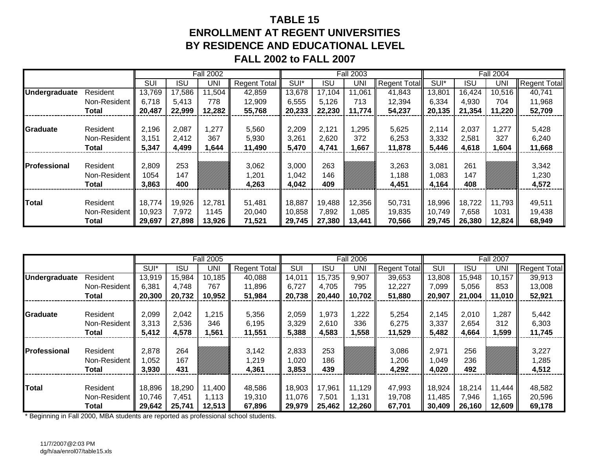# **TABLE 15ENROLLMENT AT REGENT UNIVERSITIESBY RESIDENCE AND EDUCATIONAL LEVELFALL 2002 to FALL 2007**

|                     |              |            |            | <b>Fall 2002</b> |                     |        |            | <b>Fall 2003</b> |                     |        |            | <b>Fall 2004</b> |                     |
|---------------------|--------------|------------|------------|------------------|---------------------|--------|------------|------------------|---------------------|--------|------------|------------------|---------------------|
|                     |              | <b>SUI</b> | <b>ISU</b> | UNI              | <b>Regent Total</b> | SUI*   | <b>ISU</b> | UNI              | <b>Regent Total</b> | SUI*   | <b>ISU</b> | UNI              | <b>Regent Total</b> |
| Undergraduate       | Resident     | 13,769     | 17,586     | 11,504           | 42,859              | 13,678 | 17,104     | 11,061           | 41,843              | 13,801 | 16,424     | 10,516           | 40,741              |
|                     | Non-Resident | 6.718      | 5.413      | 778              | 12,909              | 6,555  | 5,126      | 713              | 12,394              | 6,334  | 4,930      | 704              | 11,968              |
|                     | Total        | 20,487     | 22,999     | 12,282           | 55,768              | 20,233 | 22,230     | 11.774           | 54,237              | 20,135 | 21,354     | 11,220           | 52,709              |
|                     |              |            |            |                  |                     |        |            |                  |                     |        |            |                  |                     |
| Graduate            | Resident     | 2,196      | 2,087      | 1,277            | 5,560               | 2,209  | 2,121      | ,295             | 5,625               | 2,114  | 2,037      | 1,277            | 5,428               |
|                     | Non-Resident | 3,151      | 2,412      | 367              | 5,930               | 3,261  | 2,620      | 372              | 6,253               | 3,332  | 2,581      | 327              | 6,240               |
|                     | Total        | 5,347      | 4,499      | ,644             | 11,490              | 5,470  | 4,741      | 667, ا           | 11,878              | 5,446  | 4,618      | 1,604            | 11,668              |
|                     |              |            |            |                  |                     |        |            |                  |                     |        |            |                  |                     |
| <b>Professional</b> | Resident     | 2,809      | 253        |                  | 3,062               | 3,000  | 263        |                  | 3,263               | 3,081  | 261        |                  | 3,342               |
|                     | Non-Resident | 1054       | 147        |                  | 1,201               | 042, ا | 146        |                  | 1,188               | ,083   | 147        |                  | 1,230               |
|                     | <b>Total</b> | 3,863      | 400        |                  | 4,263               | 4,042  | 409        |                  | 4,451               | 4,164  | 408        |                  | 4,572               |
|                     |              |            |            |                  |                     |        |            |                  |                     |        |            |                  |                     |
| <b>Total</b>        | Resident     | 18,774     | 19,926     | 12,781           | 51,481              | 18,887 | 19,488     | 12,356           | 50,731              | 18,996 | 18,722     | 11,793           | 49,511              |
|                     | Non-Resident | 10,923     | 7,972      | 1145             | 20,040              | 10,858 | 7,892      | 1,085            | 19,835              | 10,749 | 7,658      | 1031             | 19,438              |
|                     | Total        | 29,697     | 27,898     | 13,926           | 71,521              | 29,745 | 27,380     | 13,441           | 70,566              | 29,745 | 26,380     | 12,824           | 68,949              |

|                      |              |        |            | <b>Fall 2005</b> |                     |        |            | <b>Fall 2006</b> |                     |        |            | <b>Fall 2007</b> |                     |
|----------------------|--------------|--------|------------|------------------|---------------------|--------|------------|------------------|---------------------|--------|------------|------------------|---------------------|
|                      |              | SUI*   | <b>ISU</b> | UNI              | <b>Regent Total</b> | SUI    | <b>ISU</b> | <b>UNI</b>       | <b>Regent Total</b> | SUI    | <b>ISU</b> | <b>UNI</b>       | <b>Regent Total</b> |
| <b>Undergraduate</b> | Resident     | 13,919 | 15,984     | 10,185           | 40,088              | 14,011 | 15,735     | 9,907            | 39,653              | 13,808 | 15,948     | 10,157           | 39,913              |
|                      | Non-Resident | 6,381  | 4,748      | 767              | 11,896              | 6,727  | 4,705      | 795              | 12,227              | 7,099  | 5,056      | 853              | 13,008              |
|                      | Total        | 20,300 | 20,732     | 10,952           | 51,984              | 20,738 | 20,440     | 10,702           | 51,880              | 20,907 | 21,004     | 11,010           | 52,921              |
|                      |              |        |            |                  |                     |        |            |                  |                     |        |            |                  |                     |
| <b>Graduate</b>      | Resident     | 2,099  | 2,042      | 1,215            | 5,356               | 2,059  | 1,973      | ,222             | 5,254               | 2,145  | 2,010      | 1,287            | 5,442               |
|                      | Non-Resident | 3,313  | 2,536      | 346              | 6,195               | 3,329  | 2,610      | 336              | 6,275               | 3,337  | 2,654      | 312              | 6,303               |
|                      | Total        | 5,412  | 4,578      | 561,             | 11,551              | 5,388  | 4,583      | 1,558            | 11,529              | 5,482  | 4,664      | 1,599            | 11,745              |
|                      |              |        |            |                  |                     |        |            |                  |                     |        |            |                  |                     |
| Professional         | Resident     | 2,878  | 264        |                  | 3,142               | 2,833  | 253        |                  | 3,086               | 2,971  | 256        |                  | 3,227               |
|                      | Non-Resident | 0.052  | 167        |                  | 1,219               | 020,   | 186        |                  | ,206                | 1,049  | 236        |                  | ,285                |
|                      | Total        | 3,930  | 431        |                  | 4,361               | 3,853  | 439        |                  | 4,292               | 4,020  | 492        |                  | 4,512               |
|                      |              |        |            |                  |                     |        |            |                  |                     |        |            |                  |                     |
| <b>Total</b>         | Resident     | 18,896 | 18,290     | 11,400           | 48,586              | 18,903 | 17,961     | 11,129           | 47,993              | 18,924 | 18,214     | 11.444           | 48,582              |
|                      | Non-Resident | 10,746 | 7,451      | 1,113            | 19,310              | 11,076 | 7,501      | 1,131            | 19,708              | 11,485 | 7,946      | 1,165            | 20,596              |
|                      | Total        | 29,642 | 25,741     | 12,513           | 67,896              | 29,979 | 25,462     | 12,260           | 67,701              | 30,409 | 26,160     | 12,609           | 69,178              |

\* Beginning in Fall 2000, MBA students are reported as professional school students.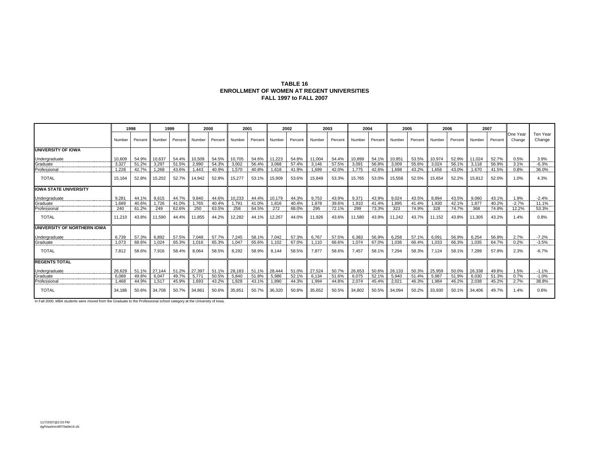#### **TABLE 16 ENROLLMENT OF WOMEN AT REGENT UNIVERSITIES FALL 1997 to FALL 2007**

|                              |                 | 1998    |        | 1999               | 2000   |         | 2001   |              |          | 2002    |        | 2003    | 2004   |         | 2005   |         |        | 2006    |        | 2007    |                    |                        |
|------------------------------|-----------------|---------|--------|--------------------|--------|---------|--------|--------------|----------|---------|--------|---------|--------|---------|--------|---------|--------|---------|--------|---------|--------------------|------------------------|
|                              | Number          | Percent | Number | Percent            | Number | Percent | Number | Percent      | I Number | Percent | Number | Percent | Number | Percent | Number | Percent | Number | Percent | Number | Percent | One Year<br>Change | Ten Year<br>Change     |
| <b>UNIVERSITY OF IOWA</b>    |                 |         |        |                    |        |         |        |              |          |         |        |         |        |         |        |         |        |         |        |         |                    |                        |
| Undergraduate                | 10.609          | 54.9%   | 10.637 | 54.4%              | 10,509 | 54.5%   | 10,705 | 54.6% 11,223 |          | 54.8%   | 11,004 | 54.4%   | 10.899 | 54.1%   | 10,851 | 53.5%   | 10,974 | 52.9%   | 11.024 | 52.7%   | 0.5%               | 3.9%                   |
| Graduate                     | 3.327           | 51.2%   | 3,297  | 51.5%              | 2.990  | 54.3%   | 3.002  | 56.4%        | 3.068    | 57.4%   | 3,146  | 57.5%   | 3,091  | 56.8%   | 3.009  | 55.6%   | 3.024  | 56.1%   | 3.118  | 56.9%   | 3.1%               | $-6.3%$                |
| Professional                 | 1,228           | 42.7%   | 1.268  | 43.6%              | 1.443  | 40.9%   | 1.570  | 40.8%        | 1.618    | 41.9%   | 1.699  | 42.0%   | 1.775  | 42.6%   | 1.698  | 43.2%   | 1.656  | 43.0%   | 1.670  | 41.5%   | 0.8%               | 36.0%                  |
| <b>TOTAL</b>                 | 15.164          | 52.8%   | 15.202 | 52.7%              | 14,942 | 52.8%   | 15,277 | 53.1%        | 15.909   | 53.6%   | 15,849 | 53.3%   | 15,765 | 53.0%   | 15,558 | 52.5%   | 15,654 | 52.2%   | 15.812 | 52.0%   | 1.0%               | 4.3%                   |
| <b>IOWA STATE UNIVERSITY</b> |                 |         |        |                    |        |         |        |              |          |         |        |         |        |         |        |         |        |         |        |         |                    |                        |
| Undergraduate                | 9.28            | 44.1%   | 9.615  | 44.7%              | 9,840  | 44.6%   | 10.233 | 44.4%        | 10.179   | 44.3%   | 9.753  | 43.9%   | 9.371  | 43.9%   | 9.024  | 43.5%   | 8.894  | 43.5%   | 9.060  | 43.1%   | 1.9%               | $-2.4%$                |
| Graduate                     | 1.689<br>------ | 40.6%   | 1,726  | 41.0%<br>--------- | 1.765  | 40.4%   | 1.791  | 41.0%        | 1.816    | 40.4%   | 1.878  | 39.6%   | 1.910  | 41.4%   | 1.895  | 41.4%   | 1.930  | 42.1%   | 1.877  | 40.2%   | $-2.7%$            | 11.1%<br>.             |
| Professional                 | 240             | 61.2%   | 249    | 62.6%              | 250    | 63.5%   | 258    | 64.5%        | 272      | 68.0%   | 295    | 72.1%   | 299    | 73.3%   | 323    | 74.9%   | 328    | 74.7%   | 368    | 74.8%   | 12.2%              | 53.3%                  |
| <b>TOTAL</b>                 | 11.210          | 43.8%   | 11.590 | 44.4%              | 11.855 | 44.2%   | 12,282 | 44.1%        | 12,267   | 44.0%   | 11,926 | 43.6%   | 11,580 | 43.9%   | 11.242 | 43.7%   | 11.152 | 43.8%   | 11.305 | 43.2%   | 1.4%               | 0.8%                   |
| UNIVERSITY OF NORTHERN IOWA  |                 |         |        |                    |        |         |        |              |          |         |        |         |        |         |        |         |        |         |        |         |                    |                        |
| Undergraduate                | 6,739           | 57.3%   | 6,892  | 57.5%              | 7,048  | 57.7%   | 7,245  | 58.1%        | 7,042    | 57.3%   | 6,767  | 57.5%   | 6,383  | 56.9%   | 6,258  | 57.1%   | 6,091  | 56.9%   | 6,254  | 56.8%   | 2.7%               | $-7.2%$                |
| Graduate                     | 1.073           | 68.6%   | 1,024  | 65.3%<br>          | 1,016  | 65.3%   | 1,047  | 65.6%        | 1.102    | 67.0%   | 1.110  | 66.6%   | 1.074  | 67.0%   | 1,036  | 66.4%   | 1.033  | 66.3%   | 1.035  | 64.7%   | 0.2%               | $-3.5%$<br>----------- |
| <b>TOTAL</b>                 | 7.812           | 58.6%   | 7.916  | 58.4%              | 8.064  | 58.5%   | 8.292  | 58.9%        | 8.144    | 58.5%   | 7.877  | 58.6%   | 7.457  | 58.1%   | 7.294  | 58.3%   | 7.124  | 58.1%   | 7.289  | 57.8%   | 2.3%               | $-6.7%$                |
| <b>REGENTS TOTAL</b>         |                 |         |        |                    |        |         |        |              |          |         |        |         |        |         |        |         |        |         |        |         |                    |                        |
| Undergraduate                | 26.629          | 51.1%   | 27.144 | 51.2%              | 27,397 | 51.1%   | 28,183 | 51.1% 28,444 |          | 51.0%   | 27,524 | 50.7%   | 26.653 | 50.6%   | 26,133 | 50.3%   | 25,959 | 50.0%   | 26.338 | 49.8%   | 1.5%               | $-1.1%$                |
| Graduate                     | 6.089           | 49.8%   | 6.047  | 49.7%              | 5.77   | 50.5%   | 5.840  | 51.8%        | 5.986    | 52.1%   | 6.134  | 51.6%   | 6.075  | 52.1%   | 5.940  | 51.4%   | 5.987  | 51.9%   | 6.030  | 51.3%   | 0.7%               | $-1.0%$                |
| Professional                 | 1.468           | 44.9%   | 1.517  | 45.9%              | 1.693  | 43.2%   | 1.828  | 43.1%        | 1.890    | 44.3%   | 1.994  | 44.8%   | 2.074  | 45.4%   | 2.021  | 46.3%   | 1.984  | 46.2%   | 2.038  | 45.2%   | 2.7%               | 38.8%                  |
| <b>TOTAL</b>                 | 34.186          | 50.6%   | 34.708 | 50.7%              | 34,861 | 50.6%   | 35,851 | 50.7%        | 36,320   | 50.8%   | 35,652 | 50.5%   | 34,802 | 50.5%   | 34,094 | 50.2%   | 33,930 | 50.1%   | 34,406 | 49.7%   | 1.4%               | 0.6%                   |

In Fall 2000, MBA students were moved from the Graduate to the Professional school category at the University of Iowa.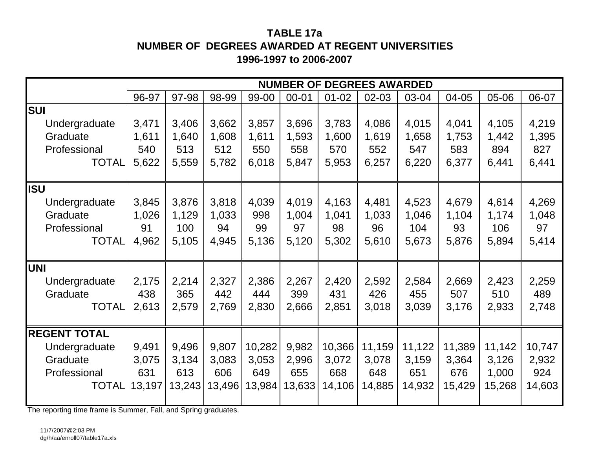# **TABLE 17aNUMBER OF DEGREES AWARDED AT REGENT UNIVERSITIES1996-1997 to 2006-2007**

|                     |        |        |        |        |           |           | <b>NUMBER OF DEGREES AWARDED</b> |        |        |        |        |
|---------------------|--------|--------|--------|--------|-----------|-----------|----------------------------------|--------|--------|--------|--------|
|                     | 96-97  | 97-98  | 98-99  | 99-00  | $00 - 01$ | $01 - 02$ | 02-03                            | 03-04  | 04-05  | 05-06  | 06-07  |
| <b>SUI</b>          |        |        |        |        |           |           |                                  |        |        |        |        |
| Undergraduate       | 3,471  | 3,406  | 3,662  | 3,857  | 3,696     | 3,783     | 4,086                            | 4,015  | 4,041  | 4,105  | 4,219  |
| Graduate            | 1,611  | 1,640  | 1,608  | 1,611  | 1,593     | 1,600     | 1,619                            | 1,658  | 1,753  | 1,442  | 1,395  |
| Professional        | 540    | 513    | 512    | 550    | 558       | 570       | 552                              | 547    | 583    | 894    | 827    |
| <b>TOTAL</b>        | 5,622  | 5,559  | 5,782  | 6,018  | 5,847     | 5,953     | 6,257                            | 6,220  | 6,377  | 6,441  | 6,441  |
|                     |        |        |        |        |           |           |                                  |        |        |        |        |
| <b>ISU</b>          |        |        |        |        |           |           |                                  |        |        |        |        |
| Undergraduate       | 3,845  | 3,876  | 3,818  | 4,039  | 4,019     | 4,163     | 4,481                            | 4,523  | 4,679  | 4,614  | 4,269  |
| Graduate            | 1,026  | 1,129  | 1,033  | 998    | 1,004     | 1,041     | 1,033                            | 1,046  | 1,104  | 1,174  | 1,048  |
| Professional        | 91     | 100    | 94     | 99     | 97        | 98        | 96                               | 104    | 93     | 106    | 97     |
| <b>TOTAL</b>        | 4,962  | 5,105  | 4,945  | 5,136  | 5,120     | 5,302     | 5,610                            | 5,673  | 5,876  | 5,894  | 5,414  |
| <b>UNI</b>          |        |        |        |        |           |           |                                  |        |        |        |        |
| Undergraduate       | 2,175  | 2,214  | 2,327  | 2,386  | 2,267     | 2,420     | 2,592                            | 2,584  | 2,669  | 2,423  | 2,259  |
| Graduate            | 438    | 365    | 442    | 444    | 399       | 431       | 426                              | 455    | 507    | 510    | 489    |
| <b>TOTAL</b>        | 2,613  | 2,579  | 2,769  | 2,830  | 2,666     | 2,851     | 3,018                            | 3,039  | 3,176  | 2,933  | 2,748  |
|                     |        |        |        |        |           |           |                                  |        |        |        |        |
| <b>REGENT TOTAL</b> |        |        |        |        |           |           |                                  |        |        |        |        |
| Undergraduate       | 9,491  | 9,496  | 9,807  | 10,282 | 9,982     | 10,366    | 11,159                           | 11,122 | 11,389 | 11,142 | 10,747 |
| Graduate            | 3,075  | 3,134  | 3,083  | 3,053  | 2,996     | 3,072     | 3,078                            | 3,159  | 3,364  | 3,126  | 2,932  |
| Professional        | 631    | 613    | 606    | 649    | 655       | 668       | 648                              | 651    | 676    | 1,000  | 924    |
| <b>TOTAL</b>        | 13,197 | 13,243 | 13,496 | 13,984 | 13,633    | 14,106    | 14,885                           | 14,932 | 15,429 | 15,268 | 14,603 |
|                     |        |        |        |        |           |           |                                  |        |        |        |        |

The reporting time frame is Summer, Fall, and Spring graduates.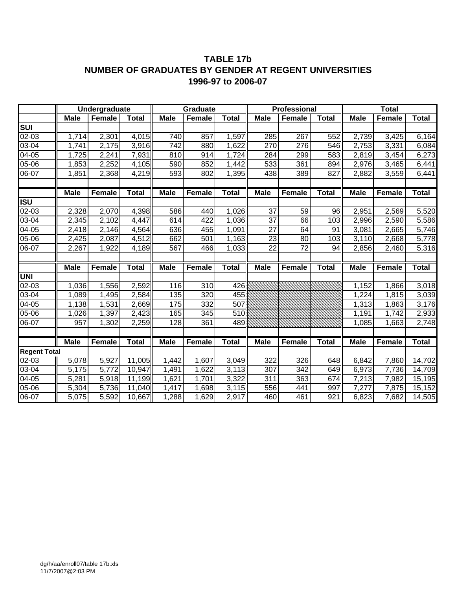### **TABLE 17b NUMBER OF GRADUATES BY GENDER AT REGENT UNIVERSITIES 1996-97 to 2006-07**

|                                   |             | Undergraduate |              |             | Graduate      |              |                 | Professional    |              |             | <b>Total</b>  |              |
|-----------------------------------|-------------|---------------|--------------|-------------|---------------|--------------|-----------------|-----------------|--------------|-------------|---------------|--------------|
|                                   | <b>Male</b> | <b>Female</b> | <b>Total</b> | <b>Male</b> | <b>Female</b> | <b>Total</b> | <b>Male</b>     | <b>Female</b>   | <b>Total</b> | <b>Male</b> | <b>Female</b> | <b>Total</b> |
| $\overline{\mathsf{s}\mathsf{u}}$ |             |               |              |             |               |              |                 |                 |              |             |               |              |
| 02-03                             | 1,714       | 2,301         | 4,015        | 740         | 857           | 1,597        | 285             | 267             | 552          | 2,739       | 3,425         | 6,164        |
| 03-04                             | 1,741       | 2,175         | 3.916        | 742         | 880           | 1,622        | 270             | 276             | 546          | 2,753       | 3,331         | 6,084        |
| 04-05                             | 1,725       | 2,241         | 7,931        | 810         | 914           | 1,724        | 284             | 299             | 583          | 2,819       | 3,454         | 6,273        |
| 05-06                             | 1,853       | 2,252         | 4,105        | 590         | 852           | 1,442        | 533             | 361             | 894          | 2,976       | 3,465         | 6,441        |
| 06-07                             | 1,851       | 2,368         | 4,219        | 593         | 802           | 1,395        | 438             | 389             | 827          | 2,882       | 3,559         | 6,441        |
|                                   |             |               |              |             |               |              |                 |                 |              |             |               |              |
|                                   | <b>Male</b> | Female        | <b>Total</b> | <b>Male</b> | Female        | <b>Total</b> | <b>Male</b>     | Female          | Total        | <b>Male</b> | Female        | <b>Total</b> |
| ISU                               |             |               |              |             |               |              |                 |                 |              |             |               |              |
| $02 - 03$                         | 2,328       | 2,070         | 4,398        | 586         | 440           | 1,026        | $\overline{37}$ | 59              | 96           | 2,951       | 2,569         | 5,520        |
| 03-04                             | 2,345       | 2,102         | 4,447        | 614         | 422           | 1,036        | $\overline{37}$ | 66              | 103          | 2,996       | 2,590         | 5,586        |
| $04 - 05$                         | 2,418       | 2,146         | 4,564        | 636         | 455           | 1,091        | $\overline{27}$ | 64              | 91           | 3,081       | 2,665         | 5,746        |
| 05-06                             | 2,425       | 2,087         | 4,512        | 662         | 501           | 1,163        | 23              | 80              | 103          | 3,110       | 2,668         | 5,778        |
| 06-07                             | 2,267       | 1,922         | 4,189        | 567         | 466           | 1,033        | $\overline{22}$ | $\overline{72}$ | 94           | 2,856       | 2,460         | 5,316        |
|                                   |             |               |              |             |               |              |                 |                 |              |             |               |              |
|                                   | <b>Male</b> | Female        | <b>Total</b> | <b>Male</b> | Female        | <b>Total</b> | <b>Male</b>     | <b>Female</b>   | <b>Total</b> | <b>Male</b> | Female        | <b>Total</b> |
| <b>UNI</b>                        |             |               |              |             |               |              |                 |                 |              |             |               |              |
| 02-03                             | 1,036       | 1,556         | 2,592        | 116         | 310           | 426          |                 |                 |              | 1,152       | 1,866         | 3,018        |
| $03 - 04$                         | 1,089       | 1,495         | 2,584        | 135         | 320           | 455          |                 |                 |              | 1,224       | 1,815         | 3,039        |
| 04-05                             | 1,138       | 1,531         | 2,669        | 175         | 332           | 507          |                 |                 |              | 1,313       | 1,863         | 3,176        |
| 05-06                             | 1,026       | 1,397         | 2,423        | 165         | 345           | 510          |                 |                 |              | 1,191       | 1,742         | 2,933        |
| 06-07                             | 957         | 1,302         | 2,259        | 128         | 361           | 489          |                 |                 |              | 1,085       | 1,663         | 2,748        |
|                                   |             |               |              |             |               |              |                 |                 |              |             |               |              |
|                                   | <b>Male</b> | <b>Female</b> | <b>Total</b> | <b>Male</b> | Female        | <b>Total</b> | <b>Male</b>     | Female          | <b>Total</b> | <b>Male</b> | <b>Female</b> | <b>Total</b> |
| <b>Regent Total</b>               |             |               |              |             |               |              |                 |                 |              |             |               |              |
| 02-03                             | 5,078       | 5,927         | 11,005       | 1,442       | 1,607         | 3,049        | 322             | 326             | 648          | 6,842       | 7,860         | 14,702       |
| 03-04                             | 5,175       | 5,772         | 10,947       | 1,491       | 1,622         | 3,113        | 307             | 342             | 649          | 6,973       | 7,736         | 14,709       |
| 04-05                             | 5,281       | 5,918         | 11,199       | 1,621       | 1,701         | 3,322        | 311             | 363             | 674          | 7,213       | 7,982         | 15,195       |
| 05-06                             | 5,304       | 5,736         | 11,040       | 1,417       | 1,698         | 3,115        | 556             | 441             | 997          | 7,277       | 7,875         | 15,152       |
| 06-07                             | 5,075       | 5,592         | 10,667       | 1,288       | 1,629         | 2,917        | 460             | 461             | 921          | 6,823       | 7,682         | 14,505       |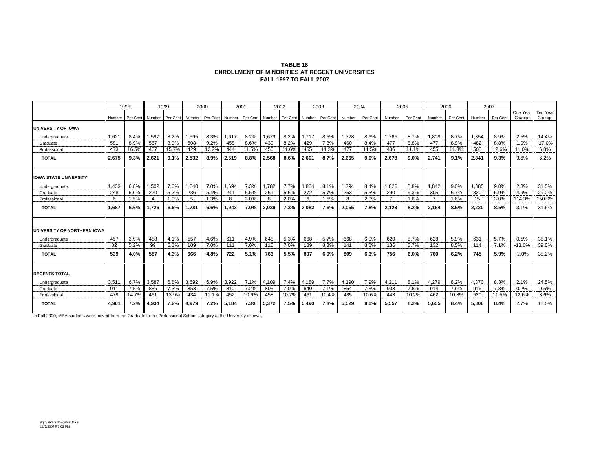| <b>TABLE 18</b>                                 |
|-------------------------------------------------|
| ENROLLMENT OF MINORITIES AT REGENT UNIVERSITIES |
| <b>FALL 1997 TO FALL 2007</b>                   |

|                             |        | 1998     |                | 1999     |        | 2000     | 2001   |          |        | 2002     |        | 2003     | 2004   |          |                | 2005     |                | 2006     | 2007   |          |                    |                    |
|-----------------------------|--------|----------|----------------|----------|--------|----------|--------|----------|--------|----------|--------|----------|--------|----------|----------------|----------|----------------|----------|--------|----------|--------------------|--------------------|
|                             | Number | Per Cent | Number         | Per Cent | Number | Per Cent | Number | Per Cent | Number | Per Cent | Number | Per Cent | Number | Per Cent | Number         | Per Cent | Number         | Per Cent | Number | Per Cent | One Year<br>Change | Ten Year<br>Change |
| <b>UNIVERSITY OF IOWA</b>   |        |          |                |          |        |          |        |          |        |          |        |          |        |          |                |          |                |          |        |          |                    |                    |
| Undergraduate               | .621   | 8.4%     | 1,597          | 8.2%     | 1,595  | 8.3%     | 1,617  | 8.2%     | 1,679  | 8.2%     | 1,717  | 8.5%     | 1,728  | 8.6%     | 1,765          | 8.7%     | 1,809          | 8.7%     | 1,854  | 8.9%     | 2.5%               | 14.4%              |
| Graduate                    | 581    | 8.9%     | 567            | 8.9%     | 508    | 9.2%     | 458    | 8.6%     | 439    | 8.2%     | 429    | 7.8%     | 460    | 8.4%     | 477            | 8.8%     | 477            | 8.9%     | 482    | 8.8%     | 1.0%               | $-17.0%$           |
| Professional                | 473    | 16.5%    | 457            | 15.7%    | 429    | 12.2%    | 444    | 11.5%    | 450    | 11.6%    | 455    | 11.3%    | 477    | 11.5%    | 436            | 11.1%    | 455            | 11.8%    | 505    | 12.6%    | 11.0%              | 6.8%               |
| <b>TOTAL</b>                | 2.675  | 9.3%     | 2.621          | 9.1%     | 2.532  | 8.9%     | 2,519  | 8.8%     | 2,568  | 8.6%     | 2,601  | 8.7%     | 2.665  | 9.0%     | 2,678          | 9.0%     | 2,741          | 9.1%     | 2,841  | 9.3%     | 3.6%               | 6.2%               |
| <b>OWA STATE UNIVERSITY</b> |        |          |                |          |        |          |        |          |        |          |        |          |        |          |                |          |                |          |        |          |                    |                    |
| Undergraduate               | 1,433  | 6.8%     | 1,502          | 7.0%     | 1,540  | 7.0%     | 1,694  | 7.3%     | 1,782  | 7.7%     | 1,804  | 8.1%     | 1,794  | 8.4%     | 1,826          | 8.8%     | 1,842          | 9.0%     | 1,885  | 9.0%     | 2.3%               | 31.5%              |
| Graduate                    | 248    | 6.0%     | 220            | 5.2%     | 236    | 5.4%     | 241    | 5.5%     | 251    | 5.6%     | 272    | 5.7%     | 253    | 5.5%     | 290            | 6.3%     | 305            | 6.7%     | 320    | 6.9%     | 4.9%               | 29.0%              |
| Professional                | 6      | 1.5%     | $\overline{4}$ | 1.0%     | 5      | 1.3%     | 8      | 2.0%     | 8      | 2.0%     | 6      | 1.5%     | 8      | 2.0%     | $\overline{7}$ | 1.6%     | $\overline{7}$ | 1.6%     | 15     | 3.0%     | 114.3%             | 150.0%             |
| <b>TOTAL</b>                | 1.687  | 6.6%     | 1.726          | 6.6%     | 1.781  | 6.6%     | 1,943  | 7.0%     | 2,039  | 7.3%     | 2,082  | 7.6%     | 2.055  | 7.8%     | 2,123          | 8.2%     | 2,154          | 8.5%     | 2,220  | 8.5%     | 3.1%               | 31.6%              |
| UNIVERSITY OF NORTHERN IOWA |        |          |                |          |        |          |        |          |        |          |        |          |        |          |                |          |                |          |        |          |                    |                    |
| Undergraduate               | 457    | 3.9%     | 488            | 4.1%     | 557    | 4.6%     | 611    | 4.9%     | 648    | 5.3%     | 668    | 5.7%     | 668    | 6.0%     | 620            | 5.7%     | 628            | 5.9%     | 631    | 5.7%     | 0.5%               | 38.1%              |
| Graduate                    | 82     | 5.2%     | 99             | 6.3%     | 109    | 7.0%     | 111    | 7.0%     | 115    | 7.0%     | 139    | 8.3%     | 141    | 8.8%     | 136            | 8.7%     | 132            | 8.5%     | 114    | 7.1%     | $-13.6%$           | 39.0%              |
| <b>TOTAL</b>                | 539    | 4.0%     | 587            | 4.3%     | 666    | 4.8%     | 722    | 5.1%     | 763    | 5.5%     | 807    | 6.0%     | 809    | 6.3%     | 756            | 6.0%     | 760            | 6.2%     | 745    | 5.9%     | $-2.0%$            | 38.2%              |
| <b>REGENTS TOTAL</b>        |        |          |                |          |        |          |        |          |        |          |        |          |        |          |                |          |                |          |        |          |                    |                    |
| Undergraduate               | 3,511  | 6.7%     | 3,587          | 6.8%     | 3,692  | 6.9%     | 3,922  | 7.1%     | 4,109  | 7.4%     | 4,189  | 7.7%     | 4,190  | 7.9%     | 4,211          | 8.1%     | 4,279          | 8.2%     | 4,370  | 8.3%     | 2.1%               | 24.5%              |
| Graduate                    | 911    | 7.5%     | 886            | 7.3%     | 853    | 7.5%     | 810    | 7.2%     | 805    | 7.0%     | 840    | 7.1%     | 854    | 7.3%     | 903            | 7.8%     | 914            | 7.9%     | 916    | 7.8%     | 0.2%               | 0.5%               |
| Professional                | 479    | 14.7%    | 461            | 13.9%    | 434    | 11.1%    | 452    | 10.6%    | 458    | 10.7%    | 461    | 10.4%    | 485    | 10.6%    | 443            | 10.2%    | 462            | 10.8%    | 520    | 11.5%    | 12.6%              | 8.6%               |
| <b>TOTAL</b>                | 4.901  | 7.2%     | 4,934          | 7.2%     | 4.979  | 7.2%     | 5,184  | 7.3%     | 5,372  | 7.5%     | 5.490  | 7.8%     | 5.529  | 8.0%     | 5,557          | 8.2%     | 5.655          | 8.4%     | 5,806  | 8.4%     | 2.7%               | 18.5%              |

In Fall 2000, MBA students were moved from the Graduate to the Professional School category at the University of Iowa.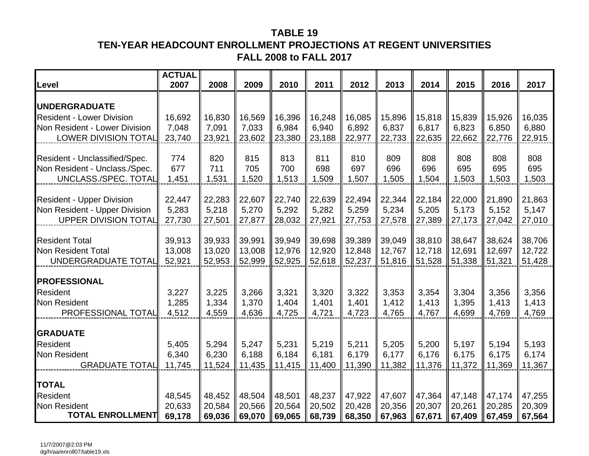# **TABLE 19TEN-YEAR HEADCOUNT ENROLLMENT PROJECTIONS AT REGENT UNIVERSITIES FALL 2008 to FALL 2017**

| Level                            | <b>ACTUAL</b><br>2007 | 2008   | 2009   | 2010   | 2011   | 2012   | 2013   | 2014   | 2015   | 2016   | 2017   |
|----------------------------------|-----------------------|--------|--------|--------|--------|--------|--------|--------|--------|--------|--------|
| <b>UNDERGRADUATE</b>             |                       |        |        |        |        |        |        |        |        |        |        |
| <b>Resident - Lower Division</b> | 16,692                | 16,830 | 16,569 | 16,396 | 16,248 | 16,085 | 15,896 | 15,818 | 15,839 | 15,926 | 16,035 |
| Non Resident - Lower Division    | 7,048                 | 7,091  | 7,033  | 6,984  | 6,940  | 6,892  | 6,837  | 6,817  | 6,823  | 6,850  | 6,880  |
| <b>LOWER DIVISION TOTAL</b>      | 23,740                | 23,921 | 23,602 | 23,380 | 23,188 | 22,977 | 22,733 | 22,635 | 22,662 | 22,776 | 22,915 |
| Resident - Unclassified/Spec.    | 774                   | 820    | 815    | 813    | 811    | 810    | 809    | 808    | 808    | 808    | 808    |
| Non Resident - Unclass./Spec.    | 677                   | 711    | 705    | 700    | 698    | 697    | 696    | 696    | 695    | 695    | 695    |
| UNCLASS./SPEC. TOTAL             | 1,451                 | 1,531  | 1,520  | 1,513  | 1,509  | 1,507  | 1,505  | 1,504  | 1,503  | 1,503  | 1,503  |
| <b>Resident - Upper Division</b> | 22,447                | 22,283 | 22,607 | 22,740 | 22,639 | 22,494 | 22,344 | 22,184 | 22,000 | 21,890 | 21,863 |
| Non Resident - Upper Division    | 5,283                 | 5,218  | 5,270  | 5,292  | 5,282  | 5,259  | 5,234  | 5,205  | 5,173  | 5,152  | 5,147  |
| <b>UPPER DIVISION TOTAL</b>      | 27,730                | 27,501 | 27,877 | 28,032 | 27,921 | 27,753 | 27,578 | 27,389 | 27,173 | 27,042 | 27,010 |
|                                  |                       |        |        |        |        |        |        |        |        |        |        |
| <b>Resident Total</b>            | 39,913                | 39,933 | 39,991 | 39,949 | 39,698 | 39,389 | 39,049 | 38,810 | 38,647 | 38,624 | 38,706 |
| Non Resident Total               | 13,008                | 13,020 | 13,008 | 12,976 | 12,920 | 12,848 | 12,767 | 12,718 | 12,691 | 12,697 | 12,722 |
| UNDERGRADUATE TOTAL              | 52,921                | 52,953 | 52,999 | 52,925 | 52,618 | 52,237 | 51,816 | 51,528 | 51,338 | 51,321 | 51,428 |
| <b>PROFESSIONAL</b>              |                       |        |        |        |        |        |        |        |        |        |        |
| Resident                         | 3,227                 | 3,225  | 3,266  | 3,321  | 3,320  | 3,322  | 3,353  | 3,354  | 3,304  | 3,356  | 3,356  |
| <b>Non Resident</b>              | 1,285                 | 1,334  | 1,370  | 1,404  | 1,401  | 1,401  | 1,412  | 1,413  | 1,395  | 1,413  | 1,413  |
| PROFESSIONAL TOTAL               | 4,512                 | 4,559  | 4,636  | 4,725  | 4,721  | 4,723  | 4,765  | 4,767  | 4,699  | 4,769  | 4,769  |
| <b>GRADUATE</b>                  |                       |        |        |        |        |        |        |        |        |        |        |
| Resident                         | 5,405                 | 5,294  | 5,247  | 5,231  | 5,219  | 5,211  | 5,205  | 5,200  | 5,197  | 5,194  | 5,193  |
| Non Resident                     | 6,340                 | 6,230  | 6,188  | 6,184  | 6,181  | 6,179  | 6,177  | 6,176  | 6,175  | 6,175  | 6,174  |
| <b>GRADUATE TOTAL</b>            | 11,745                | 11,524 | 11,435 | 11,415 | 11,400 | 11,390 | 11,382 | 11,376 | 11,372 | 11,369 | 11,367 |
| <b>TOTAL</b>                     |                       |        |        |        |        |        |        |        |        |        |        |
| Resident                         | 48,545                | 48,452 | 48,504 | 48,501 | 48,237 | 47,922 | 47,607 | 47,364 | 47,148 | 47,174 | 47,255 |
| <b>Non Resident</b>              | 20,633                | 20,584 | 20,566 | 20,564 | 20,502 | 20,428 | 20,356 | 20,307 | 20,261 | 20,285 | 20,309 |
| <b>TOTAL ENROLLMENT</b>          | 69,178                | 69,036 | 69,070 | 69,065 | 68,739 | 68,350 | 67,963 | 67,671 | 67,409 | 67,459 | 67,564 |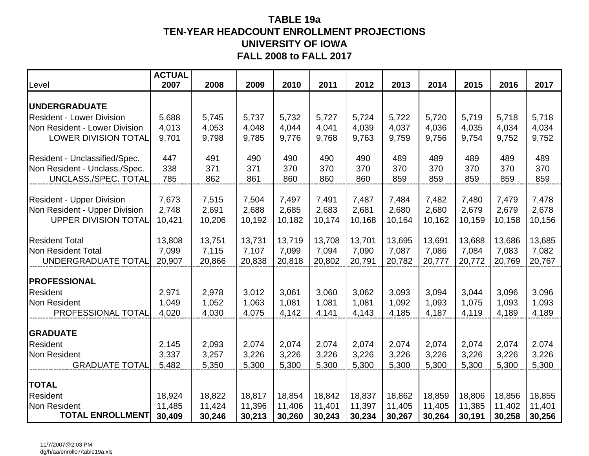## **TABLE 19a TEN-YEAR HEADCOUNT ENROLLMENT PROJECTIONS UNIVERSITY OF IOWAFALL 2008 to FALL 2017**

| Level                                                        | <b>ACTUAL</b><br>2007 | 2008             | 2009             | 2010             | 2011             | 2012             | 2013             | 2014             | 2015             | 2016             | 2017             |
|--------------------------------------------------------------|-----------------------|------------------|------------------|------------------|------------------|------------------|------------------|------------------|------------------|------------------|------------------|
| <b> UNDERGRADUATE</b>                                        |                       |                  |                  |                  |                  |                  |                  |                  |                  |                  |                  |
| <b>Resident - Lower Division</b>                             | 5,688                 | 5,745            | 5,737            | 5,732            | 5,727            | 5,724            | 5,722            | 5,720            | 5,719            | 5,718            | 5,718            |
| Non Resident - Lower Division                                | 4,013                 | 4,053            | 4,048            | 4,044            | 4,041            | 4,039            | 4,037            | 4,036            | 4,035            | 4,034            | 4,034            |
| <b>LOWER DIVISION TOTAL</b>                                  | 9,701                 | 9,798            | 9,785            | 9,776            | 9,768            | 9,763            | 9,759            | 9,756            | 9,754            | 9,752            | 9,752            |
| Resident - Unclassified/Spec.                                | 447                   | 491              | 490              | 490              | 490              | 490              | 489              | 489              | 489              | 489              | 489              |
| Non Resident - Unclass./Spec.                                | 338                   | 371              | 371              | 370              | 370              | 370              | 370              | 370              | 370              | 370              | 370              |
| UNCLASS./SPEC. TOTAL                                         | 785                   | 862              | 861              | 860              | 860              | 860              | 859              | 859              | 859              | 859              | 859              |
|                                                              |                       |                  |                  |                  |                  |                  |                  |                  |                  |                  |                  |
| <b>Resident - Upper Division</b>                             | 7,673                 | 7,515            | 7,504            | 7,497            | 7,491            | 7,487            | 7,484            | 7,482            | 7,480            | 7,479            | 7,478            |
| Non Resident - Upper Division<br><b>UPPER DIVISION TOTAL</b> | 2,748<br>10,421       | 2,691<br>10,206  | 2,688<br>10,192  | 2,685<br>10,182  | 2,683<br>10,174  | 2,681<br>10,168  | 2,680<br>10,164  | 2,680<br>10,162  | 2,679<br>10,159  | 2,679<br>10,158  | 2,678<br>10,156  |
|                                                              |                       |                  |                  |                  |                  |                  |                  |                  |                  |                  |                  |
| <b>Resident Total</b>                                        | 13,808                | 13,751           | 13,731           | 13,719           | 13,708           | 13,701           | 13,695           | 13,691           | 13,688           | 13,686           | 13,685           |
| Non Resident Total                                           | 7,099                 | 7,115            | 7,107            | 7,099            | 7,094            | 7,090            | 7,087            | 7,086            | 7,084            | 7,083            | 7,082            |
| UNDERGRADUATE TOTAL                                          | 20,907                | 20,866           | 20,838           | 20,818           | 20,802           | 20,791           | 20,782           | 20,777           | 20,772           | 20,769           | 20,767           |
| <b>PROFESSIONAL</b>                                          |                       |                  |                  |                  |                  |                  |                  |                  |                  |                  |                  |
| <b>Resident</b>                                              | 2,971                 | 2,978            | 3,012            | 3,061            | 3,060            | 3,062            | 3,093            | 3,094            | 3,044            | 3,096            | 3,096            |
| <b>Non Resident</b>                                          | 1,049                 | 1,052            | 1,063            | 1,081            | 1,081            | 1,081            | 1,092            | 1,093            | 1,075            | 1,093            | 1,093            |
| PROFESSIONAL TOTAL                                           | 4,020                 | 4,030            | 4,075            | 4,142            | 4,141            | 4,143            | 4,185            | 4,187            | 4,119            | 4,189            | 4,189            |
| <b>GRADUATE</b>                                              |                       |                  |                  |                  |                  |                  |                  |                  |                  |                  |                  |
| <b>Resident</b>                                              | 2,145                 | 2,093            | 2,074            | 2,074            | 2,074            | 2,074            | 2,074            | 2,074            | 2,074            | 2,074            | 2,074            |
| Non Resident                                                 | 3,337                 | 3,257            | 3,226            | 3,226            | 3,226            | 3,226            | 3,226            | 3,226            | 3,226            | 3,226            | 3,226            |
| <b>GRADUATE TOTAL</b>                                        | 5,482                 | 5,350            | 5,300            | 5,300            | 5,300            | 5,300            | 5,300            | 5,300            | 5,300            | 5,300            | 5,300            |
|                                                              |                       |                  |                  |                  |                  |                  |                  |                  |                  |                  |                  |
| <b>TOTAL</b>                                                 |                       |                  |                  |                  |                  |                  |                  |                  |                  |                  |                  |
| <b>Resident</b><br><b>Non Resident</b>                       | 18,924<br>11,485      | 18,822<br>11,424 | 18,817<br>11,396 | 18,854<br>11,406 | 18,842<br>11,401 | 18,837<br>11,397 | 18,862<br>11,405 | 18,859<br>11,405 | 18,806<br>11,385 | 18,856<br>11,402 | 18,855<br>11,401 |
| <b>TOTAL ENROLLMENT</b>                                      | 30,409                | 30,246           | 30,213           | 30,260           | 30,243           | 30,234           | 30,267           | 30,264           | 30,191           | 30,258           | 30,256           |

11/7/2007@2:03 PMdg/h/aa/enroll07/table19a.xls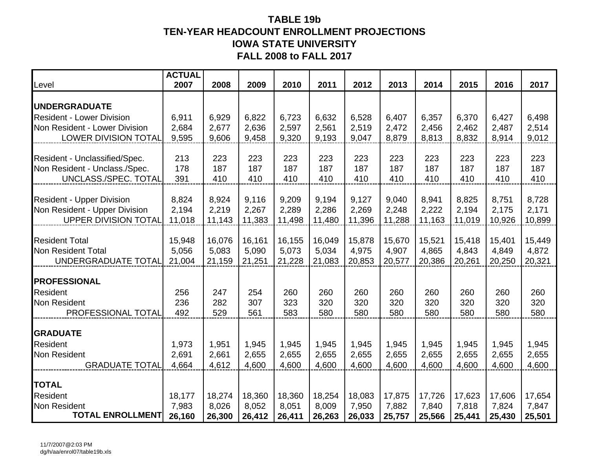## **TABLE 19b TEN-YEAR HEADCOUNT ENROLLMENT PROJECTIONS IOWA STATE UNIVERSITY FALL 2008 to FALL 2017**

| Level                                                          | <b>ACTUAL</b><br>2007 | 2008   | 2009   | 2010   | 2011   | 2012   | 2013   | 2014   | 2015   | 2016   | 2017   |
|----------------------------------------------------------------|-----------------------|--------|--------|--------|--------|--------|--------|--------|--------|--------|--------|
| <b>UNDERGRADUATE</b>                                           |                       |        |        |        |        |        |        |        |        |        |        |
| <b>Resident - Lower Division</b>                               | 6,911                 | 6,929  | 6,822  | 6,723  | 6,632  | 6,528  | 6,407  | 6,357  | 6,370  | 6,427  | 6,498  |
| Non Resident - Lower Division                                  | 2,684                 | 2,677  | 2,636  | 2,597  | 2,561  | 2,519  | 2,472  | 2,456  | 2,462  | 2,487  | 2,514  |
| <b>LOWER DIVISION TOTAL</b>                                    | 9,595                 | 9,606  | 9,458  | 9,320  | 9,193  | 9,047  | 8,879  | 8,813  | 8,832  | 8,914  | 9,012  |
|                                                                | 213                   | 223    | 223    | 223    | 223    | 223    | 223    | 223    | 223    | 223    | 223    |
| Resident - Unclassified/Spec.<br>Non Resident - Unclass./Spec. | 178                   | 187    | 187    | 187    | 187    | 187    | 187    | 187    | 187    | 187    | 187    |
| UNCLASS./SPEC. TOTAL                                           | 391                   | 410    | 410    | 410    | 410    | 410    | 410    | 410    | 410    | 410    | 410    |
|                                                                |                       |        |        |        |        |        |        |        |        |        |        |
| <b>Resident - Upper Division</b>                               | 8,824                 | 8,924  | 9,116  | 9,209  | 9,194  | 9,127  | 9,040  | 8,941  | 8,825  | 8,751  | 8,728  |
| Non Resident - Upper Division                                  | 2,194                 | 2,219  | 2,267  | 2,289  | 2,286  | 2,269  | 2,248  | 2,222  | 2,194  | 2,175  | 2,171  |
| <b>UPPER DIVISION TOTAL</b>                                    | 11,018                | 11,143 | 11,383 | 11,498 | 11,480 | 11,396 | 11,288 | 11,163 | 11,019 | 10,926 | 10,899 |
| <b>Resident Total</b>                                          | 15,948                | 16,076 | 16,161 | 16,155 | 16,049 | 15,878 | 15,670 | 15,521 | 15,418 | 15,401 | 15,449 |
| <b>Non Resident Total</b>                                      | 5,056                 | 5,083  | 5,090  | 5,073  | 5,034  | 4,975  | 4,907  | 4,865  | 4,843  | 4,849  | 4,872  |
| UNDERGRADUATE TOTAL                                            | 21,004                | 21,159 | 21,251 | 21,228 | 21,083 | 20,853 | 20,577 | 20,386 | 20,261 | 20,250 | 20,321 |
| <b>PROFESSIONAL</b>                                            |                       |        |        |        |        |        |        |        |        |        |        |
| <b>Resident</b>                                                | 256                   | 247    | 254    | 260    | 260    | 260    | 260    | 260    | 260    | 260    | 260    |
| Non Resident                                                   | 236                   | 282    | 307    | 323    | 320    | 320    | 320    | 320    | 320    | 320    | 320    |
| PROFESSIONAL TOTAL                                             | 492                   | 529    | 561    | 583    | 580    | 580    | 580    | 580    | 580    | 580    | 580    |
| <b>GRADUATE</b>                                                |                       |        |        |        |        |        |        |        |        |        |        |
| Resident                                                       | 1,973                 | 1,951  | 1,945  | 1,945  | 1,945  | 1,945  | 1,945  | 1,945  | 1,945  | 1,945  | 1,945  |
| Non Resident                                                   | 2,691                 | 2,661  | 2,655  | 2,655  | 2,655  | 2,655  | 2,655  | 2,655  | 2,655  | 2,655  | 2,655  |
| <b>GRADUATE TOTAL</b>                                          | 4,664                 | 4,612  | 4,600  | 4,600  | 4,600  | 4,600  | 4,600  | 4,600  | 4,600  | 4,600  | 4,600  |
|                                                                |                       |        |        |        |        |        |        |        |        |        |        |
| <b>TOTAL</b>                                                   |                       |        |        |        |        |        |        |        |        |        |        |
| Resident                                                       | 18,177                | 18,274 | 18,360 | 18,360 | 18,254 | 18,083 | 17,875 | 17,726 | 17,623 | 17,606 | 17,654 |
| <b>Non Resident</b><br><b>TOTAL ENROLLMENT</b>                 | 7,983                 | 8,026  | 8,052  | 8,051  | 8,009  | 7,950  | 7,882  | 7,840  | 7,818  | 7,824  | 7,847  |
|                                                                | 26,160                | 26,300 | 26,412 | 26,411 | 26,263 | 26,033 | 25,757 | 25,566 | 25,441 | 25,430 | 25,501 |